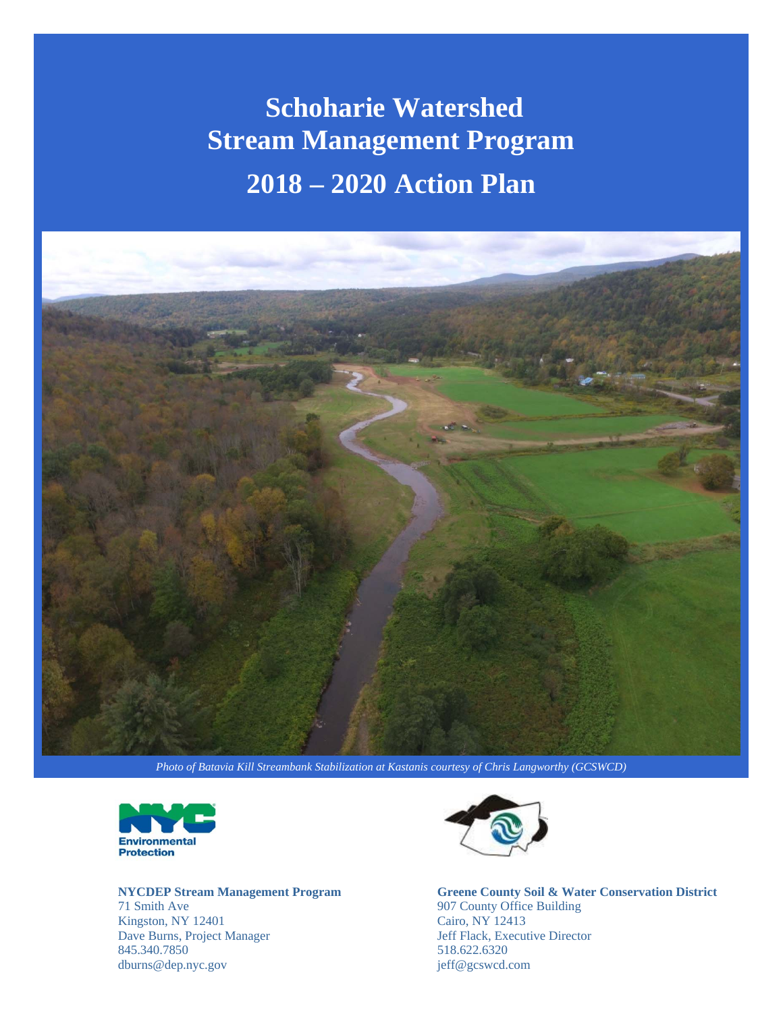# **Schoharie Watershed Stream Management Program 2018 – 2020 Action Plan**



*Photo of Batavia Kill Streambank Stabilization at Kastanis courtesy of Chris Langworthy (GCSWCD)*



**NYCDEP Stream Management Program**  71 Smith Ave Kingston, NY 12401 Dave Burns, Project Manager 845.340.7850 dburns@dep.nyc.gov



FOI<br>
Executive Director<br>
Jeff Flack, Executive Director 907 County Office Building, Cairo NY 12413 518.622.6320 **Greene County Soil & Water Conservation District**  907 County Office Building Cairo, NY 12413 jeff@gcswcd.com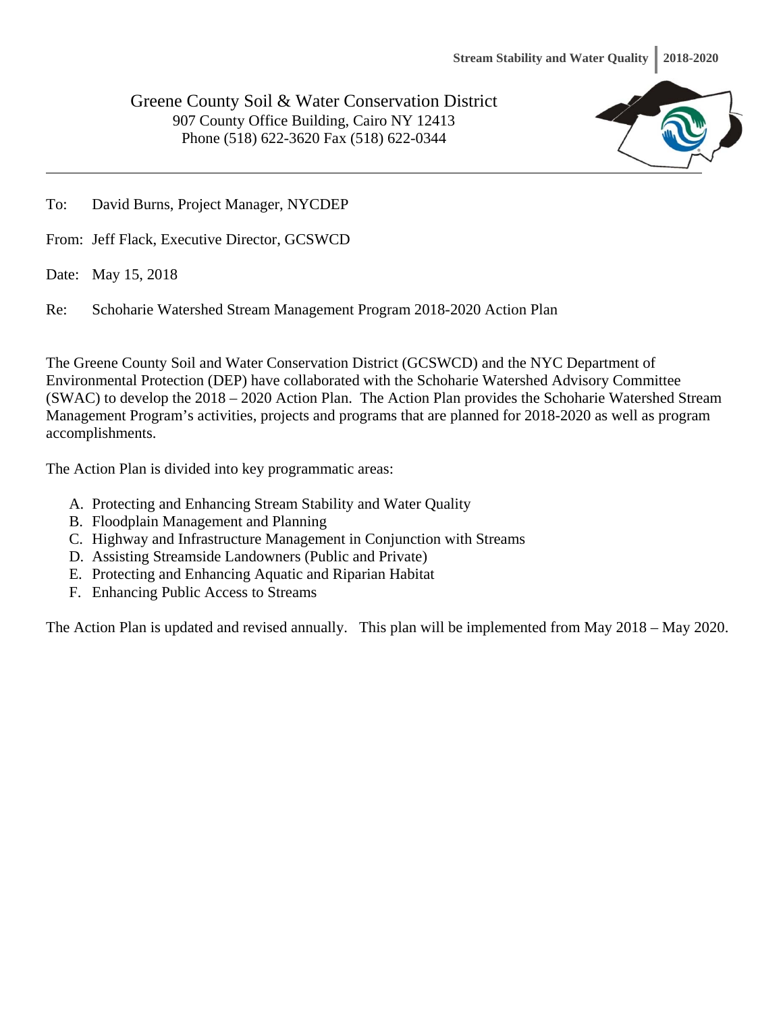Greene County Soil & Water Conservation District 907 County Office Building, Cairo NY 12413 Phone (518) 622-3620 Fax (518) 622-0344



To: David Burns, Project Manager, NYCDEP

From: Jeff Flack, Executive Director, GCSWCD

Date: May 15, 2018

Re: Schoharie Watershed Stream Management Program 2018-2020 Action Plan

The Greene County Soil and Water Conservation District (GCSWCD) and the NYC Department of Environmental Protection (DEP) have collaborated with the Schoharie Watershed Advisory Committee (SWAC) to develop the 2018 – 2020 Action Plan. The Action Plan provides the Schoharie Watershed Stream Management Program's activities, projects and programs that are planned for 2018-2020 as well as program accomplishments.

The Action Plan is divided into key programmatic areas:

- A. Protecting and Enhancing Stream Stability and Water Quality
- B. Floodplain Management and Planning
- C. Highway and Infrastructure Management in Conjunction with Streams
- D. Assisting Streamside Landowners (Public and Private)
- E. Protecting and Enhancing Aquatic and Riparian Habitat
- F. Enhancing Public Access to Streams

The Action Plan is updated and revised annually. This plan will be implemented from May 2018 – May 2020.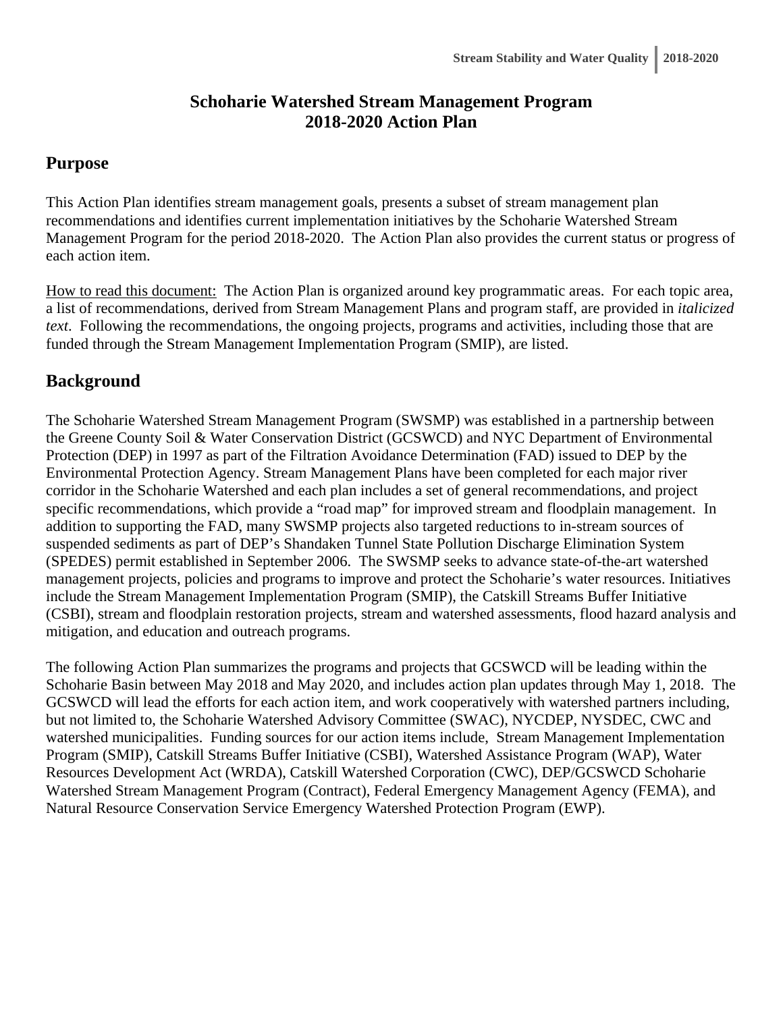# **Schoharie Watershed Stream Management Program 2018-2020 Action Plan**

# **Purpose**

This Action Plan identifies stream management goals, presents a subset of stream management plan recommendations and identifies current implementation initiatives by the Schoharie Watershed Stream Management Program for the period 2018-2020. The Action Plan also provides the current status or progress of each action item.

How to read this document: The Action Plan is organized around key programmatic areas. For each topic area, a list of recommendations, derived from Stream Management Plans and program staff, are provided in *italicized text*. Following the recommendations, the ongoing projects, programs and activities, including those that are funded through the Stream Management Implementation Program (SMIP), are listed.

# **Background**

The Schoharie Watershed Stream Management Program (SWSMP) was established in a partnership between the Greene County Soil & Water Conservation District (GCSWCD) and NYC Department of Environmental Protection (DEP) in 1997 as part of the Filtration Avoidance Determination (FAD) issued to DEP by the Environmental Protection Agency. Stream Management Plans have been completed for each major river corridor in the Schoharie Watershed and each plan includes a set of general recommendations, and project specific recommendations, which provide a "road map" for improved stream and floodplain management. In addition to supporting the FAD, many SWSMP projects also targeted reductions to in-stream sources of suspended sediments as part of DEP's Shandaken Tunnel State Pollution Discharge Elimination System (SPEDES) permit established in September 2006. The SWSMP seeks to advance state-of-the-art watershed management projects, policies and programs to improve and protect the Schoharie's water resources. Initiatives include the Stream Management Implementation Program (SMIP), the Catskill Streams Buffer Initiative (CSBI), stream and floodplain restoration projects, stream and watershed assessments, flood hazard analysis and mitigation, and education and outreach programs.

The following Action Plan summarizes the programs and projects that GCSWCD will be leading within the Schoharie Basin between May 2018 and May 2020, and includes action plan updates through May 1, 2018. The GCSWCD will lead the efforts for each action item, and work cooperatively with watershed partners including, but not limited to, the Schoharie Watershed Advisory Committee (SWAC), NYCDEP, NYSDEC, CWC and watershed municipalities. Funding sources for our action items include, Stream Management Implementation Program (SMIP), Catskill Streams Buffer Initiative (CSBI), Watershed Assistance Program (WAP), Water Resources Development Act (WRDA), Catskill Watershed Corporation (CWC), DEP/GCSWCD Schoharie Watershed Stream Management Program (Contract), Federal Emergency Management Agency (FEMA), and Natural Resource Conservation Service Emergency Watershed Protection Program (EWP).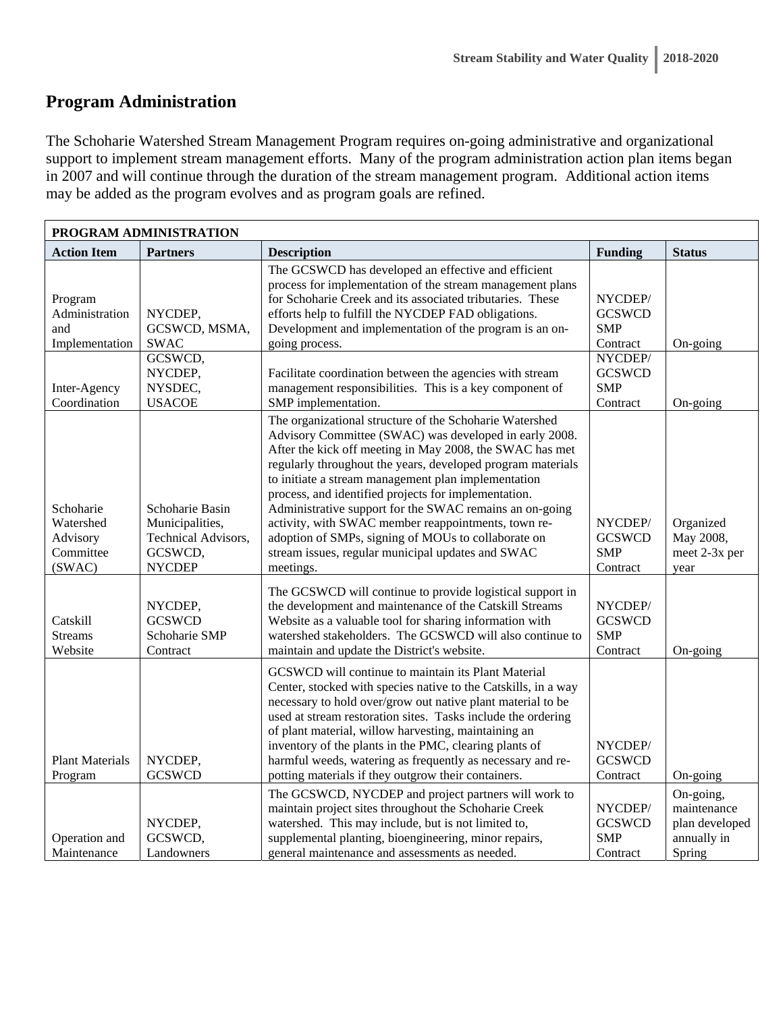# **Program Administration**

The Schoharie Watershed Stream Management Program requires on-going administrative and organizational support to implement stream management efforts. Many of the program administration action plan items began in 2007 and will continue through the duration of the stream management program. Additional action items may be added as the program evolves and as program goals are refined.

|                                                                                    | PROGRAM ADMINISTRATION                                                                    |                                                                                                                                                                                                                                                                                                                                                                                                                                                                                                                                                                                                        |                                                                                                          |                                                                     |  |  |  |
|------------------------------------------------------------------------------------|-------------------------------------------------------------------------------------------|--------------------------------------------------------------------------------------------------------------------------------------------------------------------------------------------------------------------------------------------------------------------------------------------------------------------------------------------------------------------------------------------------------------------------------------------------------------------------------------------------------------------------------------------------------------------------------------------------------|----------------------------------------------------------------------------------------------------------|---------------------------------------------------------------------|--|--|--|
| <b>Action Item</b>                                                                 | <b>Partners</b>                                                                           | <b>Description</b>                                                                                                                                                                                                                                                                                                                                                                                                                                                                                                                                                                                     | <b>Funding</b>                                                                                           | <b>Status</b>                                                       |  |  |  |
| Program<br>Administration<br>and<br>Implementation<br>Inter-Agency<br>Coordination | NYCDEP,<br>GCSWCD, MSMA,<br><b>SWAC</b><br>GCSWCD,<br>NYCDEP,<br>NYSDEC,<br><b>USACOE</b> | The GCSWCD has developed an effective and efficient<br>process for implementation of the stream management plans<br>for Schoharie Creek and its associated tributaries. These<br>efforts help to fulfill the NYCDEP FAD obligations.<br>Development and implementation of the program is an on-<br>going process.<br>Facilitate coordination between the agencies with stream<br>management responsibilities. This is a key component of<br>SMP implementation.                                                                                                                                        | NYCDEP/<br><b>GCSWCD</b><br><b>SMP</b><br>Contract<br>NYCDEP/<br><b>GCSWCD</b><br><b>SMP</b><br>Contract | On-going<br>On-going                                                |  |  |  |
| Schoharie<br>Watershed<br>Advisory<br>Committee<br>(SWAC)                          | Schoharie Basin<br>Municipalities,<br>Technical Advisors,<br>GCSWCD,<br><b>NYCDEP</b>     | The organizational structure of the Schoharie Watershed<br>Advisory Committee (SWAC) was developed in early 2008.<br>After the kick off meeting in May 2008, the SWAC has met<br>regularly throughout the years, developed program materials<br>to initiate a stream management plan implementation<br>process, and identified projects for implementation.<br>Administrative support for the SWAC remains an on-going<br>activity, with SWAC member reappointments, town re-<br>adoption of SMPs, signing of MOUs to collaborate on<br>stream issues, regular municipal updates and SWAC<br>meetings. | NYCDEP/<br><b>GCSWCD</b><br><b>SMP</b><br>Contract                                                       | Organized<br>May 2008,<br>meet 2-3x per<br>year                     |  |  |  |
| Catskill<br><b>Streams</b><br>Website                                              | NYCDEP,<br><b>GCSWCD</b><br>Schoharie SMP<br>Contract                                     | The GCSWCD will continue to provide logistical support in<br>the development and maintenance of the Catskill Streams<br>Website as a valuable tool for sharing information with<br>watershed stakeholders. The GCSWCD will also continue to<br>maintain and update the District's website.                                                                                                                                                                                                                                                                                                             | NYCDEP/<br><b>GCSWCD</b><br><b>SMP</b><br>Contract                                                       | On-going                                                            |  |  |  |
| <b>Plant Materials</b><br>Program                                                  | NYCDEP,<br><b>GCSWCD</b>                                                                  | GCSWCD will continue to maintain its Plant Material<br>Center, stocked with species native to the Catskills, in a way<br>necessary to hold over/grow out native plant material to be<br>used at stream restoration sites. Tasks include the ordering<br>of plant material, willow harvesting, maintaining an<br>inventory of the plants in the PMC, clearing plants of<br>harmful weeds, watering as frequently as necessary and re-<br>potting materials if they outgrow their containers.                                                                                                            | NYCDEP/<br><b>GCSWCD</b><br>Contract                                                                     | On-going                                                            |  |  |  |
| Operation and<br>Maintenance                                                       | NYCDEP,<br>GCSWCD,<br>Landowners                                                          | The GCSWCD, NYCDEP and project partners will work to<br>maintain project sites throughout the Schoharie Creek<br>watershed. This may include, but is not limited to,<br>supplemental planting, bioengineering, minor repairs,<br>general maintenance and assessments as needed.                                                                                                                                                                                                                                                                                                                        | NYCDEP/<br><b>GCSWCD</b><br><b>SMP</b><br>Contract                                                       | On-going,<br>maintenance<br>plan developed<br>annually in<br>Spring |  |  |  |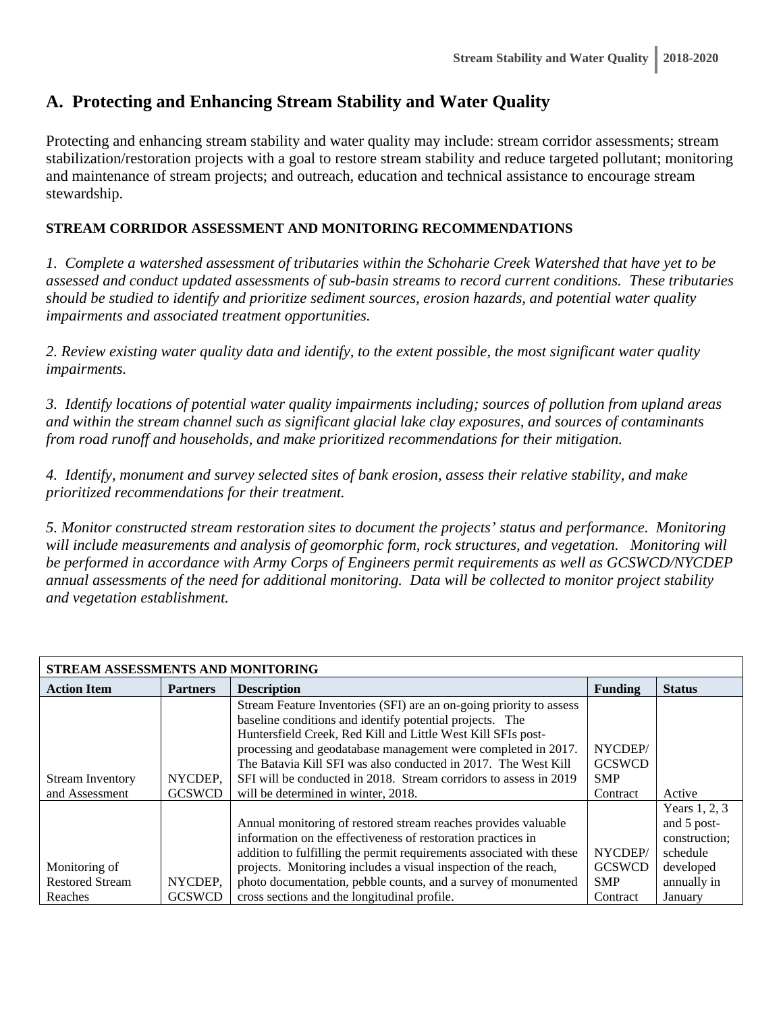# **A. Protecting and Enhancing Stream Stability and Water Quality**

Protecting and enhancing stream stability and water quality may include: stream corridor assessments; stream stabilization/restoration projects with a goal to restore stream stability and reduce targeted pollutant; monitoring and maintenance of stream projects; and outreach, education and technical assistance to encourage stream stewardship.

#### **STREAM CORRIDOR ASSESSMENT AND MONITORING RECOMMENDATIONS**

*1. Complete a watershed assessment of tributaries within the Schoharie Creek Watershed that have yet to be assessed and conduct updated assessments of sub-basin streams to record current conditions. These tributaries should be studied to identify and prioritize sediment sources, erosion hazards, and potential water quality impairments and associated treatment opportunities.* 

*2. Review existing water quality data and identify, to the extent possible, the most significant water quality impairments.* 

*3. Identify locations of potential water quality impairments including; sources of pollution from upland areas and within the stream channel such as significant glacial lake clay exposures, and sources of contaminants from road runoff and households, and make prioritized recommendations for their mitigation.* 

*4. Identify, monument and survey selected sites of bank erosion, assess their relative stability, and make prioritized recommendations for their treatment.* 

*5. Monitor constructed stream restoration sites to document the projects' status and performance. Monitoring*  will include measurements and analysis of geomorphic form, rock structures, and vegetation. Monitoring will *be performed in accordance with Army Corps of Engineers permit requirements as well as GCSWCD/NYCDEP annual assessments of the need for additional monitoring. Data will be collected to monitor project stability and vegetation establishment.* 

| STREAM ASSESSMENTS AND MONITORING |                 |                                                                      |                |               |  |
|-----------------------------------|-----------------|----------------------------------------------------------------------|----------------|---------------|--|
| <b>Action Item</b>                | <b>Partners</b> | <b>Description</b>                                                   | <b>Funding</b> | <b>Status</b> |  |
|                                   |                 | Stream Feature Inventories (SFI) are an on-going priority to assess  |                |               |  |
|                                   |                 | baseline conditions and identify potential projects. The             |                |               |  |
|                                   |                 | Huntersfield Creek, Red Kill and Little West Kill SFIs post-         |                |               |  |
|                                   |                 | processing and geodatabase management were completed in 2017.        | NYCDEP/        |               |  |
|                                   |                 | The Batavia Kill SFI was also conducted in 2017. The West Kill       | <b>GCSWCD</b>  |               |  |
| <b>Stream Inventory</b>           | NYCDEP.         | SFI will be conducted in 2018. Stream corridors to assess in 2019    | <b>SMP</b>     |               |  |
| and Assessment                    | <b>GCSWCD</b>   | will be determined in winter, 2018.                                  | Contract       | Active        |  |
|                                   |                 |                                                                      |                | Years 1, 2, 3 |  |
|                                   |                 | Annual monitoring of restored stream reaches provides valuable       |                | and 5 post-   |  |
|                                   |                 | information on the effectiveness of restoration practices in         |                | construction; |  |
|                                   |                 | addition to fulfilling the permit requirements associated with these | NYCDEP/        | schedule      |  |
| Monitoring of                     |                 | projects. Monitoring includes a visual inspection of the reach,      | <b>GCSWCD</b>  | developed     |  |
| <b>Restored Stream</b>            | NYCDEP,         | photo documentation, pebble counts, and a survey of monumented       | <b>SMP</b>     | annually in   |  |
| Reaches                           | <b>GCSWCD</b>   | cross sections and the longitudinal profile.                         | Contract       | January       |  |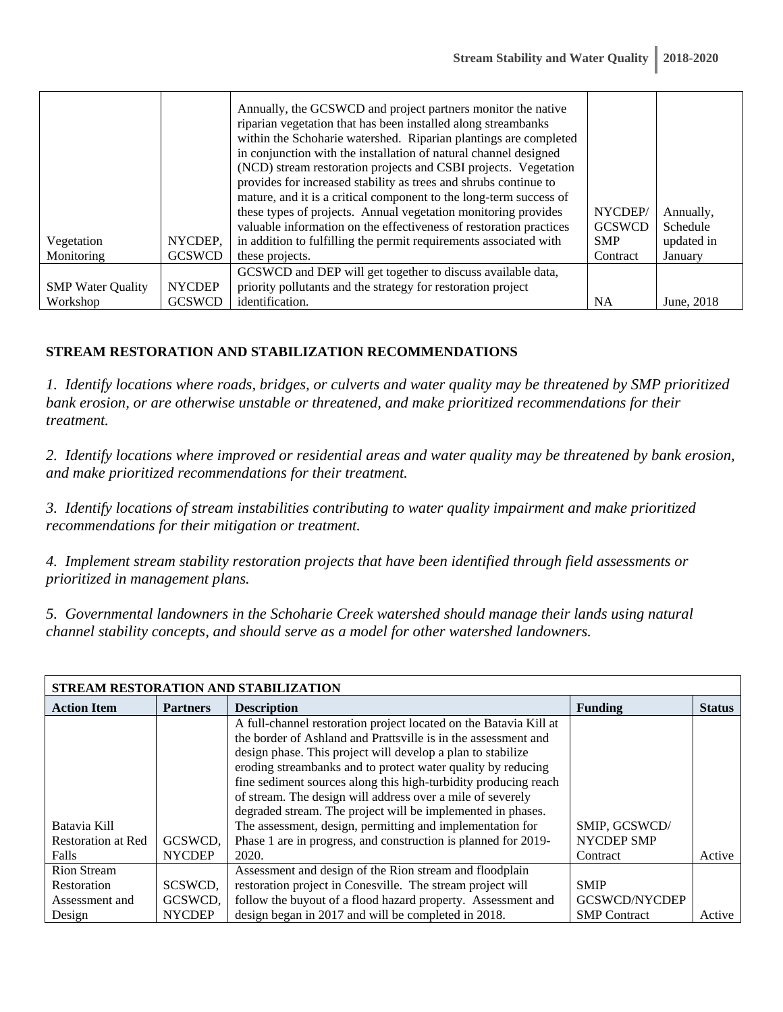| Vegetation<br>Monitoring | NYCDEP,<br><b>GCSWCD</b> | Annually, the GCSWCD and project partners monitor the native<br>riparian vegetation that has been installed along streambanks<br>within the Schoharie watershed. Riparian plantings are completed<br>in conjunction with the installation of natural channel designed<br>(NCD) stream restoration projects and CSBI projects. Vegetation<br>provides for increased stability as trees and shrubs continue to<br>mature, and it is a critical component to the long-term success of<br>these types of projects. Annual vegetation monitoring provides<br>valuable information on the effectiveness of restoration practices<br>in addition to fulfilling the permit requirements associated with<br>these projects. | NYCDEP/<br><b>GCSWCD</b><br><b>SMP</b><br>Contract | Annually,<br>Schedule<br>updated in<br>January |
|--------------------------|--------------------------|--------------------------------------------------------------------------------------------------------------------------------------------------------------------------------------------------------------------------------------------------------------------------------------------------------------------------------------------------------------------------------------------------------------------------------------------------------------------------------------------------------------------------------------------------------------------------------------------------------------------------------------------------------------------------------------------------------------------|----------------------------------------------------|------------------------------------------------|
|                          |                          | GCSWCD and DEP will get together to discuss available data,                                                                                                                                                                                                                                                                                                                                                                                                                                                                                                                                                                                                                                                        |                                                    |                                                |
| <b>SMP</b> Water Quality | <b>NYCDEP</b>            | priority pollutants and the strategy for restoration project                                                                                                                                                                                                                                                                                                                                                                                                                                                                                                                                                                                                                                                       |                                                    |                                                |
| Workshop                 | <b>GCSWCD</b>            | identification.                                                                                                                                                                                                                                                                                                                                                                                                                                                                                                                                                                                                                                                                                                    | <b>NA</b>                                          | June, 2018                                     |

#### **STREAM RESTORATION AND STABILIZATION RECOMMENDATIONS**

*1. Identify locations where roads, bridges, or culverts and water quality may be threatened by SMP prioritized bank erosion, or are otherwise unstable or threatened, and make prioritized recommendations for their treatment.* 

*2. Identify locations where improved or residential areas and water quality may be threatened by bank erosion, and make prioritized recommendations for their treatment.* 

*3. Identify locations of stream instabilities contributing to water quality impairment and make prioritized recommendations for their mitigation or treatment.* 

*4. Implement stream stability restoration projects that have been identified through field assessments or prioritized in management plans.* 

*5. Governmental landowners in the Schoharie Creek watershed should manage their lands using natural channel stability concepts, and should serve as a model for other watershed landowners.* 

| STREAM RESTORATION AND STABILIZATION |                 |                                                                   |                      |               |  |  |  |
|--------------------------------------|-----------------|-------------------------------------------------------------------|----------------------|---------------|--|--|--|
| <b>Action Item</b>                   | <b>Partners</b> | <b>Description</b>                                                | <b>Funding</b>       | <b>Status</b> |  |  |  |
|                                      |                 | A full-channel restoration project located on the Batavia Kill at |                      |               |  |  |  |
|                                      |                 | the border of Ashland and Prattsville is in the assessment and    |                      |               |  |  |  |
|                                      |                 | design phase. This project will develop a plan to stabilize       |                      |               |  |  |  |
|                                      |                 | eroding streambanks and to protect water quality by reducing      |                      |               |  |  |  |
|                                      |                 | fine sediment sources along this high-turbidity producing reach   |                      |               |  |  |  |
|                                      |                 | of stream. The design will address over a mile of severely        |                      |               |  |  |  |
|                                      |                 | degraded stream. The project will be implemented in phases.       |                      |               |  |  |  |
| Batavia Kill                         |                 | The assessment, design, permitting and implementation for         | SMIP, GCSWCD/        |               |  |  |  |
| <b>Restoration at Red</b>            | GCSWCD.         | Phase 1 are in progress, and construction is planned for 2019-    | NYCDEP SMP           |               |  |  |  |
| Falls                                | <b>NYCDEP</b>   | 2020.                                                             | Contract             | Active        |  |  |  |
| <b>Rion Stream</b>                   |                 | Assessment and design of the Rion stream and floodplain           |                      |               |  |  |  |
| Restoration                          | SCSWCD.         | restoration project in Conesville. The stream project will        | <b>SMIP</b>          |               |  |  |  |
| Assessment and                       | GCSWCD,         | follow the buyout of a flood hazard property. Assessment and      | <b>GCSWCD/NYCDEP</b> |               |  |  |  |
| Design                               | <b>NYCDEP</b>   | design began in 2017 and will be completed in 2018.               | <b>SMP</b> Contract  | Active        |  |  |  |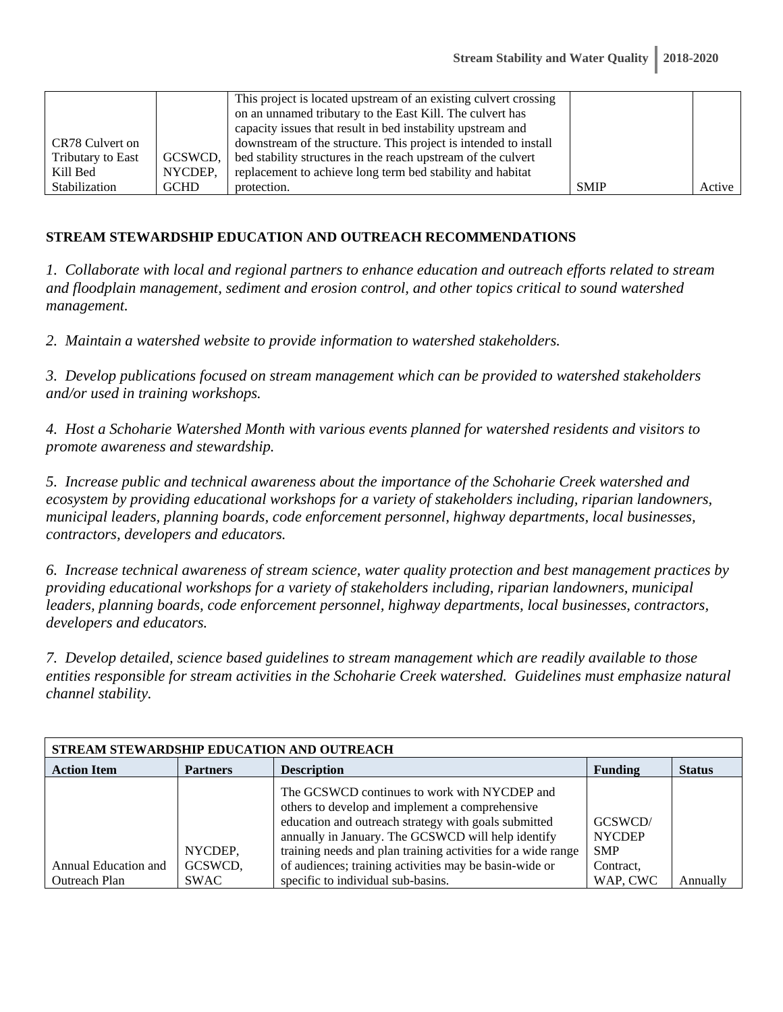|                   |             | This project is located upstream of an existing culvert crossing |             |        |
|-------------------|-------------|------------------------------------------------------------------|-------------|--------|
|                   |             | on an unnamed tributary to the East Kill. The culvert has        |             |        |
|                   |             | capacity issues that result in bed instability upstream and      |             |        |
|                   |             |                                                                  |             |        |
| CR78 Culvert on   |             | downstream of the structure. This project is intended to install |             |        |
| Tributary to East | GCSWCD,     | bed stability structures in the reach upstream of the culvert    |             |        |
| Kill Bed          | NYCDEP.     | replacement to achieve long term bed stability and habitat       |             |        |
| Stabilization     | <b>GCHD</b> | protection.                                                      | <b>SMIP</b> | Active |

#### **STREAM STEWARDSHIP EDUCATION AND OUTREACH RECOMMENDATIONS**

*1. Collaborate with local and regional partners to enhance education and outreach efforts related to stream and floodplain management, sediment and erosion control, and other topics critical to sound watershed management.* 

*2. Maintain a watershed website to provide information to watershed stakeholders.* 

*3. Develop publications focused on stream management which can be provided to watershed stakeholders and/or used in training workshops.* 

*4. Host a Schoharie Watershed Month with various events planned for watershed residents and visitors to promote awareness and stewardship.* 

*5. Increase public and technical awareness about the importance of the Schoharie Creek watershed and ecosystem by providing educational workshops for a variety of stakeholders including, riparian landowners, municipal leaders, planning boards, code enforcement personnel, highway departments, local businesses, contractors, developers and educators.* 

*6. Increase technical awareness of stream science, water quality protection and best management practices by providing educational workshops for a variety of stakeholders including, riparian landowners, municipal leaders, planning boards, code enforcement personnel, highway departments, local businesses, contractors, developers and educators.* 

*7. Develop detailed, science based guidelines to stream management which are readily available to those entities responsible for stream activities in the Schoharie Creek watershed. Guidelines must emphasize natural channel stability.* 

| STREAM STEWARDSHIP EDUCATION AND OUTREACH |                    |                                                                                                                                                                                                                                                                                                                                         |                                                     |               |  |  |
|-------------------------------------------|--------------------|-----------------------------------------------------------------------------------------------------------------------------------------------------------------------------------------------------------------------------------------------------------------------------------------------------------------------------------------|-----------------------------------------------------|---------------|--|--|
| <b>Action Item</b>                        | <b>Partners</b>    | <b>Description</b>                                                                                                                                                                                                                                                                                                                      | <b>Funding</b>                                      | <b>Status</b> |  |  |
| Annual Education and                      | NYCDEP,<br>GCSWCD, | The GCSWCD continues to work with NYCDEP and<br>others to develop and implement a comprehensive<br>education and outreach strategy with goals submitted<br>annually in January. The GCSWCD will help identify<br>training needs and plan training activities for a wide range<br>of audiences; training activities may be basin-wide or | GCSWCD/<br><b>NYCDEP</b><br><b>SMP</b><br>Contract, |               |  |  |
| <b>Outreach Plan</b>                      | <b>SWAC</b>        | specific to individual sub-basins.                                                                                                                                                                                                                                                                                                      | WAP, CWC                                            | Annuallv      |  |  |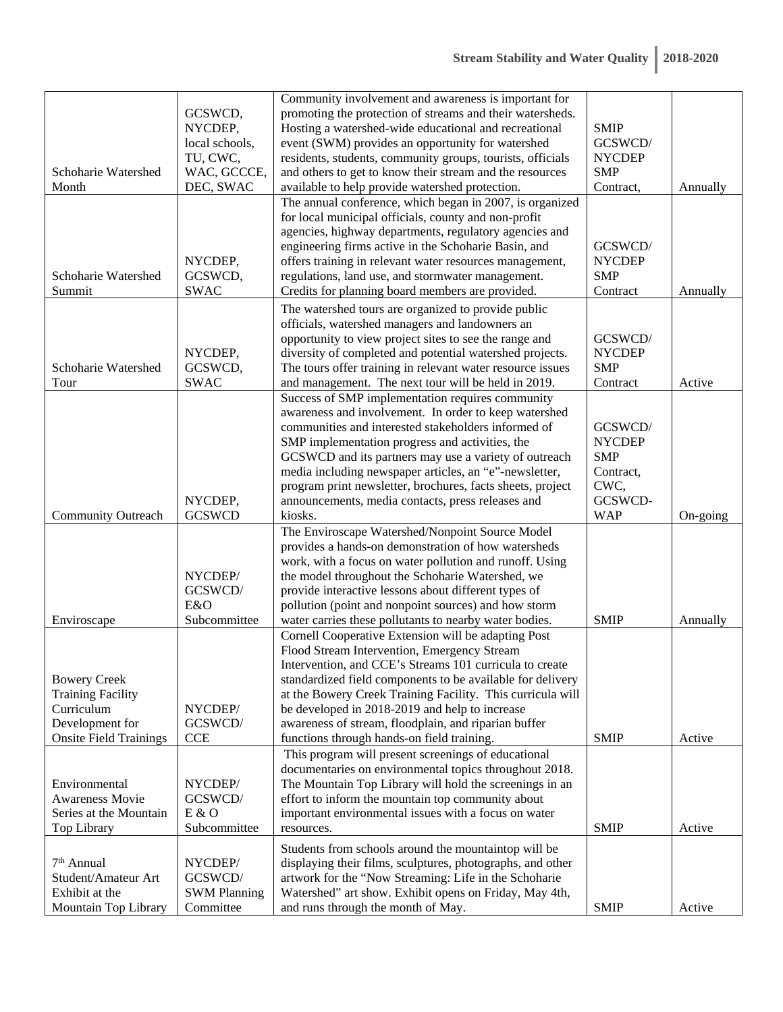| Schoharie Watershed<br>Month                                                                                      | GCSWCD,<br>NYCDEP,<br>local schools,<br>TU, CWC,<br>WAC, GCCCE,<br>DEC, SWAC | Community involvement and awareness is important for<br>promoting the protection of streams and their watersheds.<br>Hosting a watershed-wide educational and recreational<br>event (SWM) provides an opportunity for watershed<br>residents, students, community groups, tourists, officials<br>and others to get to know their stream and the resources<br>available to help provide watershed protection.                                                         | <b>SMIP</b><br>GCSWCD/<br><b>NYCDEP</b><br><b>SMP</b><br>Contract,                   | Annually |
|-------------------------------------------------------------------------------------------------------------------|------------------------------------------------------------------------------|----------------------------------------------------------------------------------------------------------------------------------------------------------------------------------------------------------------------------------------------------------------------------------------------------------------------------------------------------------------------------------------------------------------------------------------------------------------------|--------------------------------------------------------------------------------------|----------|
| Schoharie Watershed<br>Summit                                                                                     | NYCDEP,<br>GCSWCD,<br><b>SWAC</b>                                            | The annual conference, which began in 2007, is organized<br>for local municipal officials, county and non-profit<br>agencies, highway departments, regulatory agencies and<br>engineering firms active in the Schoharie Basin, and<br>offers training in relevant water resources management,<br>regulations, land use, and stormwater management.<br>Credits for planning board members are provided.                                                               | GCSWCD/<br><b>NYCDEP</b><br><b>SMP</b><br>Contract                                   | Annually |
| Schoharie Watershed<br>Tour                                                                                       | NYCDEP,<br>GCSWCD,<br><b>SWAC</b>                                            | The watershed tours are organized to provide public<br>officials, watershed managers and landowners an<br>opportunity to view project sites to see the range and<br>diversity of completed and potential watershed projects.<br>The tours offer training in relevant water resource issues<br>and management. The next tour will be held in 2019.                                                                                                                    | GCSWCD/<br><b>NYCDEP</b><br><b>SMP</b><br>Contract                                   | Active   |
| <b>Community Outreach</b>                                                                                         | NYCDEP,<br><b>GCSWCD</b>                                                     | Success of SMP implementation requires community<br>awareness and involvement. In order to keep watershed<br>communities and interested stakeholders informed of<br>SMP implementation progress and activities, the<br>GCSWCD and its partners may use a variety of outreach<br>media including newspaper articles, an "e"-newsletter,<br>program print newsletter, brochures, facts sheets, project<br>announcements, media contacts, press releases and<br>kiosks. | GCSWCD/<br><b>NYCDEP</b><br><b>SMP</b><br>Contract,<br>CWC,<br>GCSWCD-<br><b>WAP</b> | On-going |
| Enviroscape                                                                                                       | NYCDEP/<br>GCSWCD/<br>E&O<br>Subcommittee                                    | The Enviroscape Watershed/Nonpoint Source Model<br>provides a hands-on demonstration of how watersheds<br>work, with a focus on water pollution and runoff. Using<br>the model throughout the Schoharie Watershed, we<br>provide interactive lessons about different types of<br>pollution (point and nonpoint sources) and how storm<br>water carries these pollutants to nearby water bodies.                                                                      | <b>SMIP</b>                                                                          | Annually |
| <b>Bowery Creek</b><br><b>Training Facility</b><br>Curriculum<br>Development for<br><b>Onsite Field Trainings</b> | NYCDEP/<br>GCSWCD/<br><b>CCE</b>                                             | Cornell Cooperative Extension will be adapting Post<br>Flood Stream Intervention, Emergency Stream<br>Intervention, and CCE's Streams 101 curricula to create<br>standardized field components to be available for delivery<br>at the Bowery Creek Training Facility. This curricula will<br>be developed in 2018-2019 and help to increase<br>awareness of stream, floodplain, and riparian buffer<br>functions through hands-on field training.                    | <b>SMIP</b>                                                                          | Active   |
| Environmental<br><b>Awareness Movie</b><br>Series at the Mountain<br>Top Library                                  | NYCDEP/<br>GCSWCD/<br>E & O<br>Subcommittee                                  | This program will present screenings of educational<br>documentaries on environmental topics throughout 2018.<br>The Mountain Top Library will hold the screenings in an<br>effort to inform the mountain top community about<br>important environmental issues with a focus on water<br>resources.                                                                                                                                                                  | <b>SMIP</b>                                                                          | Active   |
| 7 <sup>th</sup> Annual<br>Student/Amateur Art<br>Exhibit at the<br>Mountain Top Library                           | NYCDEP/<br>GCSWCD/<br><b>SWM Planning</b><br>Committee                       | Students from schools around the mountaintop will be<br>displaying their films, sculptures, photographs, and other<br>artwork for the "Now Streaming: Life in the Schoharie<br>Watershed" art show. Exhibit opens on Friday, May 4th,<br>and runs through the month of May.                                                                                                                                                                                          | <b>SMIP</b>                                                                          | Active   |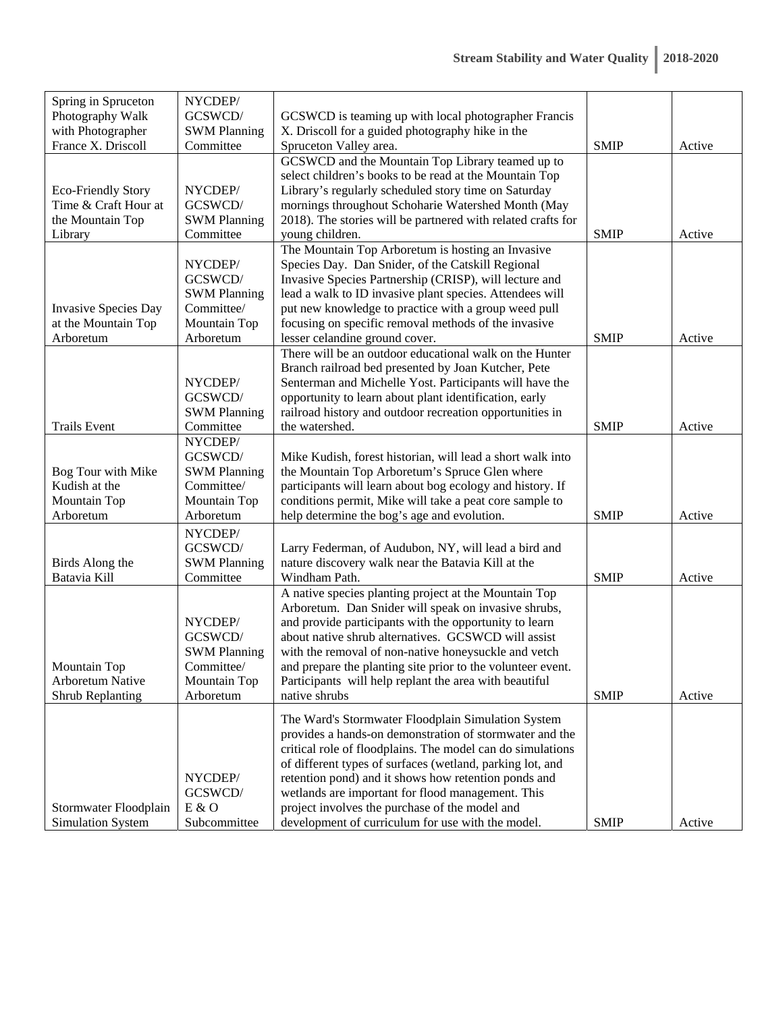| Spring in Spruceton                               | NYCDEP/                        |                                                                                                               |             |        |
|---------------------------------------------------|--------------------------------|---------------------------------------------------------------------------------------------------------------|-------------|--------|
| Photography Walk                                  | GCSWCD/                        | GCSWCD is teaming up with local photographer Francis                                                          |             |        |
| with Photographer                                 | <b>SWM Planning</b>            | X. Driscoll for a guided photography hike in the                                                              |             |        |
| France X. Driscoll                                | Committee                      | Spruceton Valley area.                                                                                        | <b>SMIP</b> | Active |
|                                                   |                                | GCSWCD and the Mountain Top Library teamed up to                                                              |             |        |
|                                                   |                                | select children's books to be read at the Mountain Top                                                        |             |        |
| <b>Eco-Friendly Story</b>                         | NYCDEP/                        | Library's regularly scheduled story time on Saturday                                                          |             |        |
| Time & Craft Hour at                              | GCSWCD/                        | mornings throughout Schoharie Watershed Month (May                                                            |             |        |
| the Mountain Top                                  | <b>SWM Planning</b>            | 2018). The stories will be partnered with related crafts for                                                  |             |        |
| Library                                           | Committee                      | young children.<br>The Mountain Top Arboretum is hosting an Invasive                                          | <b>SMIP</b> | Active |
|                                                   | NYCDEP/                        | Species Day. Dan Snider, of the Catskill Regional                                                             |             |        |
|                                                   | GCSWCD/                        | Invasive Species Partnership (CRISP), will lecture and                                                        |             |        |
|                                                   | <b>SWM Planning</b>            | lead a walk to ID invasive plant species. Attendees will                                                      |             |        |
| <b>Invasive Species Day</b>                       | Committee/                     | put new knowledge to practice with a group weed pull                                                          |             |        |
| at the Mountain Top                               | Mountain Top                   | focusing on specific removal methods of the invasive                                                          |             |        |
| Arboretum                                         | Arboretum                      | lesser celandine ground cover.                                                                                | <b>SMIP</b> | Active |
|                                                   |                                | There will be an outdoor educational walk on the Hunter                                                       |             |        |
|                                                   |                                | Branch railroad bed presented by Joan Kutcher, Pete                                                           |             |        |
|                                                   | NYCDEP/                        | Senterman and Michelle Yost. Participants will have the                                                       |             |        |
|                                                   | GCSWCD/                        | opportunity to learn about plant identification, early                                                        |             |        |
|                                                   | <b>SWM Planning</b>            | railroad history and outdoor recreation opportunities in                                                      |             |        |
| <b>Trails Event</b>                               | Committee                      | the watershed.                                                                                                | <b>SMIP</b> | Active |
|                                                   | NYCDEP/                        |                                                                                                               |             |        |
|                                                   | GCSWCD/                        | Mike Kudish, forest historian, will lead a short walk into                                                    |             |        |
| Bog Tour with Mike                                | <b>SWM Planning</b>            | the Mountain Top Arboretum's Spruce Glen where                                                                |             |        |
| Kudish at the                                     | Committee/                     | participants will learn about bog ecology and history. If                                                     |             |        |
| Mountain Top                                      | Mountain Top                   | conditions permit, Mike will take a peat core sample to                                                       |             |        |
| Arboretum                                         | Arboretum                      | help determine the bog's age and evolution.                                                                   | <b>SMIP</b> | Active |
|                                                   | NYCDEP/                        |                                                                                                               |             |        |
|                                                   | GCSWCD/                        | Larry Federman, of Audubon, NY, will lead a bird and                                                          |             |        |
| Birds Along the                                   | <b>SWM Planning</b>            | nature discovery walk near the Batavia Kill at the                                                            |             |        |
| Batavia Kill                                      | Committee                      | Windham Path.                                                                                                 | <b>SMIP</b> | Active |
|                                                   |                                | A native species planting project at the Mountain Top                                                         |             |        |
|                                                   |                                | Arboretum. Dan Snider will speak on invasive shrubs,                                                          |             |        |
|                                                   | NYCDEP/                        | and provide participants with the opportunity to learn<br>about native shrub alternatives. GCSWCD will assist |             |        |
|                                                   | GCSWCD/<br><b>SWM Planning</b> | with the removal of non-native honeysuckle and vetch                                                          |             |        |
| Mountain Top                                      | Committee/                     | and prepare the planting site prior to the volunteer event.                                                   |             |        |
| <b>Arboretum Native</b>                           | Mountain Top                   | Participants will help replant the area with beautiful                                                        |             |        |
| <b>Shrub Replanting</b>                           | Arboretum                      | native shrubs                                                                                                 | <b>SMIP</b> | Active |
|                                                   |                                |                                                                                                               |             |        |
|                                                   |                                | The Ward's Stormwater Floodplain Simulation System                                                            |             |        |
|                                                   |                                | provides a hands-on demonstration of stormwater and the                                                       |             |        |
|                                                   |                                | critical role of floodplains. The model can do simulations                                                    |             |        |
|                                                   |                                | of different types of surfaces (wetland, parking lot, and                                                     |             |        |
|                                                   | NYCDEP/                        | retention pond) and it shows how retention ponds and                                                          |             |        |
|                                                   | GCSWCD/<br>E & O               | wetlands are important for flood management. This<br>project involves the purchase of the model and           |             |        |
| Stormwater Floodplain<br><b>Simulation System</b> | Subcommittee                   | development of curriculum for use with the model.                                                             | <b>SMIP</b> | Active |
|                                                   |                                |                                                                                                               |             |        |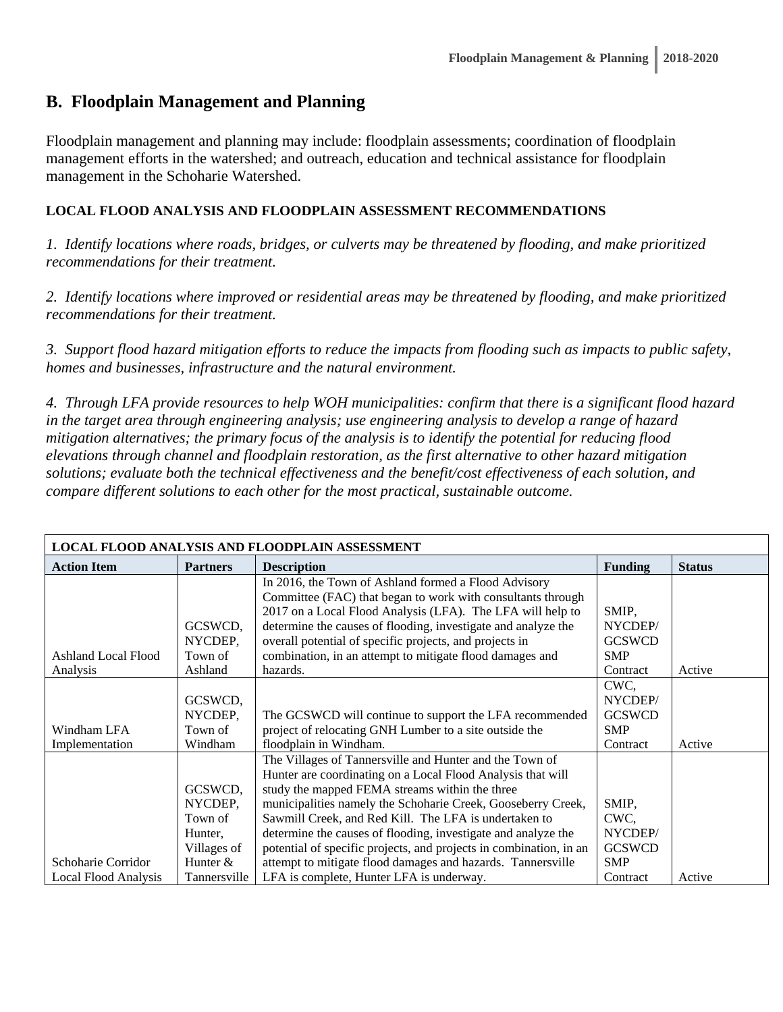### **B. Floodplain Management and Planning**

Floodplain management and planning may include: floodplain assessments; coordination of floodplain management efforts in the watershed; and outreach, education and technical assistance for floodplain management in the Schoharie Watershed.

#### **LOCAL FLOOD ANALYSIS AND FLOODPLAIN ASSESSMENT RECOMMENDATIONS**

*1. Identify locations where roads, bridges, or culverts may be threatened by flooding, and make prioritized recommendations for their treatment.* 

*2. Identify locations where improved or residential areas may be threatened by flooding, and make prioritized recommendations for their treatment.* 

*3. Support flood hazard mitigation efforts to reduce the impacts from flooding such as impacts to public safety, homes and businesses, infrastructure and the natural environment.* 

*4. Through LFA provide resources to help WOH municipalities: confirm that there is a significant flood hazard in the target area through engineering analysis; use engineering analysis to develop a range of hazard mitigation alternatives; the primary focus of the analysis is to identify the potential for reducing flood elevations through channel and floodplain restoration, as the first alternative to other hazard mitigation solutions; evaluate both the technical effectiveness and the benefit/cost effectiveness of each solution, and compare different solutions to each other for the most practical, sustainable outcome.* 

| LOCAL FLOOD ANALYSIS AND FLOODPLAIN ASSESSMENT |                 |                                                                    |                |               |  |  |
|------------------------------------------------|-----------------|--------------------------------------------------------------------|----------------|---------------|--|--|
| <b>Action Item</b>                             | <b>Partners</b> | <b>Description</b>                                                 | <b>Funding</b> | <b>Status</b> |  |  |
|                                                |                 | In 2016, the Town of Ashland formed a Flood Advisory               |                |               |  |  |
|                                                |                 | Committee (FAC) that began to work with consultants through        |                |               |  |  |
|                                                |                 | 2017 on a Local Flood Analysis (LFA). The LFA will help to         | SMIP,          |               |  |  |
|                                                | GCSWCD,         | determine the causes of flooding, investigate and analyze the      | NYCDEP/        |               |  |  |
|                                                | NYCDEP,         | overall potential of specific projects, and projects in            | <b>GCSWCD</b>  |               |  |  |
| <b>Ashland Local Flood</b>                     | Town of         | combination, in an attempt to mitigate flood damages and           | <b>SMP</b>     |               |  |  |
| Analysis                                       | Ashland         | hazards.                                                           | Contract       | Active        |  |  |
|                                                |                 |                                                                    | CWC,           |               |  |  |
|                                                | GCSWCD,         |                                                                    | NYCDEP/        |               |  |  |
|                                                | NYCDEP,         | The GCSWCD will continue to support the LFA recommended            | <b>GCSWCD</b>  |               |  |  |
| Windham LFA                                    | Town of         | project of relocating GNH Lumber to a site outside the             | <b>SMP</b>     |               |  |  |
| Implementation                                 | Windham         | floodplain in Windham.                                             | Contract       | Active        |  |  |
|                                                |                 | The Villages of Tannersville and Hunter and the Town of            |                |               |  |  |
|                                                |                 | Hunter are coordinating on a Local Flood Analysis that will        |                |               |  |  |
|                                                | GCSWCD,         | study the mapped FEMA streams within the three                     |                |               |  |  |
|                                                | NYCDEP,         | municipalities namely the Schoharie Creek, Gooseberry Creek,       | SMIP,          |               |  |  |
|                                                | Town of         | Sawmill Creek, and Red Kill. The LFA is undertaken to              | CWC,           |               |  |  |
|                                                | Hunter,         | determine the causes of flooding, investigate and analyze the      | NYCDEP/        |               |  |  |
|                                                | Villages of     | potential of specific projects, and projects in combination, in an | <b>GCSWCD</b>  |               |  |  |
| Schoharie Corridor                             | Hunter $&$      | attempt to mitigate flood damages and hazards. Tannersville        | <b>SMP</b>     |               |  |  |
| Local Flood Analysis                           | Tannersville    | LFA is complete, Hunter LFA is underway.                           | Contract       | Active        |  |  |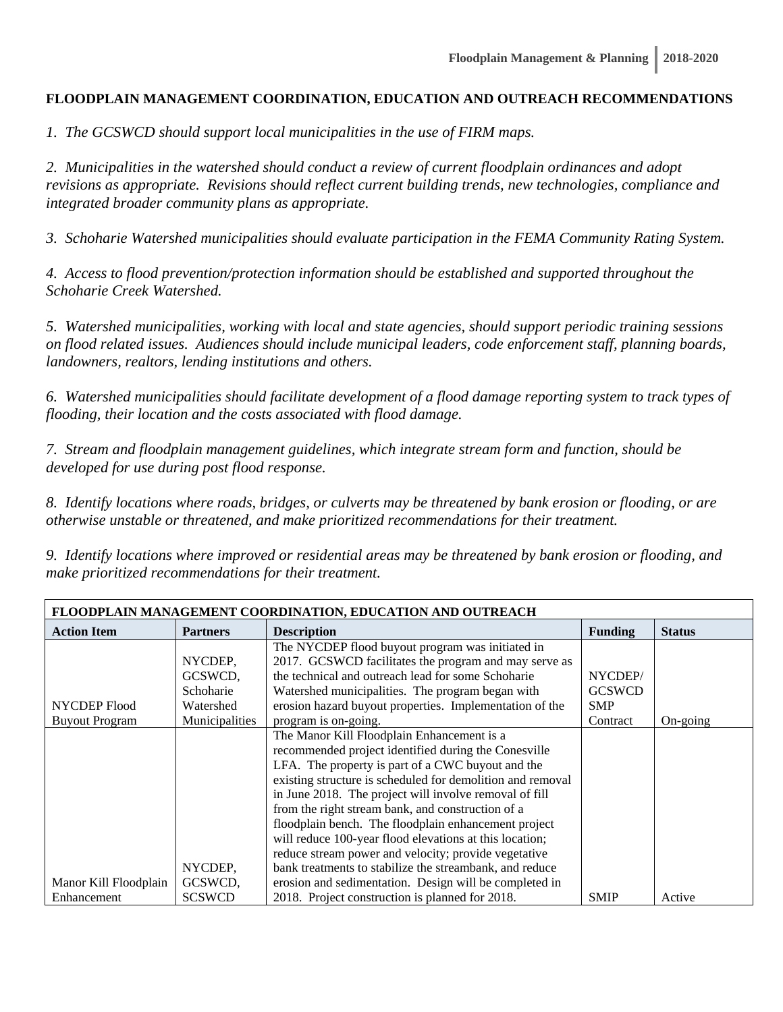#### **FLOODPLAIN MANAGEMENT COORDINATION, EDUCATION AND OUTREACH RECOMMENDATIONS**

*1. The GCSWCD should support local municipalities in the use of FIRM maps.* 

*2. Municipalities in the watershed should conduct a review of current floodplain ordinances and adopt revisions as appropriate. Revisions should reflect current building trends, new technologies, compliance and integrated broader community plans as appropriate.* 

*3. Schoharie Watershed municipalities should evaluate participation in the FEMA Community Rating System.* 

*4. Access to flood prevention/protection information should be established and supported throughout the Schoharie Creek Watershed.* 

*5. Watershed municipalities, working with local and state agencies, should support periodic training sessions on flood related issues. Audiences should include municipal leaders, code enforcement staff, planning boards, landowners, realtors, lending institutions and others.* 

*6. Watershed municipalities should facilitate development of a flood damage reporting system to track types of flooding, their location and the costs associated with flood damage.* 

*7. Stream and floodplain management guidelines, which integrate stream form and function, should be developed for use during post flood response.* 

*8. Identify locations where roads, bridges, or culverts may be threatened by bank erosion or flooding, or are otherwise unstable or threatened, and make prioritized recommendations for their treatment.* 

*9. Identify locations where improved or residential areas may be threatened by bank erosion or flooding, and make prioritized recommendations for their treatment.* 

| FLOODPLAIN MANAGEMENT COORDINATION, EDUCATION AND OUTREACH |                 |                                                            |                |               |  |  |
|------------------------------------------------------------|-----------------|------------------------------------------------------------|----------------|---------------|--|--|
| <b>Action Item</b>                                         | <b>Partners</b> | <b>Description</b>                                         | <b>Funding</b> | <b>Status</b> |  |  |
|                                                            |                 | The NYCDEP flood buyout program was initiated in           |                |               |  |  |
|                                                            | NYCDEP.         | 2017. GCSWCD facilitates the program and may serve as      |                |               |  |  |
|                                                            | GCSWCD,         | the technical and outreach lead for some Schoharie         | NYCDEP/        |               |  |  |
|                                                            | Schoharie       | Watershed municipalities. The program began with           | <b>GCSWCD</b>  |               |  |  |
| NYCDEP Flood                                               | Watershed       | erosion hazard buyout properties. Implementation of the    | <b>SMP</b>     |               |  |  |
| <b>Buyout Program</b>                                      | Municipalities  | program is on-going.                                       | Contract       | On-going      |  |  |
|                                                            |                 | The Manor Kill Floodplain Enhancement is a                 |                |               |  |  |
|                                                            |                 | recommended project identified during the Conesville       |                |               |  |  |
|                                                            |                 | LFA. The property is part of a CWC buyout and the          |                |               |  |  |
|                                                            |                 | existing structure is scheduled for demolition and removal |                |               |  |  |
|                                                            |                 | in June 2018. The project will involve removal of fill     |                |               |  |  |
|                                                            |                 | from the right stream bank, and construction of a          |                |               |  |  |
|                                                            |                 | floodplain bench. The floodplain enhancement project       |                |               |  |  |
|                                                            |                 | will reduce 100-year flood elevations at this location;    |                |               |  |  |
|                                                            |                 | reduce stream power and velocity; provide vegetative       |                |               |  |  |
|                                                            | NYCDEP,         | bank treatments to stabilize the streambank, and reduce    |                |               |  |  |
| Manor Kill Floodplain                                      | GCSWCD,         | erosion and sedimentation. Design will be completed in     |                |               |  |  |
| Enhancement                                                | <b>SCSWCD</b>   | 2018. Project construction is planned for 2018.            | <b>SMIP</b>    | Active        |  |  |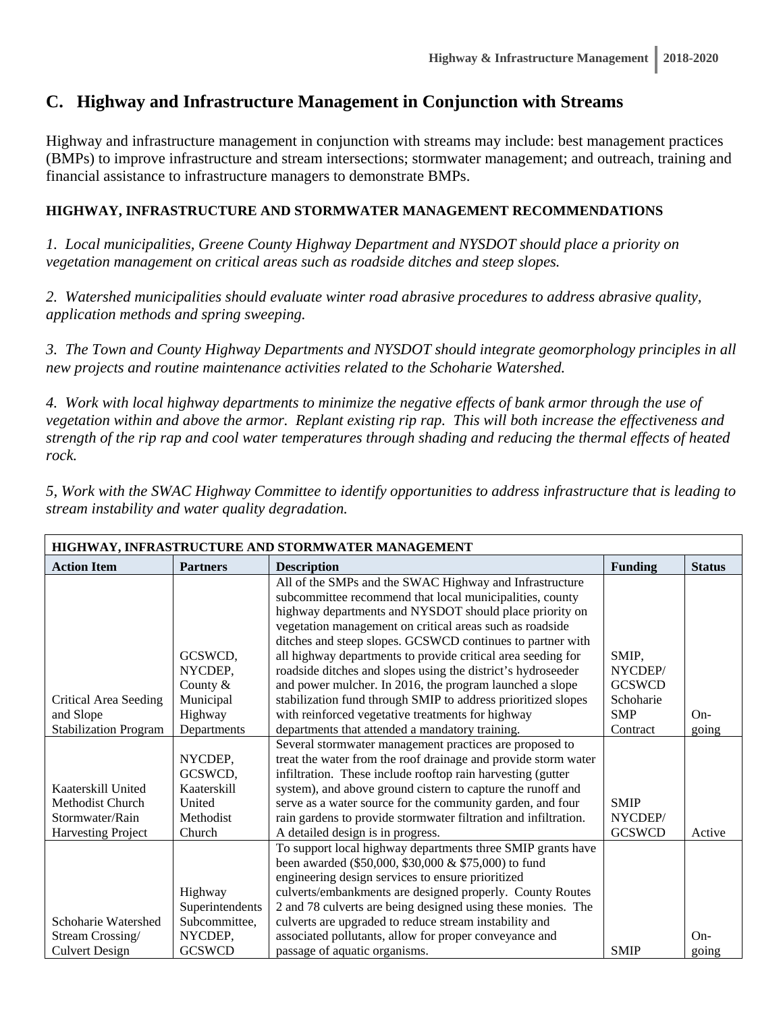# **C. Highway and Infrastructure Management in Conjunction with Streams**

Highway and infrastructure management in conjunction with streams may include: best management practices (BMPs) to improve infrastructure and stream intersections; stormwater management; and outreach, training and financial assistance to infrastructure managers to demonstrate BMPs.

#### **HIGHWAY, INFRASTRUCTURE AND STORMWATER MANAGEMENT RECOMMENDATIONS**

*1. Local municipalities, Greene County Highway Department and NYSDOT should place a priority on vegetation management on critical areas such as roadside ditches and steep slopes.* 

*2. Watershed municipalities should evaluate winter road abrasive procedures to address abrasive quality, application methods and spring sweeping.* 

*3. The Town and County Highway Departments and NYSDOT should integrate geomorphology principles in all new projects and routine maintenance activities related to the Schoharie Watershed.* 

*4. Work with local highway departments to minimize the negative effects of bank armor through the use of vegetation within and above the armor. Replant existing rip rap. This will both increase the effectiveness and strength of the rip rap and cool water temperatures through shading and reducing the thermal effects of heated rock.* 

*5, Work with the SWAC Highway Committee to identify opportunities to address infrastructure that is leading to stream instability and water quality degradation.* 

| HIGHWAY, INFRASTRUCTURE AND STORMWATER MANAGEMENT |                 |                                                                 |                |               |  |  |
|---------------------------------------------------|-----------------|-----------------------------------------------------------------|----------------|---------------|--|--|
| <b>Action Item</b>                                | <b>Partners</b> | <b>Description</b>                                              | <b>Funding</b> | <b>Status</b> |  |  |
|                                                   |                 | All of the SMPs and the SWAC Highway and Infrastructure         |                |               |  |  |
|                                                   |                 | subcommittee recommend that local municipalities, county        |                |               |  |  |
|                                                   |                 | highway departments and NYSDOT should place priority on         |                |               |  |  |
|                                                   |                 | vegetation management on critical areas such as roadside        |                |               |  |  |
|                                                   |                 | ditches and steep slopes. GCSWCD continues to partner with      |                |               |  |  |
|                                                   | GCSWCD,         | all highway departments to provide critical area seeding for    | SMIP,          |               |  |  |
|                                                   | NYCDEP,         | roadside ditches and slopes using the district's hydroseeder    | NYCDEP/        |               |  |  |
|                                                   | County $&$      | and power mulcher. In 2016, the program launched a slope        | <b>GCSWCD</b>  |               |  |  |
| <b>Critical Area Seeding</b>                      | Municipal       | stabilization fund through SMIP to address prioritized slopes   | Schoharie      |               |  |  |
| and Slope                                         | Highway         | with reinforced vegetative treatments for highway               | <b>SMP</b>     | $On-$         |  |  |
| <b>Stabilization Program</b>                      | Departments     | departments that attended a mandatory training.                 | Contract       | going         |  |  |
|                                                   |                 | Several stormwater management practices are proposed to         |                |               |  |  |
|                                                   | NYCDEP,         | treat the water from the roof drainage and provide storm water  |                |               |  |  |
|                                                   | GCSWCD,         | infiltration. These include rooftop rain harvesting (gutter     |                |               |  |  |
| Kaaterskill United                                | Kaaterskill     | system), and above ground cistern to capture the runoff and     |                |               |  |  |
| <b>Methodist Church</b>                           | United          | serve as a water source for the community garden, and four      | <b>SMIP</b>    |               |  |  |
| Stormwater/Rain                                   | Methodist       | rain gardens to provide stormwater filtration and infiltration. | NYCDEP/        |               |  |  |
| Harvesting Project                                | Church          | A detailed design is in progress.                               | <b>GCSWCD</b>  | Active        |  |  |
|                                                   |                 | To support local highway departments three SMIP grants have     |                |               |  |  |
|                                                   |                 | been awarded (\$50,000, \$30,000 & \$75,000) to fund            |                |               |  |  |
|                                                   |                 | engineering design services to ensure prioritized               |                |               |  |  |
|                                                   | Highway         | culverts/embankments are designed properly. County Routes       |                |               |  |  |
|                                                   | Superintendents | 2 and 78 culverts are being designed using these monies. The    |                |               |  |  |
| Schoharie Watershed                               | Subcommittee,   | culverts are upgraded to reduce stream instability and          |                |               |  |  |
| Stream Crossing/                                  | NYCDEP,         | associated pollutants, allow for proper conveyance and          |                | $On-$         |  |  |
| <b>Culvert Design</b>                             | <b>GCSWCD</b>   | passage of aquatic organisms.                                   | <b>SMIP</b>    | going         |  |  |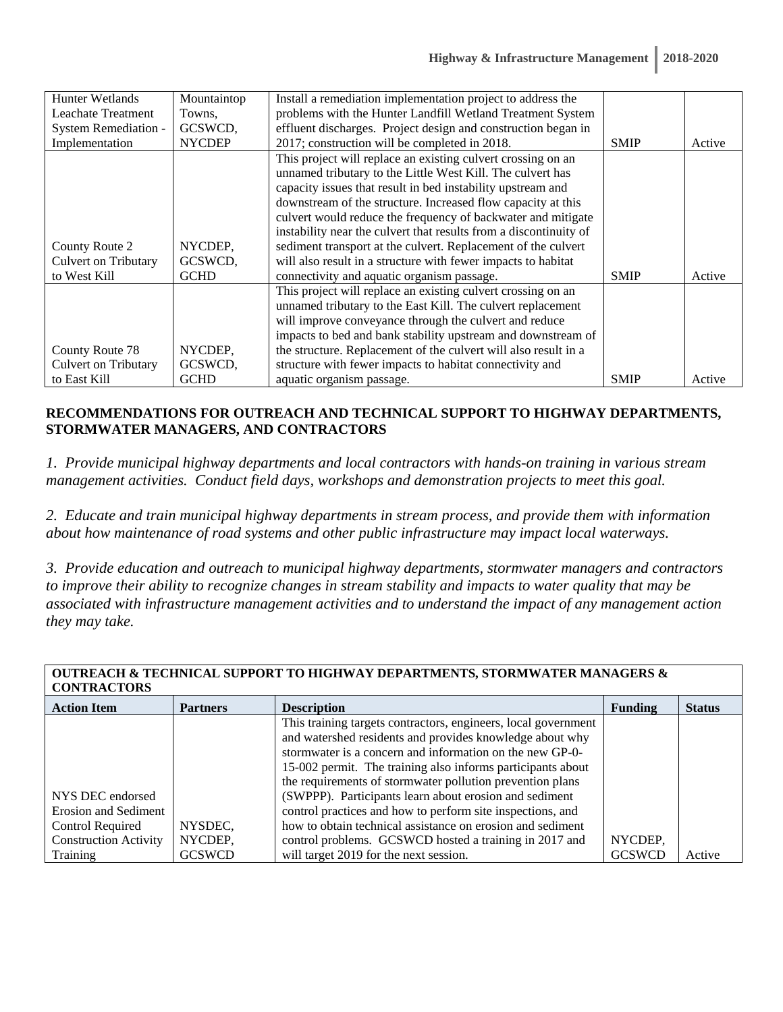| Hunter Wetlands           | Mountaintop   | Install a remediation implementation project to address the       |             |        |
|---------------------------|---------------|-------------------------------------------------------------------|-------------|--------|
| <b>Leachate Treatment</b> | Towns.        | problems with the Hunter Landfill Wetland Treatment System        |             |        |
| System Remediation -      | GCSWCD,       | effluent discharges. Project design and construction began in     |             |        |
| Implementation            | <b>NYCDEP</b> | 2017; construction will be completed in 2018.                     | <b>SMIP</b> | Active |
|                           |               | This project will replace an existing culvert crossing on an      |             |        |
|                           |               | unnamed tributary to the Little West Kill. The culvert has        |             |        |
|                           |               | capacity issues that result in bed instability upstream and       |             |        |
|                           |               | downstream of the structure. Increased flow capacity at this      |             |        |
|                           |               | culvert would reduce the frequency of backwater and mitigate      |             |        |
|                           |               | instability near the culvert that results from a discontinuity of |             |        |
| County Route 2            | NYCDEP,       | sediment transport at the culvert. Replacement of the culvert     |             |        |
| Culvert on Tributary      | GCSWCD,       | will also result in a structure with fewer impacts to habitat     |             |        |
| to West Kill              | <b>GCHD</b>   | connectivity and aquatic organism passage.                        | <b>SMIP</b> | Active |
|                           |               | This project will replace an existing culvert crossing on an      |             |        |
|                           |               | unnamed tributary to the East Kill. The culvert replacement       |             |        |
|                           |               | will improve conveyance through the culvert and reduce            |             |        |
|                           |               | impacts to bed and bank stability upstream and downstream of      |             |        |
| County Route 78           | NYCDEP,       | the structure. Replacement of the culvert will also result in a   |             |        |
| Culvert on Tributary      | GCSWCD,       | structure with fewer impacts to habitat connectivity and          |             |        |
| to East Kill              | <b>GCHD</b>   | aquatic organism passage.                                         | <b>SMIP</b> | Active |

#### **RECOMMENDATIONS FOR OUTREACH AND TECHNICAL SUPPORT TO HIGHWAY DEPARTMENTS, STORMWATER MANAGERS, AND CONTRACTORS**

*1. Provide municipal highway departments and local contractors with hands-on training in various stream management activities. Conduct field days, workshops and demonstration projects to meet this goal.* 

*2. Educate and train municipal highway departments in stream process, and provide them with information about how maintenance of road systems and other public infrastructure may impact local waterways.* 

*3. Provide education and outreach to municipal highway departments, stormwater managers and contractors to improve their ability to recognize changes in stream stability and impacts to water quality that may be associated with infrastructure management activities and to understand the impact of any management action they may take.* 

| UUTKEAUN & TEUNIUAL SUPPUKT TU NIGNWAT DEPAKTMENTS, STUKMWATEK MANAGEKS &<br><b>CONTRACTORS</b> |                 |                                                                |                |               |  |
|-------------------------------------------------------------------------------------------------|-----------------|----------------------------------------------------------------|----------------|---------------|--|
| <b>Action Item</b>                                                                              | <b>Partners</b> | <b>Description</b>                                             | <b>Funding</b> | <b>Status</b> |  |
|                                                                                                 |                 | This training targets contractors, engineers, local government |                |               |  |
|                                                                                                 |                 | and watershed residents and provides knowledge about why       |                |               |  |
|                                                                                                 |                 | stormwater is a concern and information on the new GP-0-       |                |               |  |
|                                                                                                 |                 | 15-002 permit. The training also informs participants about    |                |               |  |
|                                                                                                 |                 | the requirements of stormwater pollution prevention plans      |                |               |  |
| NYS DEC endorsed                                                                                |                 | (SWPPP). Participants learn about erosion and sediment         |                |               |  |
| Erosion and Sediment                                                                            |                 | control practices and how to perform site inspections, and     |                |               |  |
| Control Required                                                                                | NYSDEC,         | how to obtain technical assistance on erosion and sediment     |                |               |  |
| <b>Construction Activity</b>                                                                    | NYCDEP,         | control problems. GCSWCD hosted a training in 2017 and         | NYCDEP,        |               |  |
| Training                                                                                        | <b>GCSWCD</b>   | will target 2019 for the next session.                         | <b>GCSWCD</b>  | Active        |  |

# **OUTREACH & TECHNICAL SUPPORT TO HIGHWAY DEPARTMENTS, STORMWATER MANAGERS &**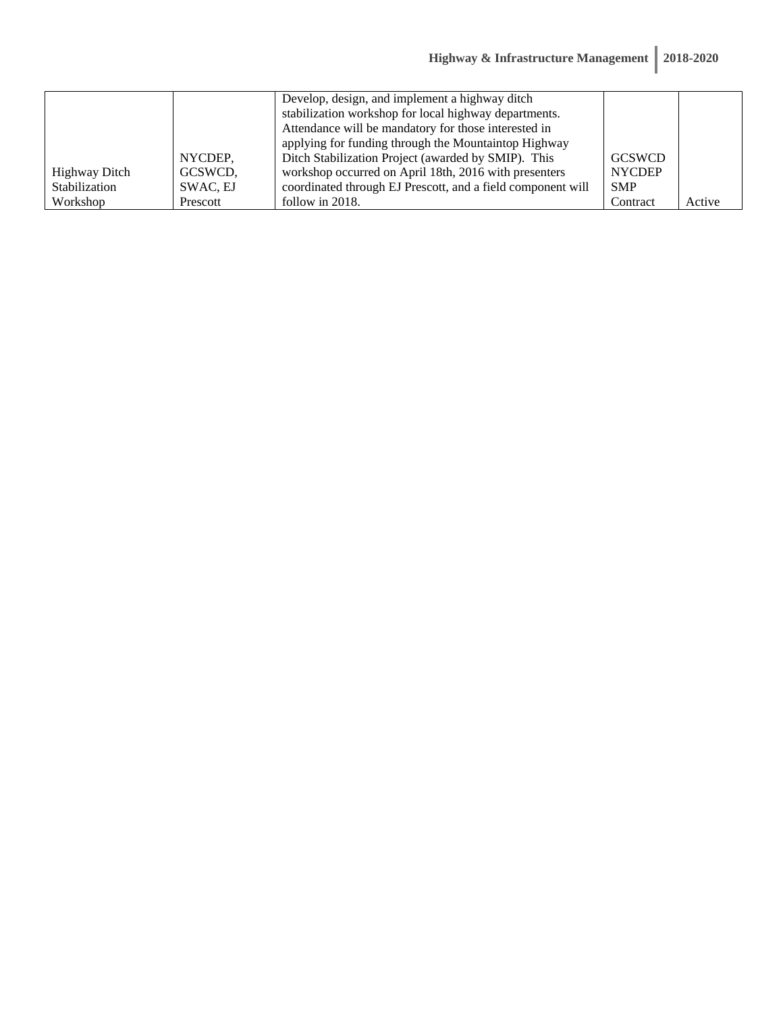|               |          | Develop, design, and implement a highway ditch              |               |        |
|---------------|----------|-------------------------------------------------------------|---------------|--------|
|               |          | stabilization workshop for local highway departments.       |               |        |
|               |          | Attendance will be mandatory for those interested in        |               |        |
|               |          | applying for funding through the Mountaintop Highway        |               |        |
|               | NYCDEP.  | Ditch Stabilization Project (awarded by SMIP). This         | <b>GCSWCD</b> |        |
| Highway Ditch | GCSWCD.  | workshop occurred on April 18th, 2016 with presenters       | <b>NYCDEP</b> |        |
| Stabilization | SWAC, EJ | coordinated through EJ Prescott, and a field component will | <b>SMP</b>    |        |
| Workshop      | Prescott | follow in 2018.                                             | Contract      | Active |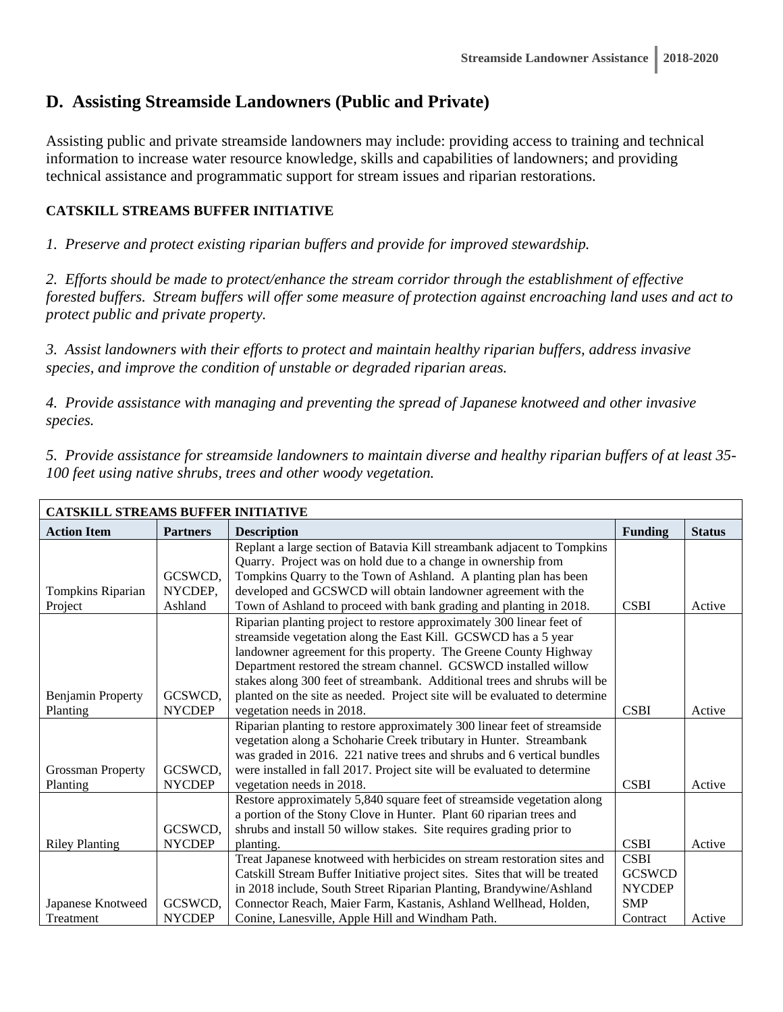# **D. Assisting Streamside Landowners (Public and Private)**

Assisting public and private streamside landowners may include: providing access to training and technical information to increase water resource knowledge, skills and capabilities of landowners; and providing technical assistance and programmatic support for stream issues and riparian restorations.

#### **CATSKILL STREAMS BUFFER INITIATIVE**

*1. Preserve and protect existing riparian buffers and provide for improved stewardship.* 

*2. Efforts should be made to protect/enhance the stream corridor through the establishment of effective forested buffers. Stream buffers will offer some measure of protection against encroaching land uses and act to protect public and private property.* 

*3. Assist landowners with their efforts to protect and maintain healthy riparian buffers, address invasive species, and improve the condition of unstable or degraded riparian areas.* 

*4. Provide assistance with managing and preventing the spread of Japanese knotweed and other invasive species.* 

*5. Provide assistance for streamside landowners to maintain diverse and healthy riparian buffers of at least 35- 100 feet using native shrubs, trees and other woody vegetation.* 

| <b>CATSKILL STREAMS BUFFER INITIATIVE</b> |                 |                                                                             |                |               |  |  |
|-------------------------------------------|-----------------|-----------------------------------------------------------------------------|----------------|---------------|--|--|
| <b>Action Item</b>                        | <b>Partners</b> | <b>Description</b>                                                          | <b>Funding</b> | <b>Status</b> |  |  |
|                                           |                 | Replant a large section of Batavia Kill streambank adjacent to Tompkins     |                |               |  |  |
|                                           |                 | Quarry. Project was on hold due to a change in ownership from               |                |               |  |  |
|                                           | GCSWCD.         | Tompkins Quarry to the Town of Ashland. A planting plan has been            |                |               |  |  |
| Tompkins Riparian                         | NYCDEP,         | developed and GCSWCD will obtain landowner agreement with the               |                |               |  |  |
| Project                                   | Ashland         | Town of Ashland to proceed with bank grading and planting in 2018.          | <b>CSBI</b>    | Active        |  |  |
|                                           |                 | Riparian planting project to restore approximately 300 linear feet of       |                |               |  |  |
|                                           |                 | streamside vegetation along the East Kill. GCSWCD has a 5 year              |                |               |  |  |
|                                           |                 | landowner agreement for this property. The Greene County Highway            |                |               |  |  |
|                                           |                 | Department restored the stream channel. GCSWCD installed willow             |                |               |  |  |
|                                           |                 | stakes along 300 feet of streambank. Additional trees and shrubs will be    |                |               |  |  |
| <b>Benjamin Property</b>                  | GCSWCD,         | planted on the site as needed. Project site will be evaluated to determine  |                |               |  |  |
| Planting                                  | <b>NYCDEP</b>   | vegetation needs in 2018.                                                   | <b>CSBI</b>    | Active        |  |  |
|                                           |                 | Riparian planting to restore approximately 300 linear feet of streamside    |                |               |  |  |
|                                           |                 | vegetation along a Schoharie Creek tributary in Hunter. Streambank          |                |               |  |  |
|                                           |                 | was graded in 2016. 221 native trees and shrubs and 6 vertical bundles      |                |               |  |  |
| <b>Grossman Property</b>                  | GCSWCD,         | were installed in fall 2017. Project site will be evaluated to determine    |                |               |  |  |
| Planting                                  | <b>NYCDEP</b>   | vegetation needs in 2018.                                                   | <b>CSBI</b>    | Active        |  |  |
|                                           |                 | Restore approximately 5,840 square feet of streamside vegetation along      |                |               |  |  |
|                                           |                 | a portion of the Stony Clove in Hunter. Plant 60 riparian trees and         |                |               |  |  |
|                                           | GCSWCD,         | shrubs and install 50 willow stakes. Site requires grading prior to         |                |               |  |  |
| <b>Riley Planting</b>                     | <b>NYCDEP</b>   | planting.                                                                   | <b>CSBI</b>    | Active        |  |  |
|                                           |                 | Treat Japanese knotweed with herbicides on stream restoration sites and     | <b>CSBI</b>    |               |  |  |
|                                           |                 | Catskill Stream Buffer Initiative project sites. Sites that will be treated | <b>GCSWCD</b>  |               |  |  |
|                                           |                 | in 2018 include, South Street Riparian Planting, Brandywine/Ashland         | <b>NYCDEP</b>  |               |  |  |
| Japanese Knotweed                         | GCSWCD,         | Connector Reach, Maier Farm, Kastanis, Ashland Wellhead, Holden,            | <b>SMP</b>     |               |  |  |
| Treatment                                 | <b>NYCDEP</b>   | Conine, Lanesville, Apple Hill and Windham Path.                            | Contract       | Active        |  |  |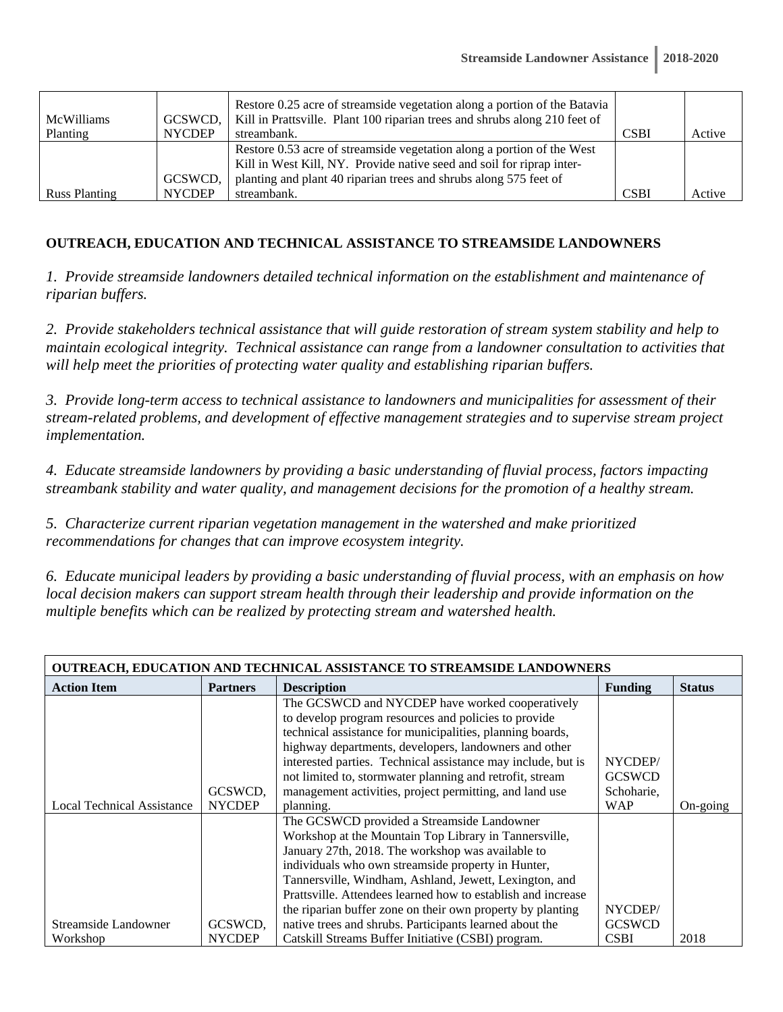| <b>McWilliams</b>    | GCSWCD,       | Restore 0.25 acre of streamside vegetation along a portion of the Batavia<br>Kill in Prattsville. Plant 100 riparian trees and shrubs along 210 feet of |             |        |
|----------------------|---------------|---------------------------------------------------------------------------------------------------------------------------------------------------------|-------------|--------|
| Planting             | <b>NYCDEP</b> | streambank.                                                                                                                                             | <b>CSBI</b> | Active |
|                      |               | Restore 0.53 acre of streamside vegetation along a portion of the West<br>Kill in West Kill, NY. Provide native seed and soil for riprap inter-         |             |        |
|                      | GCSWCD,       | planting and plant 40 riparian trees and shrubs along 575 feet of                                                                                       |             |        |
| <b>Russ Planting</b> | <b>NYCDEP</b> | streambank.                                                                                                                                             | <b>CSBI</b> | Active |

#### **OUTREACH, EDUCATION AND TECHNICAL ASSISTANCE TO STREAMSIDE LANDOWNERS**

*1. Provide streamside landowners detailed technical information on the establishment and maintenance of riparian buffers.* 

*2. Provide stakeholders technical assistance that will guide restoration of stream system stability and help to maintain ecological integrity. Technical assistance can range from a landowner consultation to activities that will help meet the priorities of protecting water quality and establishing riparian buffers.* 

*3. Provide long-term access to technical assistance to landowners and municipalities for assessment of their stream-related problems, and development of effective management strategies and to supervise stream project implementation.* 

*4. Educate streamside landowners by providing a basic understanding of fluvial process, factors impacting streambank stability and water quality, and management decisions for the promotion of a healthy stream.* 

*5. Characterize current riparian vegetation management in the watershed and make prioritized recommendations for changes that can improve ecosystem integrity.* 

*6. Educate municipal leaders by providing a basic understanding of fluvial process, with an emphasis on how local decision makers can support stream health through their leadership and provide information on the multiple benefits which can be realized by protecting stream and watershed health.* 

| <b>OUTREACH, EDUCATION AND TECHNICAL ASSISTANCE TO STREAMSIDE LANDOWNERS</b> |                 |                                                              |                |               |  |  |
|------------------------------------------------------------------------------|-----------------|--------------------------------------------------------------|----------------|---------------|--|--|
| <b>Action Item</b>                                                           | <b>Partners</b> | <b>Description</b>                                           | <b>Funding</b> | <b>Status</b> |  |  |
|                                                                              |                 | The GCSWCD and NYCDEP have worked cooperatively              |                |               |  |  |
|                                                                              |                 | to develop program resources and policies to provide         |                |               |  |  |
|                                                                              |                 | technical assistance for municipalities, planning boards,    |                |               |  |  |
|                                                                              |                 | highway departments, developers, landowners and other        |                |               |  |  |
|                                                                              |                 | interested parties. Technical assistance may include, but is | NYCDEP/        |               |  |  |
|                                                                              |                 | not limited to, stormwater planning and retrofit, stream     | <b>GCSWCD</b>  |               |  |  |
|                                                                              | GCSWCD,         | management activities, project permitting, and land use      | Schoharie,     |               |  |  |
| Local Technical Assistance                                                   | <b>NYCDEP</b>   | planning.                                                    | <b>WAP</b>     | On-going      |  |  |
|                                                                              |                 | The GCSWCD provided a Streamside Landowner                   |                |               |  |  |
|                                                                              |                 | Workshop at the Mountain Top Library in Tannersville,        |                |               |  |  |
|                                                                              |                 | January 27th, 2018. The workshop was available to            |                |               |  |  |
|                                                                              |                 | individuals who own streamside property in Hunter,           |                |               |  |  |
|                                                                              |                 | Tannersville, Windham, Ashland, Jewett, Lexington, and       |                |               |  |  |
|                                                                              |                 | Prattsville. Attendees learned how to establish and increase |                |               |  |  |
|                                                                              |                 | the riparian buffer zone on their own property by planting   | NYCDEP/        |               |  |  |
| Streamside Landowner                                                         | GCSWCD,         | native trees and shrubs. Participants learned about the      | <b>GCSWCD</b>  |               |  |  |
| Workshop                                                                     | <b>NYCDEP</b>   | Catskill Streams Buffer Initiative (CSBI) program.           | <b>CSBI</b>    | 2018          |  |  |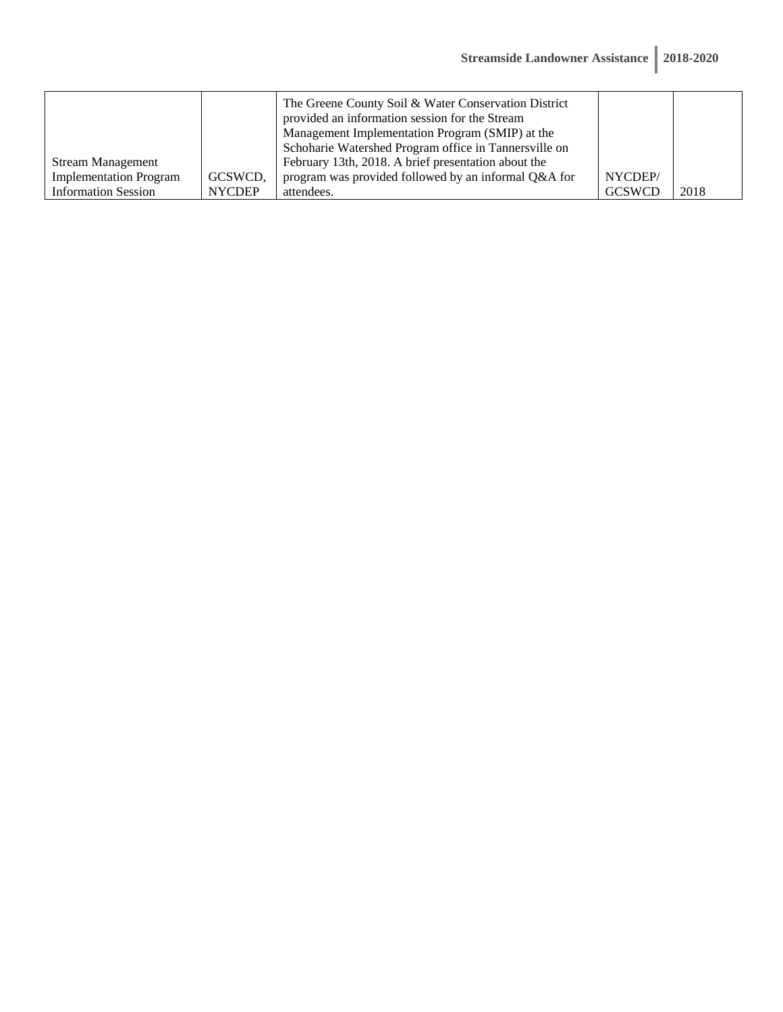|                               |               | The Greene County Soil & Water Conservation District<br>provided an information session for the Stream |               |      |
|-------------------------------|---------------|--------------------------------------------------------------------------------------------------------|---------------|------|
|                               |               | Management Implementation Program (SMIP) at the                                                        |               |      |
|                               |               | Schoharie Watershed Program office in Tannersville on                                                  |               |      |
| <b>Stream Management</b>      |               | February 13th, 2018. A brief presentation about the                                                    |               |      |
| <b>Implementation Program</b> | GCSWCD,       | program was provided followed by an informal Q&A for                                                   | NYCDEP/       |      |
| <b>Information Session</b>    | <b>NYCDEP</b> | attendees.                                                                                             | <b>GCSWCD</b> | 2018 |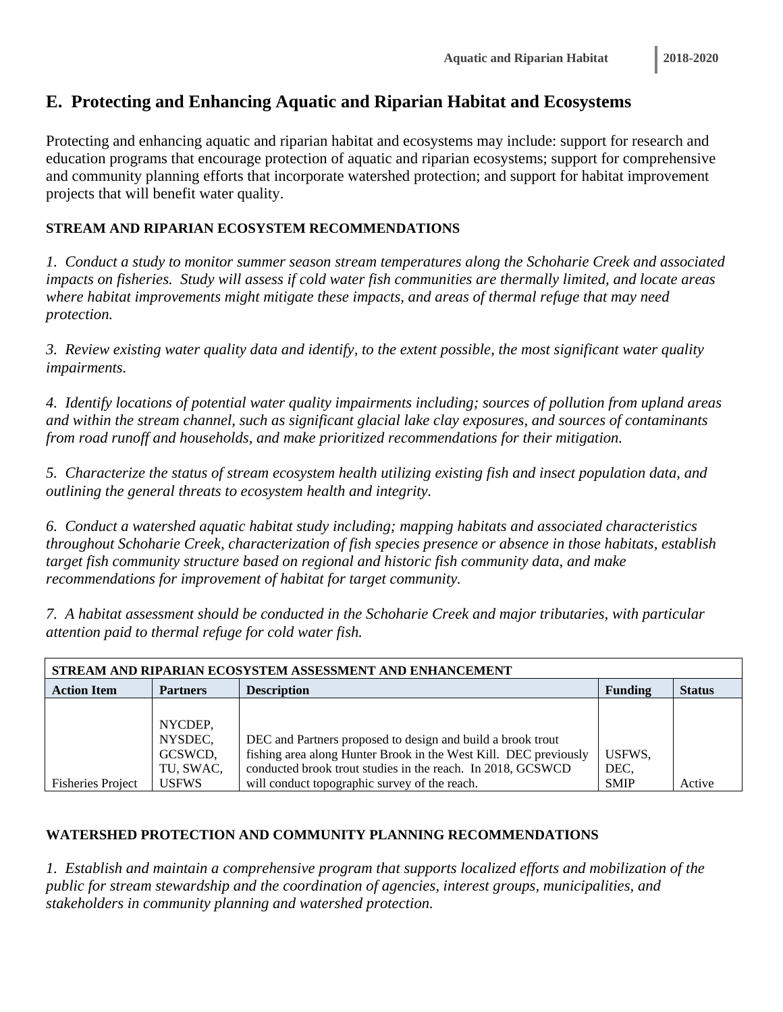# **E. Protecting and Enhancing Aquatic and Riparian Habitat and Ecosystems**

Protecting and enhancing aquatic and riparian habitat and ecosystems may include: support for research and education programs that encourage protection of aquatic and riparian ecosystems; support for comprehensive and community planning efforts that incorporate watershed protection; and support for habitat improvement projects that will benefit water quality.

### **STREAM AND RIPARIAN ECOSYSTEM RECOMMENDATIONS**

*1. Conduct a study to monitor summer season stream temperatures along the Schoharie Creek and associated impacts on fisheries. Study will assess if cold water fish communities are thermally limited, and locate areas where habitat improvements might mitigate these impacts, and areas of thermal refuge that may need protection.* 

*3. Review existing water quality data and identify, to the extent possible, the most significant water quality impairments.* 

*4. Identify locations of potential water quality impairments including; sources of pollution from upland areas and within the stream channel, such as significant glacial lake clay exposures, and sources of contaminants from road runoff and households, and make prioritized recommendations for their mitigation.* 

*5. Characterize the status of stream ecosystem health utilizing existing fish and insect population data, and outlining the general threats to ecosystem health and integrity.* 

*6. Conduct a watershed aquatic habitat study including; mapping habitats and associated characteristics throughout Schoharie Creek, characterization of fish species presence or absence in those habitats, establish target fish community structure based on regional and historic fish community data, and make recommendations for improvement of habitat for target community.* 

*7. A habitat assessment should be conducted in the Schoharie Creek and major tributaries, with particular attention paid to thermal refuge for cold water fish.* 

| STREAM AND RIPARIAN ECOSYSTEM ASSESSMENT AND ENHANCEMENT |                 |                                                                  |                |               |  |  |
|----------------------------------------------------------|-----------------|------------------------------------------------------------------|----------------|---------------|--|--|
| <b>Action Item</b>                                       | <b>Partners</b> | <b>Description</b>                                               | <b>Funding</b> | <b>Status</b> |  |  |
|                                                          |                 |                                                                  |                |               |  |  |
|                                                          | NYCDEP,         |                                                                  |                |               |  |  |
|                                                          | NYSDEC,         | DEC and Partners proposed to design and build a brook trout      |                |               |  |  |
|                                                          | GCSWCD,         | fishing area along Hunter Brook in the West Kill. DEC previously | USFWS.         |               |  |  |
|                                                          | TU, SWAC,       | conducted brook trout studies in the reach. In 2018, GCSWCD      | DEC,           |               |  |  |
| <b>Fisheries Project</b>                                 | <b>USFWS</b>    | will conduct topographic survey of the reach.                    | <b>SMIP</b>    | Active        |  |  |

#### **WATERSHED PROTECTION AND COMMUNITY PLANNING RECOMMENDATIONS**

*1. Establish and maintain a comprehensive program that supports localized efforts and mobilization of the public for stream stewardship and the coordination of agencies, interest groups, municipalities, and stakeholders in community planning and watershed protection.*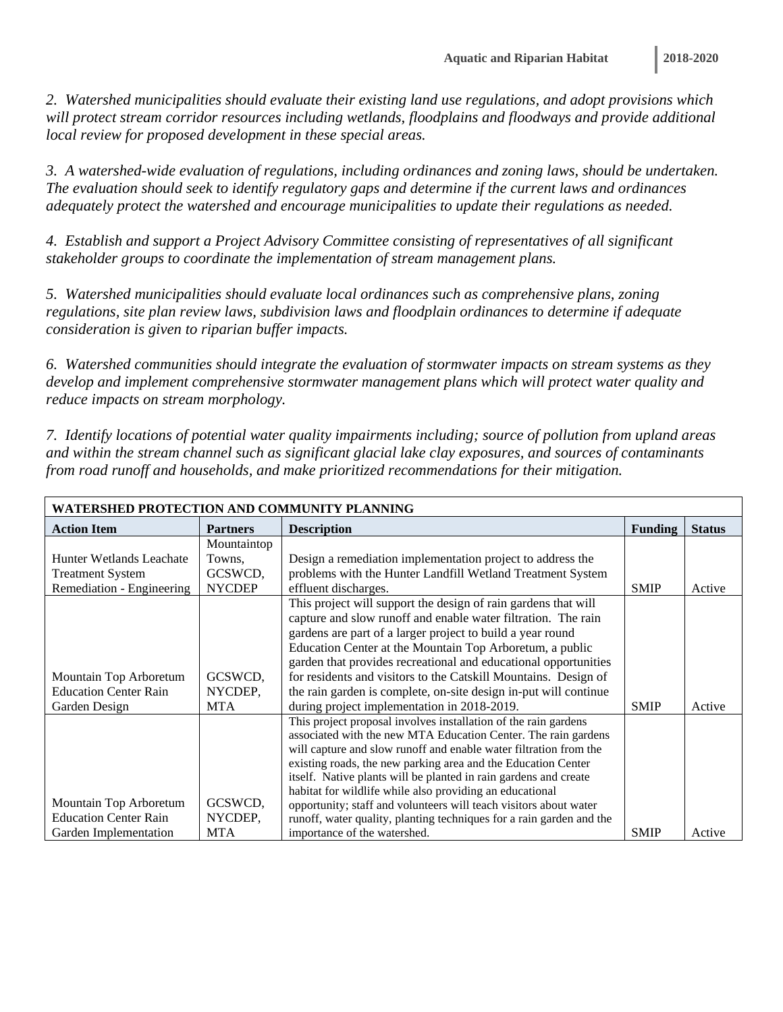*2. Watershed municipalities should evaluate their existing land use regulations, and adopt provisions which*  will protect stream corridor resources including wetlands, floodplains and floodways and provide additional *local review for proposed development in these special areas.* 

*3. A watershed-wide evaluation of regulations, including ordinances and zoning laws, should be undertaken. The evaluation should seek to identify regulatory gaps and determine if the current laws and ordinances adequately protect the watershed and encourage municipalities to update their regulations as needed.* 

*4. Establish and support a Project Advisory Committee consisting of representatives of all significant stakeholder groups to coordinate the implementation of stream management plans.* 

*5. Watershed municipalities should evaluate local ordinances such as comprehensive plans, zoning regulations, site plan review laws, subdivision laws and floodplain ordinances to determine if adequate consideration is given to riparian buffer impacts.* 

*6. Watershed communities should integrate the evaluation of stormwater impacts on stream systems as they develop and implement comprehensive stormwater management plans which will protect water quality and reduce impacts on stream morphology.* 

*7. Identify locations of potential water quality impairments including; source of pollution from upland areas and within the stream channel such as significant glacial lake clay exposures, and sources of contaminants from road runoff and households, and make prioritized recommendations for their mitigation.* 

| WATERSHED PROTECTION AND COMMUNITY PLANNING |                 |                                                                                                                        |                |               |  |
|---------------------------------------------|-----------------|------------------------------------------------------------------------------------------------------------------------|----------------|---------------|--|
| <b>Action Item</b>                          | <b>Partners</b> | <b>Description</b>                                                                                                     | <b>Funding</b> | <b>Status</b> |  |
|                                             | Mountaintop     |                                                                                                                        |                |               |  |
| Hunter Wetlands Leachate                    | Towns.          | Design a remediation implementation project to address the                                                             |                |               |  |
| <b>Treatment System</b>                     | GCSWCD,         | problems with the Hunter Landfill Wetland Treatment System                                                             |                |               |  |
| Remediation - Engineering                   | <b>NYCDEP</b>   | effluent discharges.                                                                                                   | <b>SMIP</b>    | Active        |  |
|                                             |                 | This project will support the design of rain gardens that will                                                         |                |               |  |
|                                             |                 | capture and slow runoff and enable water filtration. The rain                                                          |                |               |  |
|                                             |                 | gardens are part of a larger project to build a year round<br>Education Center at the Mountain Top Arboretum, a public |                |               |  |
|                                             |                 | garden that provides recreational and educational opportunities                                                        |                |               |  |
| Mountain Top Arboretum                      | GCSWCD,         | for residents and visitors to the Catskill Mountains. Design of                                                        |                |               |  |
| <b>Education Center Rain</b>                | NYCDEP,         | the rain garden is complete, on-site design in-put will continue                                                       |                |               |  |
| Garden Design                               | <b>MTA</b>      | during project implementation in 2018-2019.                                                                            | <b>SMIP</b>    | Active        |  |
|                                             |                 | This project proposal involves installation of the rain gardens                                                        |                |               |  |
|                                             |                 | associated with the new MTA Education Center. The rain gardens                                                         |                |               |  |
|                                             |                 | will capture and slow runoff and enable water filtration from the                                                      |                |               |  |
|                                             |                 | existing roads, the new parking area and the Education Center                                                          |                |               |  |
|                                             |                 | itself. Native plants will be planted in rain gardens and create                                                       |                |               |  |
|                                             |                 | habitat for wildlife while also providing an educational                                                               |                |               |  |
| Mountain Top Arboretum                      | GCSWCD,         | opportunity; staff and volunteers will teach visitors about water                                                      |                |               |  |
| <b>Education Center Rain</b>                | NYCDEP,         | runoff, water quality, planting techniques for a rain garden and the                                                   |                |               |  |
| Garden Implementation                       | MTA             | importance of the watershed.                                                                                           | <b>SMIP</b>    | Active        |  |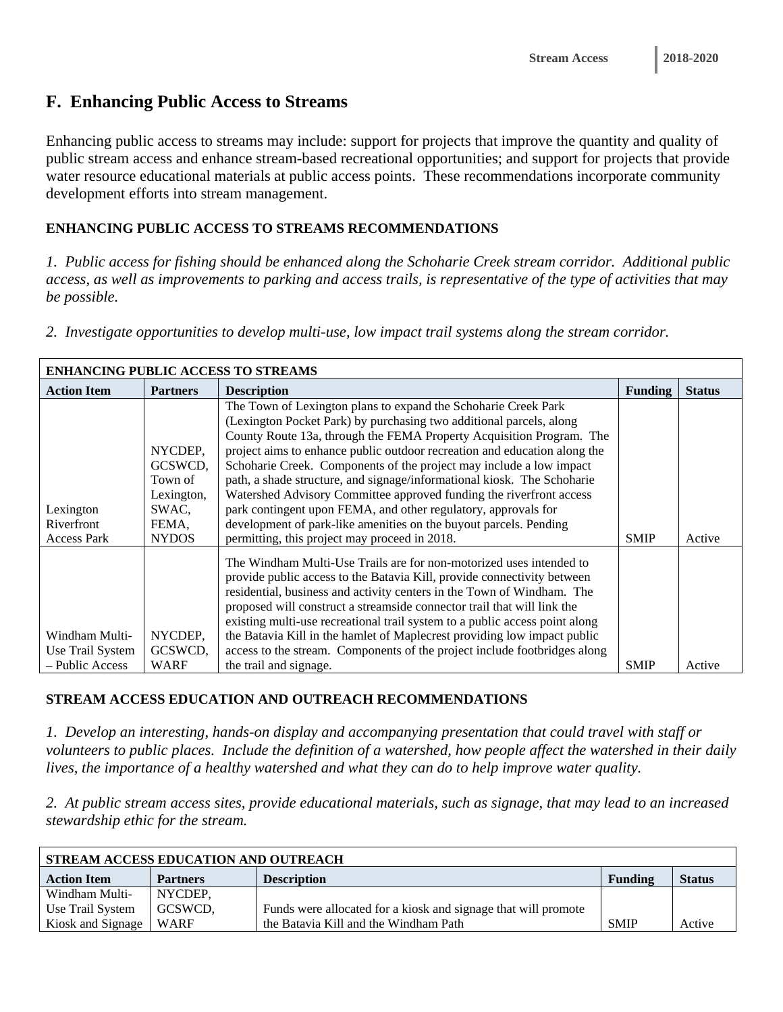### **F. Enhancing Public Access to Streams**

Enhancing public access to streams may include: support for projects that improve the quantity and quality of public stream access and enhance stream-based recreational opportunities; and support for projects that provide water resource educational materials at public access points. These recommendations incorporate community development efforts into stream management.

#### **ENHANCING PUBLIC ACCESS TO STREAMS RECOMMENDATIONS**

*1. Public access for fishing should be enhanced along the Schoharie Creek stream corridor. Additional public access, as well as improvements to parking and access trails, is representative of the type of activities that may be possible.* 

*2. Investigate opportunities to develop multi-use, low impact trail systems along the stream corridor.* 

| <b>ENHANCING PUBLIC ACCESS TO STREAMS</b>             |                                                                               |                                                                                                                                                                                                                                                                                                                                                                                                                                                                                                                                                                                                                                                                                                             |                |               |  |  |
|-------------------------------------------------------|-------------------------------------------------------------------------------|-------------------------------------------------------------------------------------------------------------------------------------------------------------------------------------------------------------------------------------------------------------------------------------------------------------------------------------------------------------------------------------------------------------------------------------------------------------------------------------------------------------------------------------------------------------------------------------------------------------------------------------------------------------------------------------------------------------|----------------|---------------|--|--|
| <b>Action Item</b>                                    | <b>Partners</b>                                                               | <b>Description</b>                                                                                                                                                                                                                                                                                                                                                                                                                                                                                                                                                                                                                                                                                          | <b>Funding</b> | <b>Status</b> |  |  |
| Lexington<br>Riverfront<br><b>Access Park</b>         | NYCDEP,<br>GCSWCD,<br>Town of<br>Lexington,<br>SWAC,<br>FEMA.<br><b>NYDOS</b> | The Town of Lexington plans to expand the Schoharie Creek Park<br>(Lexington Pocket Park) by purchasing two additional parcels, along<br>County Route 13a, through the FEMA Property Acquisition Program. The<br>project aims to enhance public outdoor recreation and education along the<br>Schoharie Creek. Components of the project may include a low impact<br>path, a shade structure, and signage/informational kiosk. The Schoharie<br>Watershed Advisory Committee approved funding the riverfront access<br>park contingent upon FEMA, and other regulatory, approvals for<br>development of park-like amenities on the buyout parcels. Pending<br>permitting, this project may proceed in 2018. | <b>SMIP</b>    | Active        |  |  |
| Windham Multi-<br>Use Trail System<br>- Public Access | NYCDEP,<br>GCSWCD,<br>WARF                                                    | The Windham Multi-Use Trails are for non-motorized uses intended to<br>provide public access to the Batavia Kill, provide connectivity between<br>residential, business and activity centers in the Town of Windham. The<br>proposed will construct a streamside connector trail that will link the<br>existing multi-use recreational trail system to a public access point along<br>the Batavia Kill in the hamlet of Maplecrest providing low impact public<br>access to the stream. Components of the project include footbridges along<br>the trail and signage.                                                                                                                                       | <b>SMIP</b>    | Active        |  |  |
|                                                       |                                                                               |                                                                                                                                                                                                                                                                                                                                                                                                                                                                                                                                                                                                                                                                                                             |                |               |  |  |

#### **STREAM ACCESS EDUCATION AND OUTREACH RECOMMENDATIONS**

*1. Develop an interesting, hands-on display and accompanying presentation that could travel with staff or volunteers to public places. Include the definition of a watershed, how people affect the watershed in their daily lives, the importance of a healthy watershed and what they can do to help improve water quality.* 

*2. At public stream access sites, provide educational materials, such as signage, that may lead to an increased stewardship ethic for the stream.* 

| STREAM ACCESS EDUCATION AND OUTREACH |                 |                                                                |             |               |  |  |
|--------------------------------------|-----------------|----------------------------------------------------------------|-------------|---------------|--|--|
| <b>Action Item</b>                   | <b>Partners</b> | <b>Description</b>                                             | Funding     | <b>Status</b> |  |  |
| Windham Multi-                       | NYCDEP,         |                                                                |             |               |  |  |
| Use Trail System                     | GCSWCD,         | Funds were allocated for a kiosk and signage that will promote |             |               |  |  |
| Kiosk and Signage                    | WARF            | the Batavia Kill and the Windham Path                          | <b>SMIP</b> | Active        |  |  |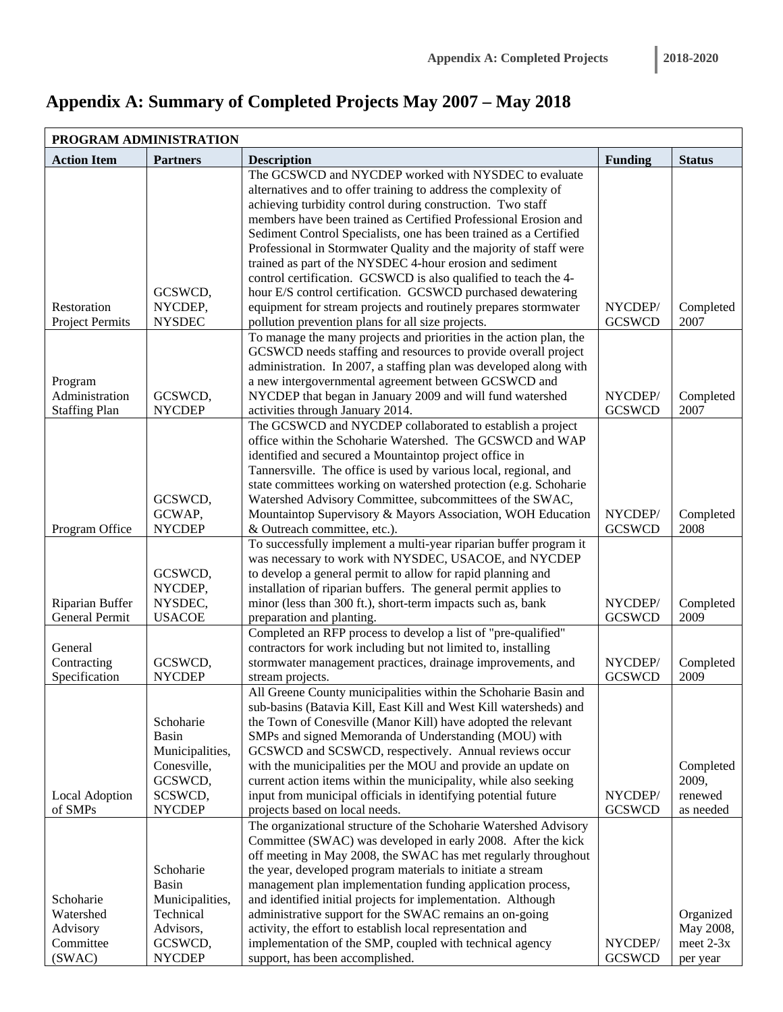# **Appendix A: Summary of Completed Projects May 2007 – May 2018**

|                        | PROGRAM ADMINISTRATION |                                                                    |                |               |
|------------------------|------------------------|--------------------------------------------------------------------|----------------|---------------|
| <b>Action Item</b>     | <b>Partners</b>        | <b>Description</b>                                                 | <b>Funding</b> | <b>Status</b> |
|                        |                        | The GCSWCD and NYCDEP worked with NYSDEC to evaluate               |                |               |
|                        |                        | alternatives and to offer training to address the complexity of    |                |               |
|                        |                        | achieving turbidity control during construction. Two staff         |                |               |
|                        |                        | members have been trained as Certified Professional Erosion and    |                |               |
|                        |                        | Sediment Control Specialists, one has been trained as a Certified  |                |               |
|                        |                        | Professional in Stormwater Quality and the majority of staff were  |                |               |
|                        |                        | trained as part of the NYSDEC 4-hour erosion and sediment          |                |               |
|                        |                        | control certification. GCSWCD is also qualified to teach the 4-    |                |               |
|                        | GCSWCD,                | hour E/S control certification. GCSWCD purchased dewatering        |                |               |
| Restoration            | NYCDEP,                | equipment for stream projects and routinely prepares stormwater    | NYCDEP/        | Completed     |
| <b>Project Permits</b> | <b>NYSDEC</b>          | pollution prevention plans for all size projects.                  | <b>GCSWCD</b>  | 2007          |
|                        |                        | To manage the many projects and priorities in the action plan, the |                |               |
|                        |                        | GCSWCD needs staffing and resources to provide overall project     |                |               |
|                        |                        | administration. In 2007, a staffing plan was developed along with  |                |               |
| Program                |                        | a new intergovernmental agreement between GCSWCD and               |                |               |
| Administration         | GCSWCD,                | NYCDEP that began in January 2009 and will fund watershed          | NYCDEP/        | Completed     |
| <b>Staffing Plan</b>   | <b>NYCDEP</b>          | activities through January 2014.                                   | <b>GCSWCD</b>  | 2007          |
|                        |                        | The GCSWCD and NYCDEP collaborated to establish a project          |                |               |
|                        |                        | office within the Schoharie Watershed. The GCSWCD and WAP          |                |               |
|                        |                        | identified and secured a Mountaintop project office in             |                |               |
|                        |                        | Tannersville. The office is used by various local, regional, and   |                |               |
|                        |                        | state committees working on watershed protection (e.g. Schoharie   |                |               |
|                        | GCSWCD,                | Watershed Advisory Committee, subcommittees of the SWAC,           |                |               |
|                        | GCWAP,                 | Mountaintop Supervisory & Mayors Association, WOH Education        | NYCDEP/        | Completed     |
| Program Office         | <b>NYCDEP</b>          | & Outreach committee, etc.).                                       | <b>GCSWCD</b>  | 2008          |
|                        |                        | To successfully implement a multi-year riparian buffer program it  |                |               |
|                        |                        | was necessary to work with NYSDEC, USACOE, and NYCDEP              |                |               |
|                        | GCSWCD,                | to develop a general permit to allow for rapid planning and        |                |               |
|                        | NYCDEP,                | installation of riparian buffers. The general permit applies to    |                |               |
| Riparian Buffer        | NYSDEC,                | minor (less than 300 ft.), short-term impacts such as, bank        | NYCDEP/        | Completed     |
| General Permit         | <b>USACOE</b>          | preparation and planting.                                          | <b>GCSWCD</b>  | 2009          |
|                        |                        | Completed an RFP process to develop a list of "pre-qualified"      |                |               |
| General                |                        | contractors for work including but not limited to, installing      |                |               |
| Contracting            | GCSWCD,                | stormwater management practices, drainage improvements, and        | NYCDEP/        | Completed     |
| Specification          | <b>NYCDEP</b>          | stream projects.                                                   | <b>GCSWCD</b>  | 2009          |
|                        |                        | All Greene County municipalities within the Schoharie Basin and    |                |               |
|                        |                        | sub-basins (Batavia Kill, East Kill and West Kill watersheds) and  |                |               |
|                        | Schoharie              | the Town of Conesville (Manor Kill) have adopted the relevant      |                |               |
|                        | <b>Basin</b>           | SMPs and signed Memoranda of Understanding (MOU) with              |                |               |
|                        | Municipalities,        | GCSWCD and SCSWCD, respectively. Annual reviews occur              |                |               |
|                        | Conesville,            | with the municipalities per the MOU and provide an update on       |                | Completed     |
|                        | GCSWCD,                | current action items within the municipality, while also seeking   |                | 2009,         |
| Local Adoption         | SCSWCD,                | input from municipal officials in identifying potential future     | NYCDEP/        | renewed       |
| of SMPs                | <b>NYCDEP</b>          | projects based on local needs.                                     | <b>GCSWCD</b>  | as needed     |
|                        |                        | The organizational structure of the Schoharie Watershed Advisory   |                |               |
|                        |                        | Committee (SWAC) was developed in early 2008. After the kick       |                |               |
|                        |                        | off meeting in May 2008, the SWAC has met regularly throughout     |                |               |
|                        | Schoharie              | the year, developed program materials to initiate a stream         |                |               |
|                        | <b>Basin</b>           | management plan implementation funding application process,        |                |               |
| Schoharie              | Municipalities,        | and identified initial projects for implementation. Although       |                |               |
| Watershed              | Technical              | administrative support for the SWAC remains an on-going            |                | Organized     |
| Advisory               | Advisors,              | activity, the effort to establish local representation and         |                | May 2008,     |
| Committee              | GCSWCD,                | implementation of the SMP, coupled with technical agency           | NYCDEP/        | meet $2-3x$   |
| (SWAC)                 | <b>NYCDEP</b>          | support, has been accomplished.                                    | <b>GCSWCD</b>  | per year      |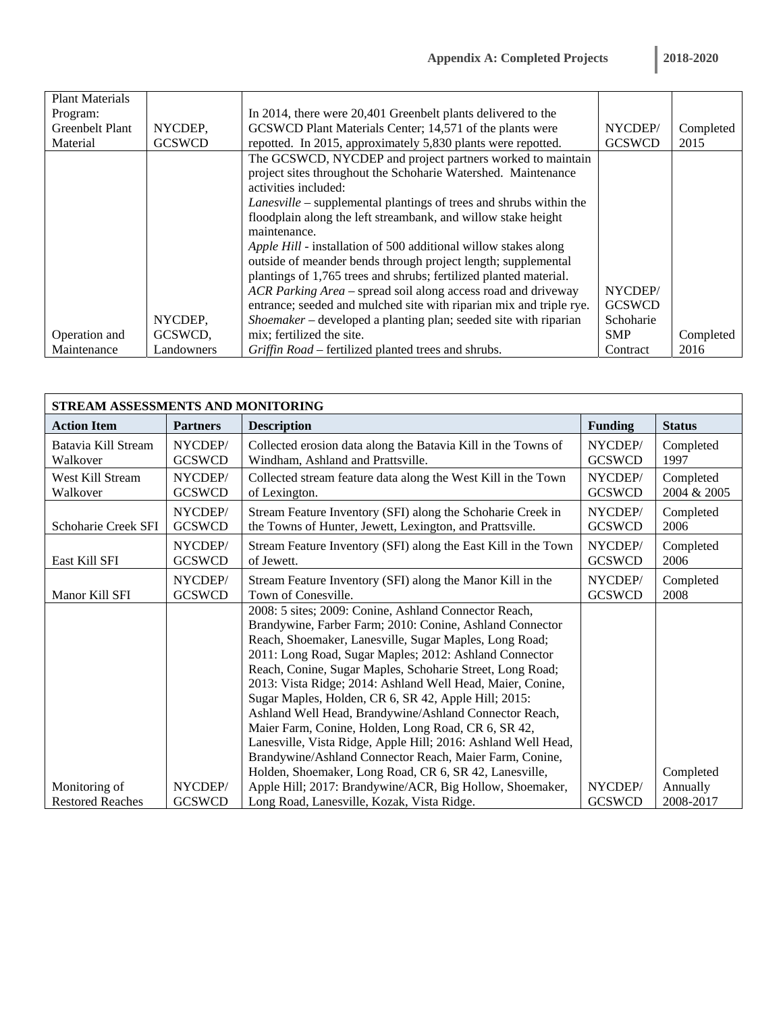| <b>Plant Materials</b> |               |                                                                           |               |           |
|------------------------|---------------|---------------------------------------------------------------------------|---------------|-----------|
| Program:               |               | In 2014, there were 20,401 Greenbelt plants delivered to the              |               |           |
| <b>Greenbelt Plant</b> | NYCDEP,       | GCSWCD Plant Materials Center; 14,571 of the plants were                  | NYCDEP/       | Completed |
| Material               | <b>GCSWCD</b> | repotted. In 2015, approximately 5,830 plants were repotted.              | <b>GCSWCD</b> | 2015      |
|                        |               | The GCSWCD, NYCDEP and project partners worked to maintain                |               |           |
|                        |               | project sites throughout the Schoharie Watershed. Maintenance             |               |           |
|                        |               | activities included:                                                      |               |           |
|                        |               | <i>Lanesville</i> – supplemental plantings of trees and shrubs within the |               |           |
|                        |               | floodplain along the left streambank, and willow stake height             |               |           |
|                        |               | maintenance.                                                              |               |           |
|                        |               | Apple Hill - installation of 500 additional willow stakes along           |               |           |
|                        |               | outside of meander bends through project length; supplemental             |               |           |
|                        |               | plantings of 1,765 trees and shrubs; fertilized planted material.         |               |           |
|                        |               | ACR Parking Area - spread soil along access road and driveway             | NYCDEP/       |           |
|                        |               | entrance; seeded and mulched site with riparian mix and triple rye.       | <b>GCSWCD</b> |           |
|                        | NYCDEP,       | Shoemaker – developed a planting plan; seeded site with riparian          | Schoharie     |           |
| Operation and          | GCSWCD,       | mix; fertilized the site.                                                 | <b>SMP</b>    | Completed |
| Maintenance            | Landowners    | Griffin Road – fertilized planted trees and shrubs.                       | Contract      | 2016      |

| STREAM ASSESSMENTS AND MONITORING |                 |                                                                                                                                                                                                                                                                                                                                                                                                                                                                                                                                                                                                                                                                       |                |               |  |  |  |
|-----------------------------------|-----------------|-----------------------------------------------------------------------------------------------------------------------------------------------------------------------------------------------------------------------------------------------------------------------------------------------------------------------------------------------------------------------------------------------------------------------------------------------------------------------------------------------------------------------------------------------------------------------------------------------------------------------------------------------------------------------|----------------|---------------|--|--|--|
| <b>Action Item</b>                | <b>Partners</b> | <b>Description</b>                                                                                                                                                                                                                                                                                                                                                                                                                                                                                                                                                                                                                                                    | <b>Funding</b> | <b>Status</b> |  |  |  |
| Batavia Kill Stream               | NYCDEP/         | Collected erosion data along the Batavia Kill in the Towns of                                                                                                                                                                                                                                                                                                                                                                                                                                                                                                                                                                                                         | NYCDEP/        | Completed     |  |  |  |
| Walkover                          | <b>GCSWCD</b>   | Windham, Ashland and Prattsville.                                                                                                                                                                                                                                                                                                                                                                                                                                                                                                                                                                                                                                     | <b>GCSWCD</b>  | 1997          |  |  |  |
| West Kill Stream                  | NYCDEP/         | Collected stream feature data along the West Kill in the Town                                                                                                                                                                                                                                                                                                                                                                                                                                                                                                                                                                                                         | NYCDEP/        | Completed     |  |  |  |
| Walkover                          | <b>GCSWCD</b>   | of Lexington.                                                                                                                                                                                                                                                                                                                                                                                                                                                                                                                                                                                                                                                         | <b>GCSWCD</b>  | 2004 & 2005   |  |  |  |
| Schoharie Creek SFI               | NYCDEP/         | Stream Feature Inventory (SFI) along the Schoharie Creek in                                                                                                                                                                                                                                                                                                                                                                                                                                                                                                                                                                                                           | NYCDEP/        | Completed     |  |  |  |
|                                   | <b>GCSWCD</b>   | the Towns of Hunter, Jewett, Lexington, and Prattsville.                                                                                                                                                                                                                                                                                                                                                                                                                                                                                                                                                                                                              | <b>GCSWCD</b>  | 2006          |  |  |  |
| East Kill SFI                     | NYCDEP/         | Stream Feature Inventory (SFI) along the East Kill in the Town                                                                                                                                                                                                                                                                                                                                                                                                                                                                                                                                                                                                        | NYCDEP/        | Completed     |  |  |  |
|                                   | <b>GCSWCD</b>   | of Jewett.                                                                                                                                                                                                                                                                                                                                                                                                                                                                                                                                                                                                                                                            | <b>GCSWCD</b>  | 2006          |  |  |  |
| Manor Kill SFI                    | NYCDEP/         | Stream Feature Inventory (SFI) along the Manor Kill in the                                                                                                                                                                                                                                                                                                                                                                                                                                                                                                                                                                                                            | NYCDEP/        | Completed     |  |  |  |
|                                   | <b>GCSWCD</b>   | Town of Conesville.                                                                                                                                                                                                                                                                                                                                                                                                                                                                                                                                                                                                                                                   | <b>GCSWCD</b>  | 2008          |  |  |  |
|                                   |                 | 2008: 5 sites; 2009: Conine, Ashland Connector Reach,<br>Brandywine, Farber Farm; 2010: Conine, Ashland Connector<br>Reach, Shoemaker, Lanesville, Sugar Maples, Long Road;<br>2011: Long Road, Sugar Maples; 2012: Ashland Connector<br>Reach, Conine, Sugar Maples, Schoharie Street, Long Road;<br>2013: Vista Ridge; 2014: Ashland Well Head, Maier, Conine,<br>Sugar Maples, Holden, CR 6, SR 42, Apple Hill; 2015:<br>Ashland Well Head, Brandywine/Ashland Connector Reach,<br>Maier Farm, Conine, Holden, Long Road, CR 6, SR 42,<br>Lanesville, Vista Ridge, Apple Hill; 2016: Ashland Well Head,<br>Brandywine/Ashland Connector Reach, Maier Farm, Conine, |                |               |  |  |  |
|                                   |                 | Holden, Shoemaker, Long Road, CR 6, SR 42, Lanesville,                                                                                                                                                                                                                                                                                                                                                                                                                                                                                                                                                                                                                |                | Completed     |  |  |  |
| Monitoring of                     | NYCDEP/         | Apple Hill; 2017: Brandywine/ACR, Big Hollow, Shoemaker,                                                                                                                                                                                                                                                                                                                                                                                                                                                                                                                                                                                                              | NYCDEP/        | Annually      |  |  |  |
| <b>Restored Reaches</b>           | <b>GCSWCD</b>   | Long Road, Lanesville, Kozak, Vista Ridge.                                                                                                                                                                                                                                                                                                                                                                                                                                                                                                                                                                                                                            | <b>GCSWCD</b>  | 2008-2017     |  |  |  |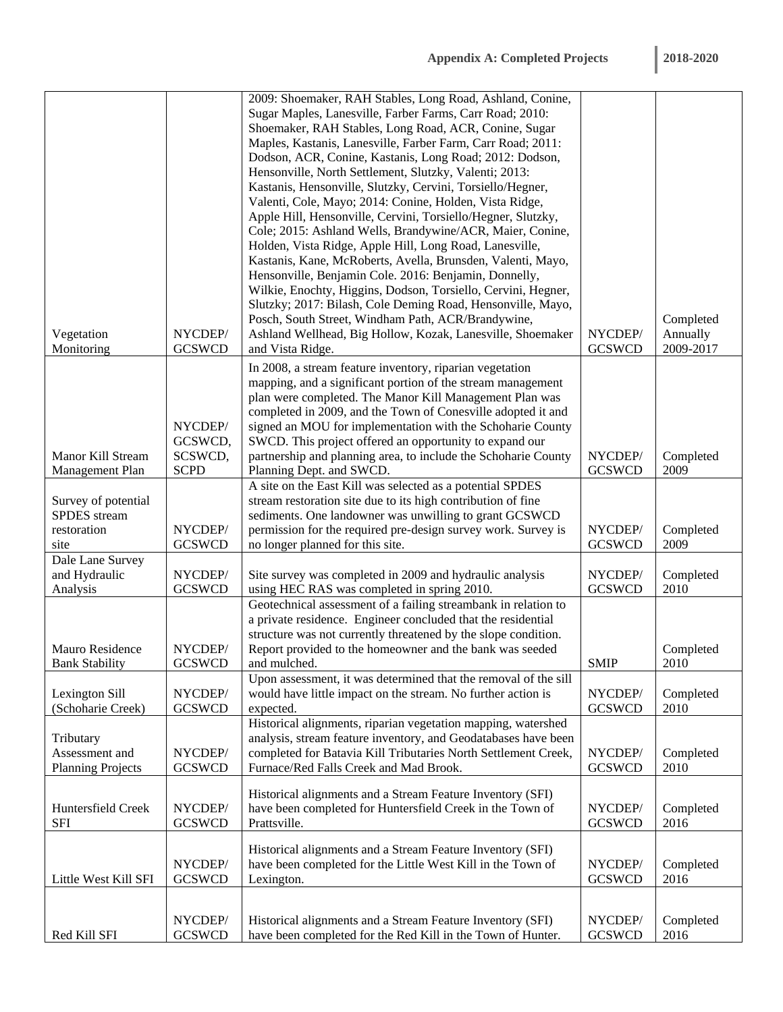|                          |               | 2009: Shoemaker, RAH Stables, Long Road, Ashland, Conine,                                                            |               |           |
|--------------------------|---------------|----------------------------------------------------------------------------------------------------------------------|---------------|-----------|
|                          |               | Sugar Maples, Lanesville, Farber Farms, Carr Road; 2010:                                                             |               |           |
|                          |               | Shoemaker, RAH Stables, Long Road, ACR, Conine, Sugar                                                                |               |           |
|                          |               | Maples, Kastanis, Lanesville, Farber Farm, Carr Road; 2011:                                                          |               |           |
|                          |               | Dodson, ACR, Conine, Kastanis, Long Road; 2012: Dodson,                                                              |               |           |
|                          |               | Hensonville, North Settlement, Slutzky, Valenti; 2013:                                                               |               |           |
|                          |               | Kastanis, Hensonville, Slutzky, Cervini, Torsiello/Hegner,                                                           |               |           |
|                          |               | Valenti, Cole, Mayo; 2014: Conine, Holden, Vista Ridge,                                                              |               |           |
|                          |               | Apple Hill, Hensonville, Cervini, Torsiello/Hegner, Slutzky,                                                         |               |           |
|                          |               | Cole; 2015: Ashland Wells, Brandywine/ACR, Maier, Conine,                                                            |               |           |
|                          |               | Holden, Vista Ridge, Apple Hill, Long Road, Lanesville,                                                              |               |           |
|                          |               |                                                                                                                      |               |           |
|                          |               | Kastanis, Kane, McRoberts, Avella, Brunsden, Valenti, Mayo,<br>Hensonville, Benjamin Cole. 2016: Benjamin, Donnelly, |               |           |
|                          |               | Wilkie, Enochty, Higgins, Dodson, Torsiello, Cervini, Hegner,                                                        |               |           |
|                          |               | Slutzky; 2017: Bilash, Cole Deming Road, Hensonville, Mayo,                                                          |               |           |
|                          |               |                                                                                                                      |               | Completed |
|                          |               | Posch, South Street, Windham Path, ACR/Brandywine,                                                                   | NYCDEP/       |           |
| Vegetation               | NYCDEP/       | Ashland Wellhead, Big Hollow, Kozak, Lanesville, Shoemaker                                                           |               | Annually  |
| Monitoring               | <b>GCSWCD</b> | and Vista Ridge.                                                                                                     | <b>GCSWCD</b> | 2009-2017 |
|                          |               | In 2008, a stream feature inventory, riparian vegetation                                                             |               |           |
|                          |               | mapping, and a significant portion of the stream management                                                          |               |           |
|                          |               | plan were completed. The Manor Kill Management Plan was                                                              |               |           |
|                          |               | completed in 2009, and the Town of Conesville adopted it and                                                         |               |           |
|                          | NYCDEP/       | signed an MOU for implementation with the Schoharie County                                                           |               |           |
|                          | GCSWCD,       | SWCD. This project offered an opportunity to expand our                                                              |               |           |
| Manor Kill Stream        | SCSWCD,       | partnership and planning area, to include the Schoharie County                                                       | NYCDEP/       | Completed |
| Management Plan          | <b>SCPD</b>   | Planning Dept. and SWCD.                                                                                             | <b>GCSWCD</b> | 2009      |
|                          |               | A site on the East Kill was selected as a potential SPDES                                                            |               |           |
| Survey of potential      |               | stream restoration site due to its high contribution of fine                                                         |               |           |
| SPDES stream             |               | sediments. One landowner was unwilling to grant GCSWCD                                                               |               |           |
| restoration              | NYCDEP/       | permission for the required pre-design survey work. Survey is                                                        | NYCDEP/       | Completed |
| site                     | <b>GCSWCD</b> | no longer planned for this site.                                                                                     | <b>GCSWCD</b> | 2009      |
| Dale Lane Survey         |               |                                                                                                                      |               |           |
| and Hydraulic            | NYCDEP/       | Site survey was completed in 2009 and hydraulic analysis                                                             | NYCDEP/       | Completed |
| Analysis                 | <b>GCSWCD</b> | using HEC RAS was completed in spring 2010.                                                                          | <b>GCSWCD</b> | 2010      |
|                          |               | Geotechnical assessment of a failing streambank in relation to                                                       |               |           |
|                          |               | a private residence. Engineer concluded that the residential                                                         |               |           |
|                          |               | structure was not currently threatened by the slope condition.                                                       |               |           |
| Mauro Residence          | NYCDEP/       | Report provided to the homeowner and the bank was seeded                                                             |               | Completed |
| <b>Bank Stability</b>    | <b>GCSWCD</b> | and mulched.                                                                                                         | <b>SMIP</b>   | 2010      |
|                          |               | Upon assessment, it was determined that the removal of the sill                                                      |               |           |
| Lexington Sill           | NYCDEP/       | would have little impact on the stream. No further action is                                                         | NYCDEP/       | Completed |
| (Schoharie Creek)        | <b>GCSWCD</b> | expected.                                                                                                            | <b>GCSWCD</b> | 2010      |
|                          |               | Historical alignments, riparian vegetation mapping, watershed                                                        |               |           |
| Tributary                |               | analysis, stream feature inventory, and Geodatabases have been                                                       |               |           |
| Assessment and           | NYCDEP/       | completed for Batavia Kill Tributaries North Settlement Creek,                                                       | NYCDEP/       | Completed |
| <b>Planning Projects</b> | <b>GCSWCD</b> | Furnace/Red Falls Creek and Mad Brook.                                                                               | <b>GCSWCD</b> | 2010      |
|                          |               |                                                                                                                      |               |           |
|                          |               | Historical alignments and a Stream Feature Inventory (SFI)                                                           |               |           |
| Huntersfield Creek       | NYCDEP/       | have been completed for Huntersfield Creek in the Town of                                                            | NYCDEP/       | Completed |
| <b>SFI</b>               | <b>GCSWCD</b> | Prattsville.                                                                                                         | <b>GCSWCD</b> | 2016      |
|                          |               | Historical alignments and a Stream Feature Inventory (SFI)                                                           |               |           |
|                          | NYCDEP/       | have been completed for the Little West Kill in the Town of                                                          | NYCDEP/       | Completed |
| Little West Kill SFI     | <b>GCSWCD</b> | Lexington.                                                                                                           | <b>GCSWCD</b> | 2016      |
|                          |               |                                                                                                                      |               |           |
|                          |               |                                                                                                                      |               |           |
|                          | NYCDEP/       | Historical alignments and a Stream Feature Inventory (SFI)                                                           | NYCDEP/       | Completed |
| Red Kill SFI             | <b>GCSWCD</b> | have been completed for the Red Kill in the Town of Hunter.                                                          | <b>GCSWCD</b> | 2016      |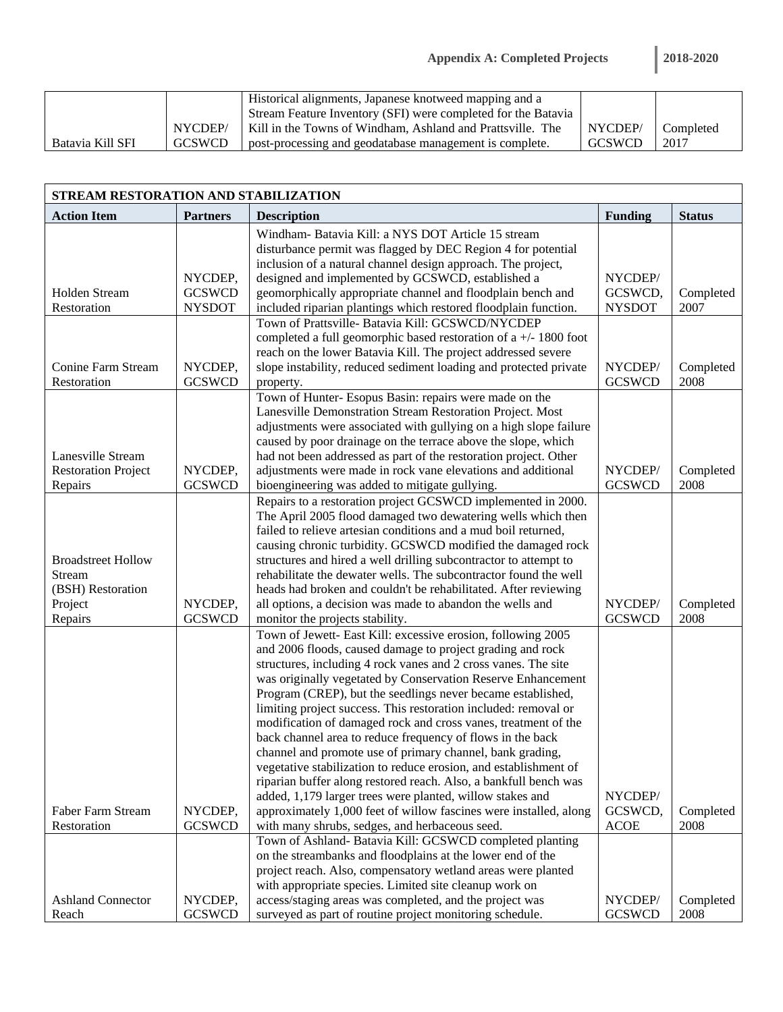|                  |               | Historical alignments, Japanese knotweed mapping and a        |         |           |
|------------------|---------------|---------------------------------------------------------------|---------|-----------|
|                  |               | Stream Feature Inventory (SFI) were completed for the Batavia |         |           |
|                  | NYCDEP/       | Kill in the Towns of Windham. Ashland and Prattsville. The    | NYCDEP/ | Completed |
| Batavia Kill SFI | <b>GCSWCD</b> | post-processing and geodatabase management is complete.       | GCSWCD  | 2017      |

| STREAM RESTORATION AND STABILIZATION |                 |                                                                                                                                   |                |               |  |  |  |
|--------------------------------------|-----------------|-----------------------------------------------------------------------------------------------------------------------------------|----------------|---------------|--|--|--|
| <b>Action Item</b>                   | <b>Partners</b> | <b>Description</b>                                                                                                                | <b>Funding</b> | <b>Status</b> |  |  |  |
|                                      |                 | Windham- Batavia Kill: a NYS DOT Article 15 stream                                                                                |                |               |  |  |  |
|                                      |                 | disturbance permit was flagged by DEC Region 4 for potential                                                                      |                |               |  |  |  |
|                                      |                 | inclusion of a natural channel design approach. The project,                                                                      |                |               |  |  |  |
|                                      | NYCDEP,         | designed and implemented by GCSWCD, established a                                                                                 | NYCDEP/        |               |  |  |  |
| <b>Holden Stream</b>                 | <b>GCSWCD</b>   | geomorphically appropriate channel and floodplain bench and                                                                       | GCSWCD,        | Completed     |  |  |  |
| Restoration                          | <b>NYSDOT</b>   | included riparian plantings which restored floodplain function.                                                                   | <b>NYSDOT</b>  | 2007          |  |  |  |
|                                      |                 | Town of Prattsville- Batavia Kill: GCSWCD/NYCDEP                                                                                  |                |               |  |  |  |
|                                      |                 | completed a full geomorphic based restoration of $a +/- 1800$ foot                                                                |                |               |  |  |  |
|                                      |                 | reach on the lower Batavia Kill. The project addressed severe                                                                     |                |               |  |  |  |
| <b>Conine Farm Stream</b>            | NYCDEP,         | slope instability, reduced sediment loading and protected private                                                                 | NYCDEP/        | Completed     |  |  |  |
| Restoration                          | <b>GCSWCD</b>   | property.                                                                                                                         | <b>GCSWCD</b>  | 2008          |  |  |  |
|                                      |                 | Town of Hunter- Esopus Basin: repairs were made on the<br>Lanesville Demonstration Stream Restoration Project. Most               |                |               |  |  |  |
|                                      |                 | adjustments were associated with gullying on a high slope failure                                                                 |                |               |  |  |  |
|                                      |                 | caused by poor drainage on the terrace above the slope, which                                                                     |                |               |  |  |  |
| Lanesville Stream                    |                 | had not been addressed as part of the restoration project. Other                                                                  |                |               |  |  |  |
| <b>Restoration Project</b>           | NYCDEP,         | adjustments were made in rock vane elevations and additional                                                                      | NYCDEP/        | Completed     |  |  |  |
| Repairs                              | <b>GCSWCD</b>   | bioengineering was added to mitigate gullying.                                                                                    | <b>GCSWCD</b>  | 2008          |  |  |  |
|                                      |                 | Repairs to a restoration project GCSWCD implemented in 2000.                                                                      |                |               |  |  |  |
|                                      |                 | The April 2005 flood damaged two dewatering wells which then                                                                      |                |               |  |  |  |
|                                      |                 | failed to relieve artesian conditions and a mud boil returned,                                                                    |                |               |  |  |  |
|                                      |                 | causing chronic turbidity. GCSWCD modified the damaged rock                                                                       |                |               |  |  |  |
| <b>Broadstreet Hollow</b>            |                 | structures and hired a well drilling subcontractor to attempt to                                                                  |                |               |  |  |  |
| <b>Stream</b>                        |                 | rehabilitate the dewater wells. The subcontractor found the well                                                                  |                |               |  |  |  |
| (BSH) Restoration                    |                 | heads had broken and couldn't be rehabilitated. After reviewing                                                                   |                |               |  |  |  |
| Project                              | NYCDEP,         | all options, a decision was made to abandon the wells and                                                                         | NYCDEP/        | Completed     |  |  |  |
| Repairs                              | <b>GCSWCD</b>   | monitor the projects stability.                                                                                                   | <b>GCSWCD</b>  | 2008          |  |  |  |
|                                      |                 | Town of Jewett- East Kill: excessive erosion, following 2005                                                                      |                |               |  |  |  |
|                                      |                 | and 2006 floods, caused damage to project grading and rock                                                                        |                |               |  |  |  |
|                                      |                 | structures, including 4 rock vanes and 2 cross vanes. The site                                                                    |                |               |  |  |  |
|                                      |                 | was originally vegetated by Conservation Reserve Enhancement                                                                      |                |               |  |  |  |
|                                      |                 | Program (CREP), but the seedlings never became established,                                                                       |                |               |  |  |  |
|                                      |                 | limiting project success. This restoration included: removal or<br>modification of damaged rock and cross vanes, treatment of the |                |               |  |  |  |
|                                      |                 | back channel area to reduce frequency of flows in the back                                                                        |                |               |  |  |  |
|                                      |                 | channel and promote use of primary channel, bank grading,                                                                         |                |               |  |  |  |
|                                      |                 | vegetative stabilization to reduce erosion, and establishment of                                                                  |                |               |  |  |  |
|                                      |                 | riparian buffer along restored reach. Also, a bankfull bench was                                                                  |                |               |  |  |  |
|                                      |                 | added, 1,179 larger trees were planted, willow stakes and                                                                         | NYCDEP/        |               |  |  |  |
| Faber Farm Stream                    | NYCDEP,         | approximately 1,000 feet of willow fascines were installed, along                                                                 | GCSWCD,        | Completed     |  |  |  |
| Restoration                          | <b>GCSWCD</b>   | with many shrubs, sedges, and herbaceous seed.                                                                                    | <b>ACOE</b>    | 2008          |  |  |  |
|                                      |                 | Town of Ashland- Batavia Kill: GCSWCD completed planting                                                                          |                |               |  |  |  |
|                                      |                 | on the streambanks and floodplains at the lower end of the                                                                        |                |               |  |  |  |
|                                      |                 | project reach. Also, compensatory wetland areas were planted                                                                      |                |               |  |  |  |
|                                      |                 | with appropriate species. Limited site cleanup work on                                                                            |                |               |  |  |  |
| <b>Ashland Connector</b>             | NYCDEP,         | access/staging areas was completed, and the project was                                                                           | NYCDEP/        | Completed     |  |  |  |
| Reach                                | <b>GCSWCD</b>   | surveyed as part of routine project monitoring schedule.                                                                          | <b>GCSWCD</b>  | 2008          |  |  |  |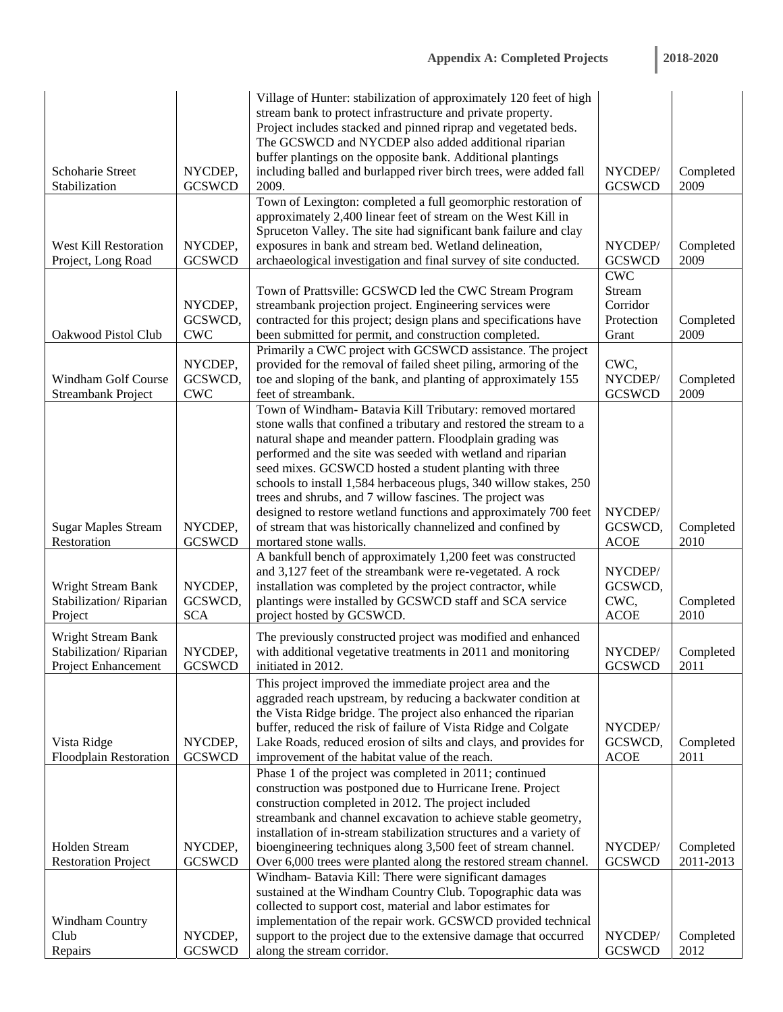l.

|                                              |                          | Village of Hunter: stabilization of approximately 120 feet of high<br>stream bank to protect infrastructure and private property.    |                             |                   |
|----------------------------------------------|--------------------------|--------------------------------------------------------------------------------------------------------------------------------------|-----------------------------|-------------------|
|                                              |                          | Project includes stacked and pinned riprap and vegetated beds.<br>The GCSWCD and NYCDEP also added additional riparian               |                             |                   |
| Schoharie Street                             | NYCDEP,                  | buffer plantings on the opposite bank. Additional plantings<br>including balled and burlapped river birch trees, were added fall     | NYCDEP/                     | Completed         |
| Stabilization                                | <b>GCSWCD</b>            | 2009.                                                                                                                                | <b>GCSWCD</b>               | 2009              |
|                                              |                          | Town of Lexington: completed a full geomorphic restoration of<br>approximately 2,400 linear feet of stream on the West Kill in       |                             |                   |
|                                              |                          | Spruceton Valley. The site had significant bank failure and clay                                                                     |                             |                   |
| <b>West Kill Restoration</b>                 | NYCDEP,                  | exposures in bank and stream bed. Wetland delineation,                                                                               | NYCDEP/                     | Completed         |
| Project, Long Road                           | <b>GCSWCD</b>            | archaeological investigation and final survey of site conducted.                                                                     | <b>GCSWCD</b><br><b>CWC</b> | 2009              |
|                                              |                          | Town of Prattsville: GCSWCD led the CWC Stream Program                                                                               | Stream                      |                   |
|                                              | NYCDEP,                  | streambank projection project. Engineering services were                                                                             | Corridor                    |                   |
|                                              | GCSWCD,                  | contracted for this project; design plans and specifications have                                                                    | Protection                  | Completed         |
| Oakwood Pistol Club                          | <b>CWC</b>               | been submitted for permit, and construction completed.                                                                               | Grant                       | 2009              |
|                                              | NYCDEP,                  | Primarily a CWC project with GCSWCD assistance. The project<br>provided for the removal of failed sheet piling, armoring of the      | CWC,                        |                   |
| Windham Golf Course                          | GCSWCD,                  | toe and sloping of the bank, and planting of approximately 155                                                                       | NYCDEP/                     | Completed         |
| <b>Streambank Project</b>                    | <b>CWC</b>               | feet of streambank.                                                                                                                  | <b>GCSWCD</b>               | 2009              |
|                                              |                          | Town of Windham- Batavia Kill Tributary: removed mortared                                                                            |                             |                   |
|                                              |                          | stone walls that confined a tributary and restored the stream to a                                                                   |                             |                   |
|                                              |                          | natural shape and meander pattern. Floodplain grading was<br>performed and the site was seeded with wetland and riparian             |                             |                   |
|                                              |                          | seed mixes. GCSWCD hosted a student planting with three                                                                              |                             |                   |
|                                              |                          | schools to install 1,584 herbaceous plugs, 340 willow stakes, 250                                                                    |                             |                   |
|                                              |                          | trees and shrubs, and 7 willow fascines. The project was                                                                             |                             |                   |
|                                              |                          | designed to restore wetland functions and approximately 700 feet                                                                     | NYCDEP/                     |                   |
| <b>Sugar Maples Stream</b><br>Restoration    | NYCDEP,<br><b>GCSWCD</b> | of stream that was historically channelized and confined by<br>mortared stone walls.                                                 | GCSWCD,<br><b>ACOE</b>      | Completed<br>2010 |
|                                              |                          | A bankfull bench of approximately 1,200 feet was constructed                                                                         |                             |                   |
|                                              |                          | and 3,127 feet of the streambank were re-vegetated. A rock                                                                           | NYCDEP/                     |                   |
| <b>Wright Stream Bank</b>                    | NYCDEP,                  | installation was completed by the project contractor, while                                                                          | GCSWCD,                     |                   |
| Stabilization/Riparian                       | GCSWCD,<br><b>SCA</b>    | plantings were installed by GCSWCD staff and SCA service<br>project hosted by GCSWCD.                                                | CWC,<br><b>ACOE</b>         | Completed<br>2010 |
| Project                                      |                          |                                                                                                                                      |                             |                   |
| Wright Stream Bank<br>Stabilization/Riparian | NYCDEP,                  | The previously constructed project was modified and enhanced<br>with additional vegetative treatments in 2011 and monitoring         | NYCDEP/                     | Completed         |
| <b>Project Enhancement</b>                   | <b>GCSWCD</b>            | initiated in 2012.                                                                                                                   | <b>GCSWCD</b>               | 2011              |
|                                              |                          | This project improved the immediate project area and the                                                                             |                             |                   |
|                                              |                          | aggraded reach upstream, by reducing a backwater condition at                                                                        |                             |                   |
|                                              |                          | the Vista Ridge bridge. The project also enhanced the riparian                                                                       |                             |                   |
| Vista Ridge                                  | NYCDEP,                  | buffer, reduced the risk of failure of Vista Ridge and Colgate<br>Lake Roads, reduced erosion of silts and clays, and provides for   | NYCDEP/<br>GCSWCD,          | Completed         |
| <b>Floodplain Restoration</b>                | <b>GCSWCD</b>            | improvement of the habitat value of the reach.                                                                                       | <b>ACOE</b>                 | 2011              |
|                                              |                          | Phase 1 of the project was completed in 2011; continued                                                                              |                             |                   |
|                                              |                          | construction was postponed due to Hurricane Irene. Project                                                                           |                             |                   |
|                                              |                          | construction completed in 2012. The project included                                                                                 |                             |                   |
|                                              |                          | streambank and channel excavation to achieve stable geometry,                                                                        |                             |                   |
| Holden Stream                                | NYCDEP,                  | installation of in-stream stabilization structures and a variety of<br>bioengineering techniques along 3,500 feet of stream channel. | NYCDEP/                     | Completed         |
| <b>Restoration Project</b>                   | <b>GCSWCD</b>            | Over 6,000 trees were planted along the restored stream channel.                                                                     | <b>GCSWCD</b>               | 2011-2013         |
|                                              |                          | Windham- Batavia Kill: There were significant damages                                                                                |                             |                   |
|                                              |                          | sustained at the Windham Country Club. Topographic data was                                                                          |                             |                   |
|                                              |                          | collected to support cost, material and labor estimates for                                                                          |                             |                   |
| Windham Country<br>Club                      | NYCDEP,                  | implementation of the repair work. GCSWCD provided technical<br>support to the project due to the extensive damage that occurred     | NYCDEP/                     | Completed         |
| Repairs                                      | <b>GCSWCD</b>            | along the stream corridor.                                                                                                           | <b>GCSWCD</b>               | 2012              |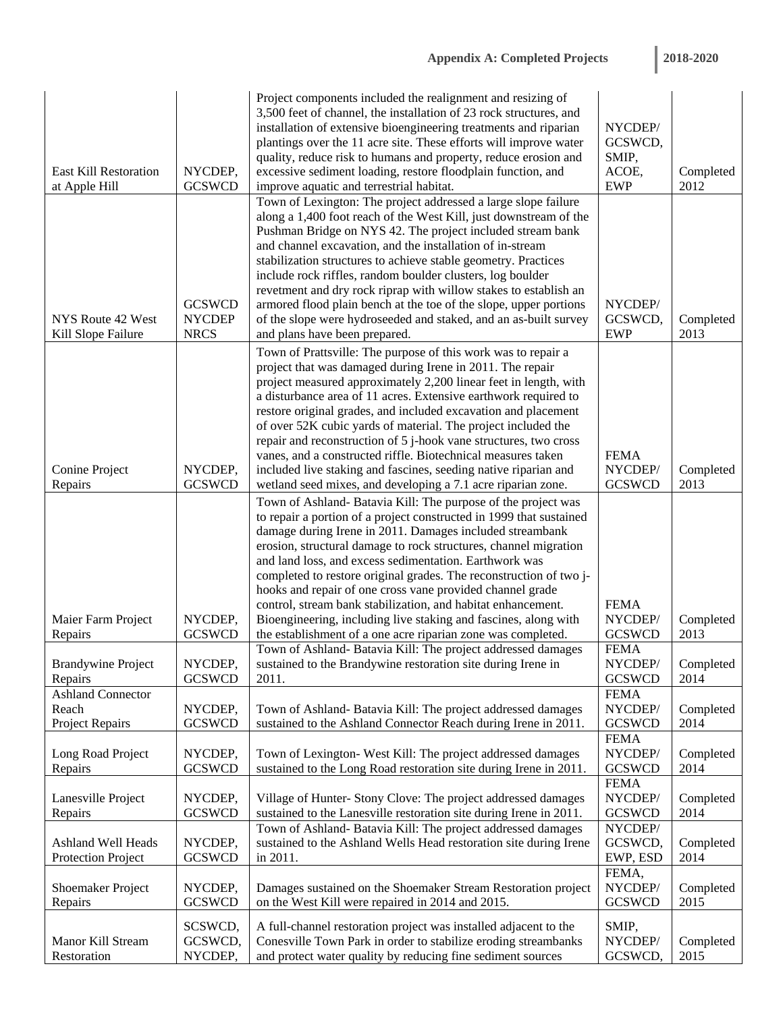|                              |               | Project components included the realignment and resizing of<br>3,500 feet of channel, the installation of 23 rock structures, and<br>installation of extensive bioengineering treatments and riparian | NYCDEP/                  |                   |
|------------------------------|---------------|-------------------------------------------------------------------------------------------------------------------------------------------------------------------------------------------------------|--------------------------|-------------------|
|                              |               | plantings over the 11 acre site. These efforts will improve water                                                                                                                                     | GCSWCD,                  |                   |
| <b>East Kill Restoration</b> | NYCDEP,       | quality, reduce risk to humans and property, reduce erosion and                                                                                                                                       | SMIP,<br>ACOE,           |                   |
| at Apple Hill                | <b>GCSWCD</b> | excessive sediment loading, restore floodplain function, and<br>improve aquatic and terrestrial habitat.                                                                                              | <b>EWP</b>               | Completed<br>2012 |
|                              |               | Town of Lexington: The project addressed a large slope failure                                                                                                                                        |                          |                   |
|                              |               | along a 1,400 foot reach of the West Kill, just downstream of the<br>Pushman Bridge on NYS 42. The project included stream bank                                                                       |                          |                   |
|                              |               | and channel excavation, and the installation of in-stream                                                                                                                                             |                          |                   |
|                              |               | stabilization structures to achieve stable geometry. Practices                                                                                                                                        |                          |                   |
|                              |               | include rock riffles, random boulder clusters, log boulder                                                                                                                                            |                          |                   |
|                              | <b>GCSWCD</b> | revetment and dry rock riprap with willow stakes to establish an<br>armored flood plain bench at the toe of the slope, upper portions                                                                 | NYCDEP/                  |                   |
| NYS Route 42 West            | <b>NYCDEP</b> | of the slope were hydroseeded and staked, and an as-built survey                                                                                                                                      | GCSWCD,                  | Completed         |
| Kill Slope Failure           | <b>NRCS</b>   | and plans have been prepared.                                                                                                                                                                         | <b>EWP</b>               | 2013              |
|                              |               | Town of Prattsville: The purpose of this work was to repair a                                                                                                                                         |                          |                   |
|                              |               | project that was damaged during Irene in 2011. The repair<br>project measured approximately 2,200 linear feet in length, with                                                                         |                          |                   |
|                              |               | a disturbance area of 11 acres. Extensive earthwork required to                                                                                                                                       |                          |                   |
|                              |               | restore original grades, and included excavation and placement                                                                                                                                        |                          |                   |
|                              |               | of over 52K cubic yards of material. The project included the<br>repair and reconstruction of 5 j-hook vane structures, two cross                                                                     |                          |                   |
|                              |               | vanes, and a constructed riffle. Biotechnical measures taken                                                                                                                                          | <b>FEMA</b>              |                   |
| Conine Project               | NYCDEP,       | included live staking and fascines, seeding native riparian and                                                                                                                                       | NYCDEP/                  | Completed         |
| Repairs                      | <b>GCSWCD</b> | wetland seed mixes, and developing a 7.1 acre riparian zone.                                                                                                                                          | <b>GCSWCD</b>            | 2013              |
|                              |               | Town of Ashland- Batavia Kill: The purpose of the project was<br>to repair a portion of a project constructed in 1999 that sustained                                                                  |                          |                   |
|                              |               | damage during Irene in 2011. Damages included streambank                                                                                                                                              |                          |                   |
|                              |               | erosion, structural damage to rock structures, channel migration                                                                                                                                      |                          |                   |
|                              |               | and land loss, and excess sedimentation. Earthwork was                                                                                                                                                |                          |                   |
|                              |               | completed to restore original grades. The reconstruction of two j-<br>hooks and repair of one cross vane provided channel grade                                                                       |                          |                   |
|                              |               | control, stream bank stabilization, and habitat enhancement.                                                                                                                                          | <b>FEMA</b>              |                   |
| Maier Farm Project           | NYCDEP,       | Bioengineering, including live staking and fascines, along with                                                                                                                                       | NYCDEP/                  | Completed         |
| Repairs                      | <b>GCSWCD</b> | the establishment of a one acre riparian zone was completed.                                                                                                                                          | <b>GCSWCD</b>            | 2013              |
| <b>Brandywine Project</b>    | NYCDEP,       | Town of Ashland- Batavia Kill: The project addressed damages<br>sustained to the Brandywine restoration site during Irene in                                                                          | <b>FEMA</b><br>NYCDEP/   | Completed         |
| Repairs                      | <b>GCSWCD</b> | 2011.                                                                                                                                                                                                 | <b>GCSWCD</b>            | 2014              |
| <b>Ashland Connector</b>     |               |                                                                                                                                                                                                       | <b>FEMA</b>              |                   |
| Reach                        | NYCDEP,       | Town of Ashland- Batavia Kill: The project addressed damages                                                                                                                                          | NYCDEP/<br><b>GCSWCD</b> | Completed         |
| Project Repairs              | <b>GCSWCD</b> | sustained to the Ashland Connector Reach during Irene in 2011.                                                                                                                                        | <b>FEMA</b>              | 2014              |
| Long Road Project            | NYCDEP,       | Town of Lexington-West Kill: The project addressed damages                                                                                                                                            | NYCDEP/                  | Completed         |
| Repairs                      | <b>GCSWCD</b> | sustained to the Long Road restoration site during Irene in 2011.                                                                                                                                     | <b>GCSWCD</b>            | 2014              |
| Lanesville Project           | NYCDEP,       | Village of Hunter- Stony Clove: The project addressed damages                                                                                                                                         | <b>FEMA</b><br>NYCDEP/   | Completed         |
| Repairs                      | <b>GCSWCD</b> | sustained to the Lanesville restoration site during Irene in 2011.                                                                                                                                    | <b>GCSWCD</b>            | 2014              |
|                              |               | Town of Ashland- Batavia Kill: The project addressed damages                                                                                                                                          | NYCDEP/                  |                   |
| Ashland Well Heads           | NYCDEP,       | sustained to the Ashland Wells Head restoration site during Irene                                                                                                                                     | GCSWCD,                  | Completed         |
| Protection Project           | <b>GCSWCD</b> | in 2011.                                                                                                                                                                                              | EWP, ESD<br>FEMA,        | 2014              |
| Shoemaker Project            | NYCDEP,       | Damages sustained on the Shoemaker Stream Restoration project                                                                                                                                         | NYCDEP/                  | Completed         |
| Repairs                      | <b>GCSWCD</b> | on the West Kill were repaired in 2014 and 2015.                                                                                                                                                      | <b>GCSWCD</b>            | 2015              |
|                              | SCSWCD,       | A full-channel restoration project was installed adjacent to the                                                                                                                                      | SMIP,                    |                   |
| Manor Kill Stream            | GCSWCD,       | Conesville Town Park in order to stabilize eroding streambanks                                                                                                                                        | NYCDEP/                  | Completed         |
| Restoration                  | NYCDEP,       | and protect water quality by reducing fine sediment sources                                                                                                                                           | GCSWCD,                  | 2015              |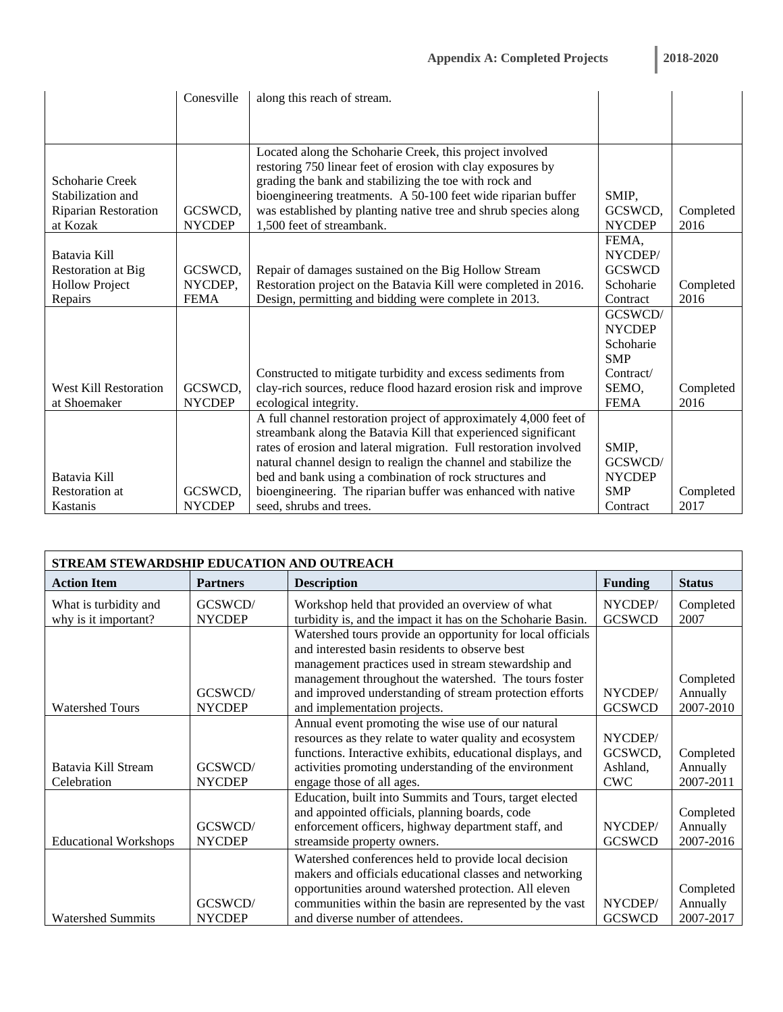|                              | Conesville    | along this reach of stream.                                       |               |           |
|------------------------------|---------------|-------------------------------------------------------------------|---------------|-----------|
|                              |               |                                                                   |               |           |
|                              |               |                                                                   |               |           |
|                              |               | Located along the Schoharie Creek, this project involved          |               |           |
|                              |               | restoring 750 linear feet of erosion with clay exposures by       |               |           |
| Schoharie Creek              |               | grading the bank and stabilizing the toe with rock and            |               |           |
| Stabilization and            |               | bioengineering treatments. A 50-100 feet wide riparian buffer     | SMIP,         |           |
| <b>Riparian Restoration</b>  | GCSWCD,       | was established by planting native tree and shrub species along   | GCSWCD,       | Completed |
| at Kozak                     | <b>NYCDEP</b> | 1,500 feet of streambank.                                         | <b>NYCDEP</b> | 2016      |
|                              |               |                                                                   | FEMA,         |           |
| Batavia Kill                 |               |                                                                   | NYCDEP/       |           |
| <b>Restoration</b> at Big    | GCSWCD,       | Repair of damages sustained on the Big Hollow Stream              | <b>GCSWCD</b> |           |
| <b>Hollow Project</b>        | NYCDEP.       | Restoration project on the Batavia Kill were completed in 2016.   | Schoharie     | Completed |
| Repairs                      | <b>FEMA</b>   | Design, permitting and bidding were complete in 2013.             | Contract      | 2016      |
|                              |               |                                                                   | GCSWCD/       |           |
|                              |               |                                                                   | <b>NYCDEP</b> |           |
|                              |               |                                                                   | Schoharie     |           |
|                              |               |                                                                   | <b>SMP</b>    |           |
|                              |               | Constructed to mitigate turbidity and excess sediments from       | Contract/     |           |
| <b>West Kill Restoration</b> | GCSWCD,       | clay-rich sources, reduce flood hazard erosion risk and improve   | SEMO,         | Completed |
| at Shoemaker                 | <b>NYCDEP</b> | ecological integrity.                                             | <b>FEMA</b>   | 2016      |
|                              |               | A full channel restoration project of approximately 4,000 feet of |               |           |
|                              |               | streambank along the Batavia Kill that experienced significant    |               |           |
|                              |               | rates of erosion and lateral migration. Full restoration involved | SMIP,         |           |
|                              |               | natural channel design to realign the channel and stabilize the   | GCSWCD/       |           |
| Batavia Kill                 |               | bed and bank using a combination of rock structures and           | <b>NYCDEP</b> |           |
| <b>Restoration at</b>        | GCSWCD,       | bioengineering. The riparian buffer was enhanced with native      | <b>SMP</b>    | Completed |
| Kastanis                     | <b>NYCDEP</b> | seed, shrubs and trees.                                           | Contract      | 2017      |

| STREAM STEWARDSHIP EDUCATION AND OUTREACH     |                          |                                                                                                                                                                                                                                                                          |                                              |                                    |  |  |  |
|-----------------------------------------------|--------------------------|--------------------------------------------------------------------------------------------------------------------------------------------------------------------------------------------------------------------------------------------------------------------------|----------------------------------------------|------------------------------------|--|--|--|
| <b>Action Item</b>                            | <b>Partners</b>          | <b>Description</b>                                                                                                                                                                                                                                                       | <b>Funding</b>                               | <b>Status</b>                      |  |  |  |
| What is turbidity and<br>why is it important? | GCSWCD/<br><b>NYCDEP</b> | Workshop held that provided an overview of what<br>turbidity is, and the impact it has on the Schoharie Basin.                                                                                                                                                           | NYCDEP/<br><b>GCSWCD</b>                     | Completed<br>2007                  |  |  |  |
|                                               |                          | Watershed tours provide an opportunity for local officials<br>and interested basin residents to observe best<br>management practices used in stream stewardship and                                                                                                      |                                              |                                    |  |  |  |
|                                               | GCSWCD/                  | management throughout the watershed. The tours foster<br>and improved understanding of stream protection efforts                                                                                                                                                         | NYCDEP/                                      | Completed<br>Annually              |  |  |  |
| <b>Watershed Tours</b>                        | <b>NYCDEP</b>            | and implementation projects.                                                                                                                                                                                                                                             | <b>GCSWCD</b>                                | 2007-2010                          |  |  |  |
| Batavia Kill Stream<br>Celebration            | GCSWCD/<br><b>NYCDEP</b> | Annual event promoting the wise use of our natural<br>resources as they relate to water quality and ecosystem<br>functions. Interactive exhibits, educational displays, and<br>activities promoting understanding of the environment<br>engage those of all ages.        | NYCDEP/<br>GCSWCD,<br>Ashland,<br><b>CWC</b> | Completed<br>Annually<br>2007-2011 |  |  |  |
| <b>Educational Workshops</b>                  | GCSWCD/<br><b>NYCDEP</b> | Education, built into Summits and Tours, target elected<br>and appointed officials, planning boards, code<br>enforcement officers, highway department staff, and<br>streamside property owners.                                                                          | NYCDEP/<br><b>GCSWCD</b>                     | Completed<br>Annually<br>2007-2016 |  |  |  |
| <b>Watershed Summits</b>                      | GCSWCD/<br><b>NYCDEP</b> | Watershed conferences held to provide local decision<br>makers and officials educational classes and networking<br>opportunities around watershed protection. All eleven<br>communities within the basin are represented by the vast<br>and diverse number of attendees. | NYCDEP/<br><b>GCSWCD</b>                     | Completed<br>Annually<br>2007-2017 |  |  |  |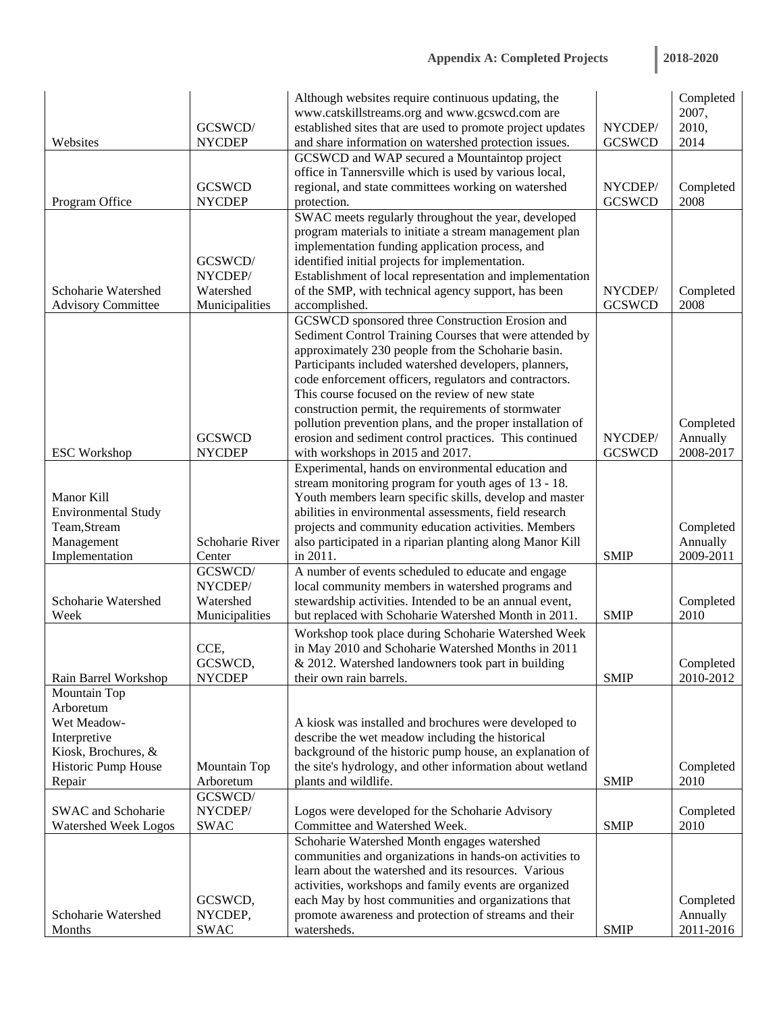|                            |                    | Although websites require continuous updating, the                                                          |               | Completed         |
|----------------------------|--------------------|-------------------------------------------------------------------------------------------------------------|---------------|-------------------|
|                            |                    | www.catskillstreams.org and www.gcswcd.com are                                                              |               | 2007,             |
|                            | GCSWCD/            | established sites that are used to promote project updates                                                  | NYCDEP/       | 2010,             |
| Websites                   | <b>NYCDEP</b>      | and share information on watershed protection issues.                                                       | <b>GCSWCD</b> | 2014              |
|                            |                    | GCSWCD and WAP secured a Mountaintop project                                                                |               |                   |
|                            |                    | office in Tannersville which is used by various local,                                                      |               |                   |
|                            | <b>GCSWCD</b>      | regional, and state committees working on watershed                                                         | NYCDEP/       | Completed         |
| Program Office             | <b>NYCDEP</b>      | protection.                                                                                                 | <b>GCSWCD</b> | 2008              |
|                            |                    | SWAC meets regularly throughout the year, developed                                                         |               |                   |
|                            |                    | program materials to initiate a stream management plan                                                      |               |                   |
|                            |                    | implementation funding application process, and                                                             |               |                   |
|                            | GCSWCD/<br>NYCDEP/ | identified initial projects for implementation.<br>Establishment of local representation and implementation |               |                   |
| Schoharie Watershed        | Watershed          | of the SMP, with technical agency support, has been                                                         | NYCDEP/       |                   |
| <b>Advisory Committee</b>  | Municipalities     | accomplished.                                                                                               | <b>GCSWCD</b> | Completed<br>2008 |
|                            |                    | GCSWCD sponsored three Construction Erosion and                                                             |               |                   |
|                            |                    | Sediment Control Training Courses that were attended by                                                     |               |                   |
|                            |                    | approximately 230 people from the Schoharie basin.                                                          |               |                   |
|                            |                    | Participants included watershed developers, planners,                                                       |               |                   |
|                            |                    | code enforcement officers, regulators and contractors.                                                      |               |                   |
|                            |                    | This course focused on the review of new state                                                              |               |                   |
|                            |                    | construction permit, the requirements of stormwater                                                         |               |                   |
|                            |                    | pollution prevention plans, and the proper installation of                                                  |               | Completed         |
|                            | <b>GCSWCD</b>      | erosion and sediment control practices. This continued                                                      | NYCDEP/       | Annually          |
| <b>ESC Workshop</b>        | <b>NYCDEP</b>      | with workshops in 2015 and 2017.                                                                            | <b>GCSWCD</b> | 2008-2017         |
|                            |                    | Experimental, hands on environmental education and                                                          |               |                   |
|                            |                    | stream monitoring program for youth ages of 13 - 18.                                                        |               |                   |
| Manor Kill                 |                    | Youth members learn specific skills, develop and master                                                     |               |                   |
| <b>Environmental Study</b> |                    | abilities in environmental assessments, field research                                                      |               |                   |
| Team, Stream               |                    | projects and community education activities. Members                                                        |               | Completed         |
| Management                 | Schoharie River    | also participated in a riparian planting along Manor Kill                                                   |               | Annually          |
| Implementation             | Center             | in 2011.                                                                                                    | <b>SMIP</b>   | 2009-2011         |
|                            | GCSWCD/            | A number of events scheduled to educate and engage                                                          |               |                   |
|                            | NYCDEP/            | local community members in watershed programs and                                                           |               |                   |
| Schoharie Watershed        | Watershed          | stewardship activities. Intended to be an annual event,                                                     |               | Completed         |
| Week                       | Municipalities     | but replaced with Schoharie Watershed Month in 2011.                                                        | <b>SMIP</b>   | 2010              |
|                            |                    | Workshop took place during Schoharie Watershed Week                                                         |               |                   |
|                            | CCE,               | in May 2010 and Schoharie Watershed Months in 2011                                                          |               |                   |
|                            | GCSWCD,            | & 2012. Watershed landowners took part in building                                                          |               | Completed         |
| Rain Barrel Workshop       | <b>NYCDEP</b>      | their own rain barrels.                                                                                     | <b>SMIP</b>   | 2010-2012         |
| Mountain Top               |                    |                                                                                                             |               |                   |
| Arboretum                  |                    |                                                                                                             |               |                   |
| Wet Meadow-                |                    | A kiosk was installed and brochures were developed to                                                       |               |                   |
| Interpretive               |                    | describe the wet meadow including the historical                                                            |               |                   |
| Kiosk, Brochures, &        |                    | background of the historic pump house, an explanation of                                                    |               |                   |
| Historic Pump House        | Mountain Top       | the site's hydrology, and other information about wetland                                                   |               | Completed         |
| Repair                     | Arboretum          | plants and wildlife.                                                                                        | <b>SMIP</b>   | 2010              |
|                            | GCSWCD/            |                                                                                                             |               |                   |
| SWAC and Schoharie         | NYCDEP/            | Logos were developed for the Schoharie Advisory                                                             |               | Completed         |
| Watershed Week Logos       | <b>SWAC</b>        | Committee and Watershed Week.                                                                               | <b>SMIP</b>   | 2010              |
|                            |                    | Schoharie Watershed Month engages watershed                                                                 |               |                   |
|                            |                    | communities and organizations in hands-on activities to                                                     |               |                   |
|                            |                    | learn about the watershed and its resources. Various                                                        |               |                   |
|                            |                    | activities, workshops and family events are organized                                                       |               |                   |
|                            | GCSWCD,            | each May by host communities and organizations that                                                         |               | Completed         |
| Schoharie Watershed        | NYCDEP,            | promote awareness and protection of streams and their                                                       |               | Annually          |
| Months                     | <b>SWAC</b>        | watersheds.                                                                                                 | <b>SMIP</b>   | 2011-2016         |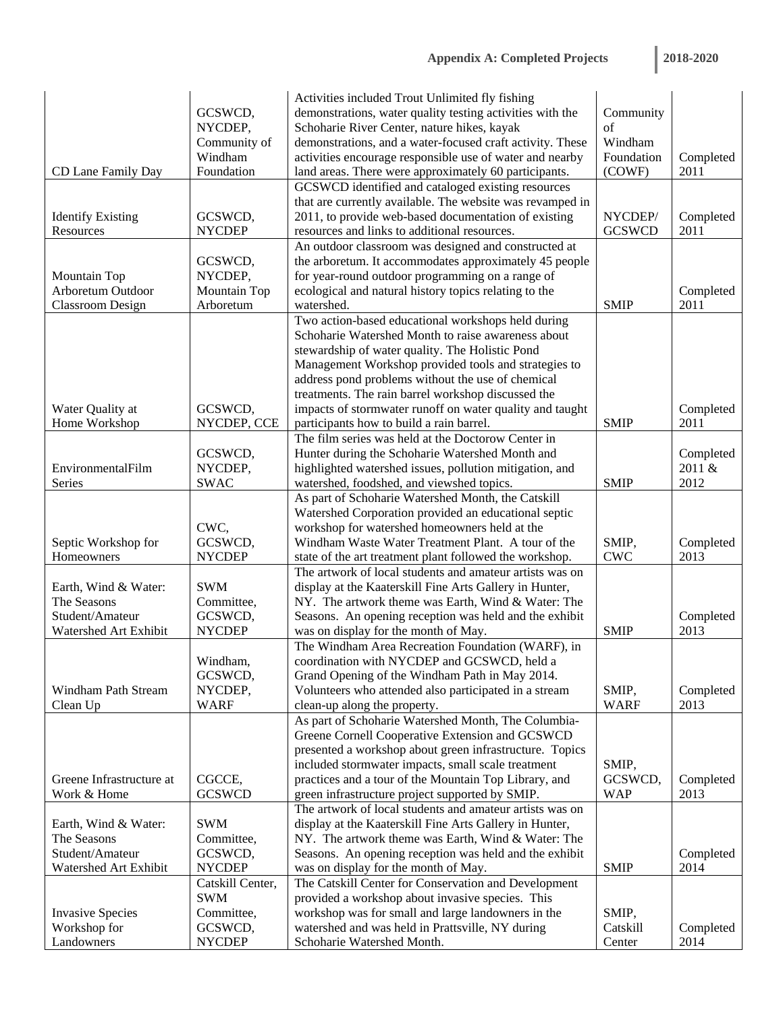|                                   |                  | Activities included Trout Unlimited fly fishing                                                               |               |                     |
|-----------------------------------|------------------|---------------------------------------------------------------------------------------------------------------|---------------|---------------------|
|                                   | GCSWCD,          | demonstrations, water quality testing activities with the                                                     | Community     |                     |
|                                   | NYCDEP,          | Schoharie River Center, nature hikes, kayak                                                                   | of            |                     |
|                                   | Community of     | demonstrations, and a water-focused craft activity. These                                                     | Windham       |                     |
|                                   | Windham          | activities encourage responsible use of water and nearby                                                      | Foundation    | Completed           |
| CD Lane Family Day                | Foundation       | land areas. There were approximately 60 participants.                                                         | (COWF)        | 2011                |
|                                   |                  | GCSWCD identified and cataloged existing resources                                                            |               |                     |
|                                   |                  | that are currently available. The website was revamped in                                                     |               |                     |
| <b>Identify Existing</b>          | GCSWCD,          | 2011, to provide web-based documentation of existing                                                          | NYCDEP/       | Completed           |
| Resources                         | <b>NYCDEP</b>    | resources and links to additional resources.                                                                  | <b>GCSWCD</b> | 2011                |
|                                   |                  | An outdoor classroom was designed and constructed at                                                          |               |                     |
|                                   | GCSWCD,          | the arboretum. It accommodates approximately 45 people                                                        |               |                     |
| Mountain Top                      | NYCDEP,          | for year-round outdoor programming on a range of                                                              |               |                     |
| Arboretum Outdoor                 | Mountain Top     | ecological and natural history topics relating to the                                                         |               | Completed           |
| <b>Classroom Design</b>           | Arboretum        | watershed.                                                                                                    | <b>SMIP</b>   | 2011                |
|                                   |                  | Two action-based educational workshops held during                                                            |               |                     |
|                                   |                  | Schoharie Watershed Month to raise awareness about                                                            |               |                     |
|                                   |                  | stewardship of water quality. The Holistic Pond                                                               |               |                     |
|                                   |                  | Management Workshop provided tools and strategies to                                                          |               |                     |
|                                   |                  | address pond problems without the use of chemical                                                             |               |                     |
|                                   |                  | treatments. The rain barrel workshop discussed the                                                            |               |                     |
| Water Quality at                  | GCSWCD,          | impacts of stormwater runoff on water quality and taught                                                      |               | Completed           |
| Home Workshop                     | NYCDEP, CCE      | participants how to build a rain barrel.                                                                      | <b>SMIP</b>   | 2011                |
|                                   |                  | The film series was held at the Doctorow Center in                                                            |               |                     |
|                                   | GCSWCD,          | Hunter during the Schoharie Watershed Month and                                                               |               | Completed<br>2011 & |
| EnvironmentalFilm                 | NYCDEP,          | highlighted watershed issues, pollution mitigation, and                                                       |               |                     |
| Series                            | <b>SWAC</b>      | watershed, foodshed, and viewshed topics.                                                                     | <b>SMIP</b>   | 2012                |
|                                   |                  | As part of Schoharie Watershed Month, the Catskill                                                            |               |                     |
|                                   | CWC,             | Watershed Corporation provided an educational septic                                                          |               |                     |
|                                   | GCSWCD,          | workshop for watershed homeowners held at the                                                                 | SMIP,         |                     |
| Septic Workshop for<br>Homeowners | <b>NYCDEP</b>    | Windham Waste Water Treatment Plant. A tour of the<br>state of the art treatment plant followed the workshop. | <b>CWC</b>    | Completed<br>2013   |
|                                   |                  | The artwork of local students and amateur artists was on                                                      |               |                     |
| Earth, Wind & Water:              | <b>SWM</b>       | display at the Kaaterskill Fine Arts Gallery in Hunter,                                                       |               |                     |
| The Seasons                       | Committee,       | NY. The artwork theme was Earth, Wind & Water: The                                                            |               |                     |
| Student/Amateur                   | GCSWCD,          | Seasons. An opening reception was held and the exhibit                                                        |               | Completed           |
| Watershed Art Exhibit             | <b>NYCDEP</b>    | was on display for the month of May.                                                                          | <b>SMIP</b>   | 2013                |
|                                   |                  | The Windham Area Recreation Foundation (WARF), in                                                             |               |                     |
|                                   | Windham,         | coordination with NYCDEP and GCSWCD, held a                                                                   |               |                     |
|                                   | GCSWCD,          | Grand Opening of the Windham Path in May 2014.                                                                |               |                     |
| Windham Path Stream               | NYCDEP,          | Volunteers who attended also participated in a stream                                                         | SMIP,         | Completed           |
| Clean Up                          | <b>WARF</b>      | clean-up along the property.                                                                                  | <b>WARF</b>   | 2013                |
|                                   |                  | As part of Schoharie Watershed Month, The Columbia-                                                           |               |                     |
|                                   |                  | Greene Cornell Cooperative Extension and GCSWCD                                                               |               |                     |
|                                   |                  | presented a workshop about green infrastructure. Topics                                                       |               |                     |
|                                   |                  | included stormwater impacts, small scale treatment                                                            | SMIP,         |                     |
| Greene Infrastructure at          | CGCCE,           | practices and a tour of the Mountain Top Library, and                                                         | GCSWCD,       | Completed           |
| Work & Home                       | <b>GCSWCD</b>    | green infrastructure project supported by SMIP.                                                               | <b>WAP</b>    | 2013                |
|                                   |                  | The artwork of local students and amateur artists was on                                                      |               |                     |
| Earth, Wind & Water:              | <b>SWM</b>       | display at the Kaaterskill Fine Arts Gallery in Hunter,                                                       |               |                     |
| The Seasons                       | Committee,       | NY. The artwork theme was Earth, Wind & Water: The                                                            |               |                     |
| Student/Amateur                   | GCSWCD,          | Seasons. An opening reception was held and the exhibit                                                        |               | Completed           |
| Watershed Art Exhibit             | <b>NYCDEP</b>    | was on display for the month of May.                                                                          | <b>SMIP</b>   | 2014                |
|                                   | Catskill Center, | The Catskill Center for Conservation and Development                                                          |               |                     |
|                                   | <b>SWM</b>       | provided a workshop about invasive species. This                                                              |               |                     |
| <b>Invasive Species</b>           | Committee,       | workshop was for small and large landowners in the                                                            | SMIP,         |                     |
| Workshop for                      | GCSWCD,          | watershed and was held in Prattsville, NY during                                                              | Catskill      | Completed           |
| Landowners                        | <b>NYCDEP</b>    | Schoharie Watershed Month.                                                                                    | Center        | 2014                |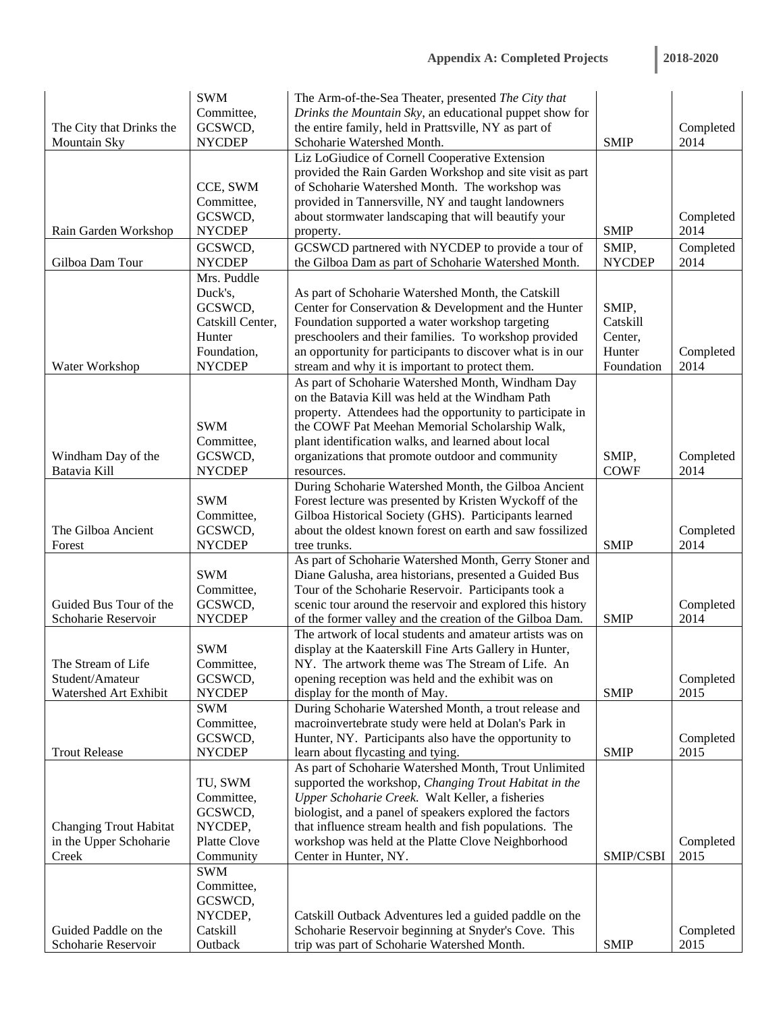|  |  |  |  | 2018-2020 |  |
|--|--|--|--|-----------|--|
|  |  |  |  |           |  |

|                               | <b>SWM</b>               | The Arm-of-the-Sea Theater, presented The City that        |               |           |
|-------------------------------|--------------------------|------------------------------------------------------------|---------------|-----------|
|                               | Committee,               | Drinks the Mountain Sky, an educational puppet show for    |               |           |
| The City that Drinks the      | GCSWCD,                  | the entire family, held in Prattsville, NY as part of      |               | Completed |
| Mountain Sky                  | <b>NYCDEP</b>            | Schoharie Watershed Month.                                 | <b>SMIP</b>   | 2014      |
|                               |                          | Liz LoGiudice of Cornell Cooperative Extension             |               |           |
|                               |                          | provided the Rain Garden Workshop and site visit as part   |               |           |
|                               | CCE, SWM                 | of Schoharie Watershed Month. The workshop was             |               |           |
|                               | Committee,               | provided in Tannersville, NY and taught landowners         |               |           |
|                               | GCSWCD,                  | about stormwater landscaping that will beautify your       |               | Completed |
| Rain Garden Workshop          | <b>NYCDEP</b>            | property.                                                  | <b>SMIP</b>   | 2014      |
|                               | GCSWCD,                  | GCSWCD partnered with NYCDEP to provide a tour of          | SMIP,         | Completed |
| Gilboa Dam Tour               | <b>NYCDEP</b>            | the Gilboa Dam as part of Schoharie Watershed Month.       | <b>NYCDEP</b> | 2014      |
|                               | Mrs. Puddle              |                                                            |               |           |
|                               | Duck's,                  | As part of Schoharie Watershed Month, the Catskill         |               |           |
|                               | GCSWCD,                  | Center for Conservation & Development and the Hunter       | SMIP,         |           |
|                               | Catskill Center,         | Foundation supported a water workshop targeting            | Catskill      |           |
|                               | Hunter                   | preschoolers and their families. To workshop provided      | Center,       |           |
|                               | Foundation,              | an opportunity for participants to discover what is in our | Hunter        | Completed |
| Water Workshop                | <b>NYCDEP</b>            | stream and why it is important to protect them.            | Foundation    | 2014      |
|                               |                          | As part of Schoharie Watershed Month, Windham Day          |               |           |
|                               |                          | on the Batavia Kill was held at the Windham Path           |               |           |
|                               |                          | property. Attendees had the opportunity to participate in  |               |           |
|                               | <b>SWM</b>               | the COWF Pat Meehan Memorial Scholarship Walk,             |               |           |
|                               | Committee,               | plant identification walks, and learned about local        |               |           |
| Windham Day of the            | GCSWCD,                  | organizations that promote outdoor and community           | SMIP,         | Completed |
| Batavia Kill                  | <b>NYCDEP</b>            | resources.                                                 | <b>COWF</b>   | 2014      |
|                               |                          | During Schoharie Watershed Month, the Gilboa Ancient       |               |           |
|                               | <b>SWM</b>               | Forest lecture was presented by Kristen Wyckoff of the     |               |           |
|                               | Committee,               | Gilboa Historical Society (GHS). Participants learned      |               |           |
| The Gilboa Ancient            | GCSWCD,                  | about the oldest known forest on earth and saw fossilized  |               | Completed |
| Forest                        | <b>NYCDEP</b>            | tree trunks.                                               | <b>SMIP</b>   | 2014      |
|                               |                          | As part of Schoharie Watershed Month, Gerry Stoner and     |               |           |
|                               | <b>SWM</b>               | Diane Galusha, area historians, presented a Guided Bus     |               |           |
|                               | Committee,               | Tour of the Schoharie Reservoir. Participants took a       |               |           |
| Guided Bus Tour of the        | GCSWCD,                  | scenic tour around the reservoir and explored this history |               | Completed |
| Schoharie Reservoir           | <b>NYCDEP</b>            | of the former valley and the creation of the Gilboa Dam.   | <b>SMIP</b>   | 2014      |
|                               |                          | The artwork of local students and amateur artists was on   |               |           |
|                               | <b>SWM</b>               | display at the Kaaterskill Fine Arts Gallery in Hunter,    |               |           |
| The Stream of Life            | Committee,               | NY. The artwork theme was The Stream of Life. An           |               |           |
| Student/Amateur               | GCSWCD,                  | opening reception was held and the exhibit was on          |               | Completed |
| Watershed Art Exhibit         | <b>NYCDEP</b>            | display for the month of May.                              | <b>SMIP</b>   | 2015      |
|                               | <b>SWM</b>               | During Schoharie Watershed Month, a trout release and      |               |           |
|                               | Committee,               | macroinvertebrate study were held at Dolan's Park in       |               |           |
|                               | GCSWCD,                  | Hunter, NY. Participants also have the opportunity to      |               | Completed |
| <b>Trout Release</b>          | <b>NYCDEP</b>            | learn about flycasting and tying.                          | <b>SMIP</b>   | 2015      |
|                               |                          | As part of Schoharie Watershed Month, Trout Unlimited      |               |           |
|                               | TU, SWM                  | supported the workshop, Changing Trout Habitat in the      |               |           |
|                               | Committee,               | Upper Schoharie Creek. Walt Keller, a fisheries            |               |           |
|                               | GCSWCD,                  | biologist, and a panel of speakers explored the factors    |               |           |
| <b>Changing Trout Habitat</b> | NYCDEP,                  | that influence stream health and fish populations. The     |               |           |
| in the Upper Schoharie        | Platte Clove             | workshop was held at the Platte Clove Neighborhood         |               | Completed |
| Creek                         | Community                | Center in Hunter, NY.                                      | SMIP/CSBI     | 2015      |
|                               | <b>SWM</b><br>Committee, |                                                            |               |           |
|                               | GCSWCD,                  |                                                            |               |           |
|                               | NYCDEP,                  | Catskill Outback Adventures led a guided paddle on the     |               |           |
| Guided Paddle on the          | Catskill                 | Schoharie Reservoir beginning at Snyder's Cove. This       |               | Completed |
|                               |                          |                                                            |               |           |
| Schoharie Reservoir           | Outback                  | trip was part of Schoharie Watershed Month.                | <b>SMIP</b>   | 2015      |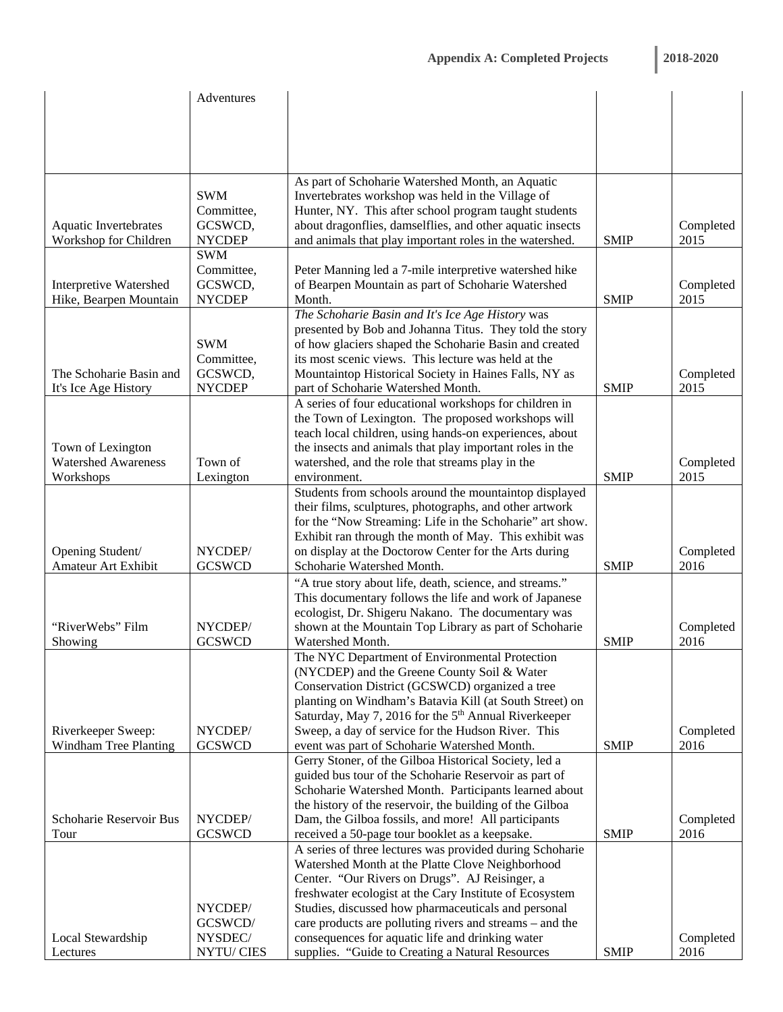|                              | Adventures    |                                                                  |             |           |
|------------------------------|---------------|------------------------------------------------------------------|-------------|-----------|
|                              |               |                                                                  |             |           |
|                              |               |                                                                  |             |           |
|                              |               |                                                                  |             |           |
|                              |               |                                                                  |             |           |
|                              |               |                                                                  |             |           |
|                              |               | As part of Schoharie Watershed Month, an Aquatic                 |             |           |
|                              | <b>SWM</b>    | Invertebrates workshop was held in the Village of                |             |           |
|                              | Committee,    | Hunter, NY. This after school program taught students            |             |           |
| <b>Aquatic Invertebrates</b> | GCSWCD,       | about dragonflies, damselflies, and other aquatic insects        |             | Completed |
| Workshop for Children        | <b>NYCDEP</b> | and animals that play important roles in the watershed.          | <b>SMIP</b> | 2015      |
|                              | <b>SWM</b>    |                                                                  |             |           |
|                              | Committee,    | Peter Manning led a 7-mile interpretive watershed hike           |             |           |
| Interpretive Watershed       | GCSWCD,       | of Bearpen Mountain as part of Schoharie Watershed               |             | Completed |
| Hike, Bearpen Mountain       | <b>NYCDEP</b> | Month.                                                           | <b>SMIP</b> | 2015      |
|                              |               | The Schoharie Basin and It's Ice Age History was                 |             |           |
|                              |               | presented by Bob and Johanna Titus. They told the story          |             |           |
|                              | <b>SWM</b>    | of how glaciers shaped the Schoharie Basin and created           |             |           |
|                              | Committee,    | its most scenic views. This lecture was held at the              |             |           |
| The Schoharie Basin and      | GCSWCD,       | Mountaintop Historical Society in Haines Falls, NY as            |             | Completed |
| It's Ice Age History         | <b>NYCDEP</b> | part of Schoharie Watershed Month.                               | <b>SMIP</b> | 2015      |
|                              |               | A series of four educational workshops for children in           |             |           |
|                              |               | the Town of Lexington. The proposed workshops will               |             |           |
|                              |               | teach local children, using hands-on experiences, about          |             |           |
| Town of Lexington            |               | the insects and animals that play important roles in the         |             |           |
| <b>Watershed Awareness</b>   | Town of       | watershed, and the role that streams play in the                 |             | Completed |
| Workshops                    | Lexington     | environment.                                                     | <b>SMIP</b> | 2015      |
|                              |               | Students from schools around the mountaintop displayed           |             |           |
|                              |               | their films, sculptures, photographs, and other artwork          |             |           |
|                              |               | for the "Now Streaming: Life in the Schoharie" art show.         |             |           |
|                              |               | Exhibit ran through the month of May. This exhibit was           |             |           |
| Opening Student/             | NYCDEP/       | on display at the Doctorow Center for the Arts during            |             | Completed |
| <b>Amateur Art Exhibit</b>   | <b>GCSWCD</b> | Schoharie Watershed Month.                                       | <b>SMIP</b> | 2016      |
|                              |               | "A true story about life, death, science, and streams."          |             |           |
|                              |               | This documentary follows the life and work of Japanese           |             |           |
|                              |               | ecologist, Dr. Shigeru Nakano. The documentary was               |             |           |
| "RiverWebs" Film             | NYCDEP/       | shown at the Mountain Top Library as part of Schoharie           |             | Completed |
| Showing                      | <b>GCSWCD</b> | Watershed Month.                                                 | <b>SMIP</b> | 2016      |
|                              |               | The NYC Department of Environmental Protection                   |             |           |
|                              |               | (NYCDEP) and the Greene County Soil & Water                      |             |           |
|                              |               | Conservation District (GCSWCD) organized a tree                  |             |           |
|                              |               | planting on Windham's Batavia Kill (at South Street) on          |             |           |
|                              |               | Saturday, May 7, 2016 for the 5 <sup>th</sup> Annual Riverkeeper |             |           |
| Riverkeeper Sweep:           | NYCDEP/       | Sweep, a day of service for the Hudson River. This               |             | Completed |
| <b>Windham Tree Planting</b> | <b>GCSWCD</b> | event was part of Schoharie Watershed Month.                     | <b>SMIP</b> | 2016      |
|                              |               | Gerry Stoner, of the Gilboa Historical Society, led a            |             |           |
|                              |               | guided bus tour of the Schoharie Reservoir as part of            |             |           |
|                              |               | Schoharie Watershed Month. Participants learned about            |             |           |
|                              |               | the history of the reservoir, the building of the Gilboa         |             |           |
| Schoharie Reservoir Bus      | NYCDEP/       | Dam, the Gilboa fossils, and more! All participants              |             | Completed |
| Tour                         | <b>GCSWCD</b> | received a 50-page tour booklet as a keepsake.                   | <b>SMIP</b> | 2016      |
|                              |               | A series of three lectures was provided during Schoharie         |             |           |
|                              |               | Watershed Month at the Platte Clove Neighborhood                 |             |           |
|                              |               | Center. "Our Rivers on Drugs". AJ Reisinger, a                   |             |           |
|                              |               | freshwater ecologist at the Cary Institute of Ecosystem          |             |           |
|                              | NYCDEP/       | Studies, discussed how pharmaceuticals and personal              |             |           |
|                              | GCSWCD/       | care products are polluting rivers and streams – and the         |             |           |
| Local Stewardship            | NYSDEC/       | consequences for aquatic life and drinking water                 |             | Completed |
| Lectures                     | NYTU/CIES     | supplies. "Guide to Creating a Natural Resources                 | <b>SMIP</b> | 2016      |
|                              |               |                                                                  |             |           |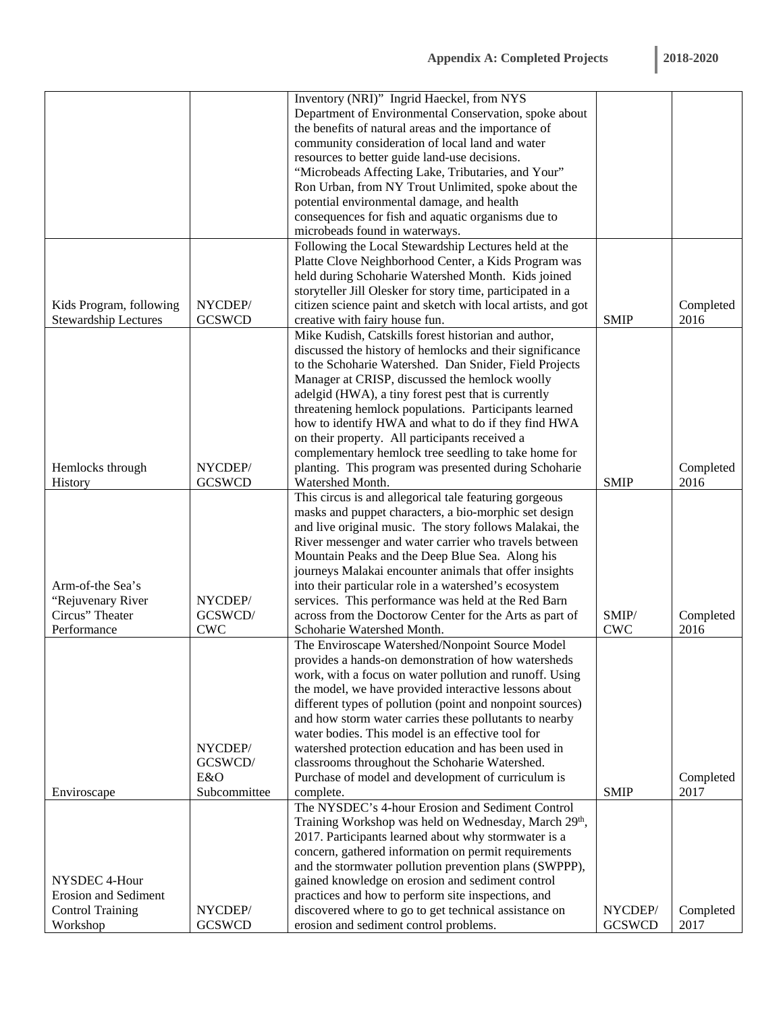|                             |                    | Inventory (NRI)" Ingrid Haeckel, from NYS                       |               |                   |
|-----------------------------|--------------------|-----------------------------------------------------------------|---------------|-------------------|
|                             |                    | Department of Environmental Conservation, spoke about           |               |                   |
|                             |                    | the benefits of natural areas and the importance of             |               |                   |
|                             |                    | community consideration of local land and water                 |               |                   |
|                             |                    | resources to better guide land-use decisions.                   |               |                   |
|                             |                    | "Microbeads Affecting Lake, Tributaries, and Your"              |               |                   |
|                             |                    | Ron Urban, from NY Trout Unlimited, spoke about the             |               |                   |
|                             |                    | potential environmental damage, and health                      |               |                   |
|                             |                    | consequences for fish and aquatic organisms due to              |               |                   |
|                             |                    | microbeads found in waterways.                                  |               |                   |
|                             |                    | Following the Local Stewardship Lectures held at the            |               |                   |
|                             |                    | Platte Clove Neighborhood Center, a Kids Program was            |               |                   |
|                             |                    | held during Schoharie Watershed Month. Kids joined              |               |                   |
|                             |                    | storyteller Jill Olesker for story time, participated in a      |               |                   |
| Kids Program, following     | NYCDEP/            | citizen science paint and sketch with local artists, and got    |               | Completed         |
| <b>Stewardship Lectures</b> | <b>GCSWCD</b>      | creative with fairy house fun.                                  | <b>SMIP</b>   | 2016              |
|                             |                    | Mike Kudish, Catskills forest historian and author,             |               |                   |
|                             |                    | discussed the history of hemlocks and their significance        |               |                   |
|                             |                    | to the Schoharie Watershed. Dan Snider, Field Projects          |               |                   |
|                             |                    | Manager at CRISP, discussed the hemlock woolly                  |               |                   |
|                             |                    | adelgid (HWA), a tiny forest pest that is currently             |               |                   |
|                             |                    | threatening hemlock populations. Participants learned           |               |                   |
|                             |                    | how to identify HWA and what to do if they find HWA             |               |                   |
|                             |                    | on their property. All participants received a                  |               |                   |
|                             |                    | complementary hemlock tree seedling to take home for            |               |                   |
| Hemlocks through            | NYCDEP/            | planting. This program was presented during Schoharie           |               | Completed         |
| History                     | <b>GCSWCD</b>      | Watershed Month.                                                | <b>SMIP</b>   | 2016              |
|                             |                    | This circus is and allegorical tale featuring gorgeous          |               |                   |
|                             |                    | masks and puppet characters, a bio-morphic set design           |               |                   |
|                             |                    | and live original music. The story follows Malakai, the         |               |                   |
|                             |                    | River messenger and water carrier who travels between           |               |                   |
|                             |                    | Mountain Peaks and the Deep Blue Sea. Along his                 |               |                   |
|                             |                    | journeys Malakai encounter animals that offer insights          |               |                   |
| Arm-of-the Sea's            |                    | into their particular role in a watershed's ecosystem           |               |                   |
| "Rejuvenary River           | NYCDEP/            | services. This performance was held at the Red Barn             |               |                   |
| Circus" Theater             | GCSWCD/            | across from the Doctorow Center for the Arts as part of         | SMIP/         | Completed         |
| Performance                 | <b>CWC</b>         | Schoharie Watershed Month.                                      | <b>CWC</b>    | 2016              |
|                             |                    | The Enviroscape Watershed/Nonpoint Source Model                 |               |                   |
|                             |                    | provides a hands-on demonstration of how watersheds             |               |                   |
|                             |                    | work, with a focus on water pollution and runoff. Using         |               |                   |
|                             |                    | the model, we have provided interactive lessons about           |               |                   |
|                             |                    | different types of pollution (point and nonpoint sources)       |               |                   |
|                             |                    | and how storm water carries these pollutants to nearby          |               |                   |
|                             |                    | water bodies. This model is an effective tool for               |               |                   |
|                             | NYCDEP/<br>GCSWCD/ | watershed protection education and has been used in             |               |                   |
|                             | E&O                | classrooms throughout the Schoharie Watershed.                  |               |                   |
| Enviroscape                 | Subcommittee       | Purchase of model and development of curriculum is<br>complete. | <b>SMIP</b>   | Completed<br>2017 |
|                             |                    | The NYSDEC's 4-hour Erosion and Sediment Control                |               |                   |
|                             |                    | Training Workshop was held on Wednesday, March 29th,            |               |                   |
|                             |                    | 2017. Participants learned about why stormwater is a            |               |                   |
|                             |                    | concern, gathered information on permit requirements            |               |                   |
|                             |                    | and the stormwater pollution prevention plans (SWPPP),          |               |                   |
| NYSDEC 4-Hour               |                    | gained knowledge on erosion and sediment control                |               |                   |
| <b>Erosion and Sediment</b> |                    | practices and how to perform site inspections, and              |               |                   |
| <b>Control Training</b>     | NYCDEP/            | discovered where to go to get technical assistance on           | NYCDEP/       | Completed         |
| Workshop                    | <b>GCSWCD</b>      | erosion and sediment control problems.                          | <b>GCSWCD</b> | 2017              |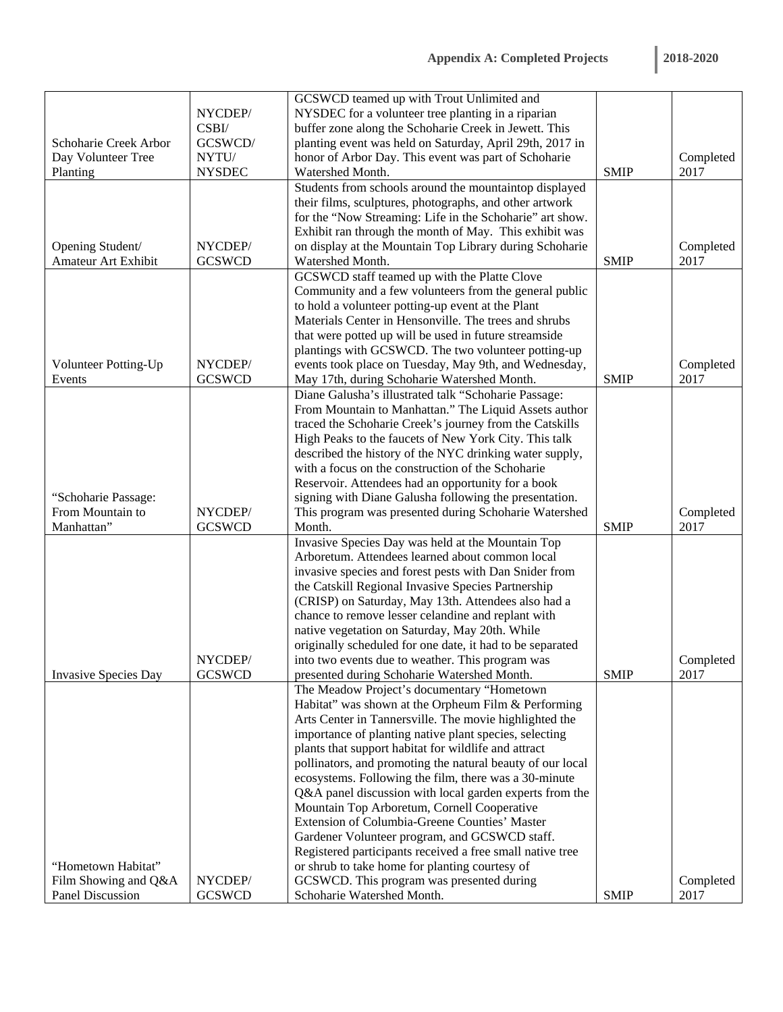|                             |                          | GCSWCD teamed up with Trout Unlimited and                                                                    |             |           |
|-----------------------------|--------------------------|--------------------------------------------------------------------------------------------------------------|-------------|-----------|
|                             | NYCDEP/                  | NYSDEC for a volunteer tree planting in a riparian                                                           |             |           |
|                             | CSBI/                    | buffer zone along the Schoharie Creek in Jewett. This                                                        |             |           |
| Schoharie Creek Arbor       | GCSWCD/                  | planting event was held on Saturday, April 29th, 2017 in                                                     |             |           |
| Day Volunteer Tree          | NYTU/                    | honor of Arbor Day. This event was part of Schoharie                                                         |             | Completed |
| Planting                    | <b>NYSDEC</b>            | Watershed Month.                                                                                             | <b>SMIP</b> | 2017      |
|                             |                          | Students from schools around the mountaintop displayed                                                       |             |           |
|                             |                          | their films, sculptures, photographs, and other artwork                                                      |             |           |
|                             |                          | for the "Now Streaming: Life in the Schoharie" art show.                                                     |             |           |
|                             |                          | Exhibit ran through the month of May. This exhibit was                                                       |             |           |
| Opening Student/            | NYCDEP/                  | on display at the Mountain Top Library during Schoharie                                                      |             | Completed |
| <b>Amateur Art Exhibit</b>  | <b>GCSWCD</b>            | Watershed Month.                                                                                             | <b>SMIP</b> | 2017      |
|                             |                          | GCSWCD staff teamed up with the Platte Clove                                                                 |             |           |
|                             |                          | Community and a few volunteers from the general public                                                       |             |           |
|                             |                          | to hold a volunteer potting-up event at the Plant                                                            |             |           |
|                             |                          | Materials Center in Hensonville. The trees and shrubs                                                        |             |           |
|                             |                          | that were potted up will be used in future streamside                                                        |             |           |
|                             |                          | plantings with GCSWCD. The two volunteer potting-up                                                          |             |           |
| Volunteer Potting-Up        | NYCDEP/                  | events took place on Tuesday, May 9th, and Wednesday,                                                        |             | Completed |
| Events                      | <b>GCSWCD</b>            | May 17th, during Schoharie Watershed Month.                                                                  | <b>SMIP</b> | 2017      |
|                             |                          | Diane Galusha's illustrated talk "Schoharie Passage:                                                         |             |           |
|                             |                          | From Mountain to Manhattan." The Liquid Assets author                                                        |             |           |
|                             |                          | traced the Schoharie Creek's journey from the Catskills                                                      |             |           |
|                             |                          | High Peaks to the faucets of New York City. This talk                                                        |             |           |
|                             |                          |                                                                                                              |             |           |
|                             |                          | described the history of the NYC drinking water supply,<br>with a focus on the construction of the Schoharie |             |           |
|                             |                          |                                                                                                              |             |           |
|                             |                          | Reservoir. Attendees had an opportunity for a book                                                           |             |           |
| "Schoharie Passage:         |                          | signing with Diane Galusha following the presentation.                                                       |             |           |
| From Mountain to            | NYCDEP/                  | This program was presented during Schoharie Watershed                                                        |             | Completed |
| Manhattan"                  | <b>GCSWCD</b>            | Month.                                                                                                       | <b>SMIP</b> | 2017      |
|                             |                          | Invasive Species Day was held at the Mountain Top                                                            |             |           |
|                             |                          | Arboretum. Attendees learned about common local                                                              |             |           |
|                             |                          | invasive species and forest pests with Dan Snider from                                                       |             |           |
|                             |                          | the Catskill Regional Invasive Species Partnership                                                           |             |           |
|                             |                          | (CRISP) on Saturday, May 13th. Attendees also had a                                                          |             |           |
|                             |                          | chance to remove lesser celandine and replant with                                                           |             |           |
|                             |                          | native vegetation on Saturday, May 20th. While                                                               |             |           |
|                             |                          | originally scheduled for one date, it had to be separated                                                    |             |           |
| <b>Invasive Species Day</b> | NYCDEP/<br><b>GCSWCD</b> | into two events due to weather. This program was                                                             |             | Completed |
|                             |                          | presented during Schoharie Watershed Month.                                                                  | <b>SMIP</b> | 2017      |
|                             |                          | The Meadow Project's documentary "Hometown                                                                   |             |           |
|                             |                          | Habitat" was shown at the Orpheum Film & Performing                                                          |             |           |
|                             |                          | Arts Center in Tannersville. The movie highlighted the                                                       |             |           |
|                             |                          | importance of planting native plant species, selecting                                                       |             |           |
|                             |                          | plants that support habitat for wildlife and attract                                                         |             |           |
|                             |                          | pollinators, and promoting the natural beauty of our local                                                   |             |           |
|                             |                          | ecosystems. Following the film, there was a 30-minute                                                        |             |           |
|                             |                          | Q&A panel discussion with local garden experts from the                                                      |             |           |
|                             |                          | Mountain Top Arboretum, Cornell Cooperative                                                                  |             |           |
|                             |                          | Extension of Columbia-Greene Counties' Master                                                                |             |           |
|                             |                          | Gardener Volunteer program, and GCSWCD staff.                                                                |             |           |
|                             |                          | Registered participants received a free small native tree                                                    |             |           |
| "Hometown Habitat"          |                          | or shrub to take home for planting courtesy of                                                               |             |           |
| Film Showing and Q&A        | NYCDEP/                  | GCSWCD. This program was presented during                                                                    |             | Completed |
| <b>Panel Discussion</b>     | <b>GCSWCD</b>            | Schoharie Watershed Month.                                                                                   | <b>SMIP</b> | 2017      |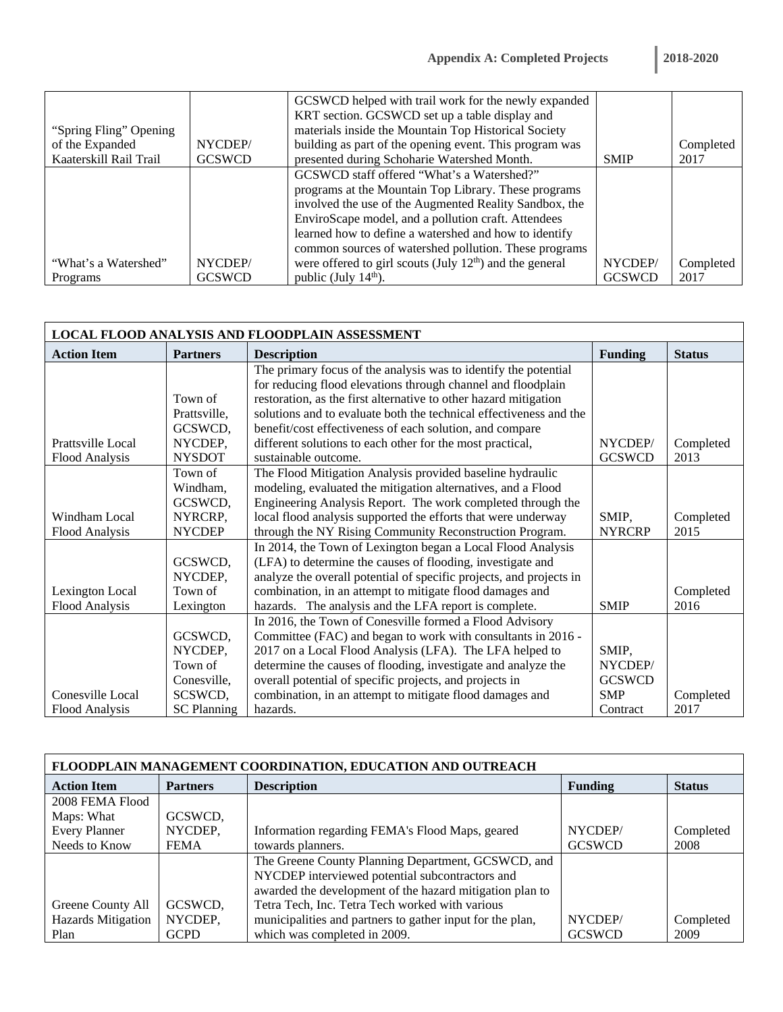| <b>2018-2020</b> |  |  |  |
|------------------|--|--|--|
|                  |  |  |  |

|                        |               | GCSWCD helped with trail work for the newly expanded       |               |           |
|------------------------|---------------|------------------------------------------------------------|---------------|-----------|
|                        |               | KRT section. GCSWCD set up a table display and             |               |           |
| "Spring Fling" Opening |               | materials inside the Mountain Top Historical Society       |               |           |
| of the Expanded        | NYCDEP/       | building as part of the opening event. This program was    |               | Completed |
| Kaaterskill Rail Trail | <b>GCSWCD</b> | presented during Schoharie Watershed Month.                | <b>SMIP</b>   | 2017      |
|                        |               | GCSWCD staff offered "What's a Watershed?"                 |               |           |
|                        |               | programs at the Mountain Top Library. These programs       |               |           |
|                        |               | involved the use of the Augmented Reality Sandbox, the     |               |           |
|                        |               | EnviroScape model, and a pollution craft. Attendees        |               |           |
|                        |               | learned how to define a watershed and how to identify      |               |           |
|                        |               | common sources of watershed pollution. These programs      |               |           |
| "What's a Watershed"   | NYCDEP/       | were offered to girl scouts (July $12th$ ) and the general | NYCDEP/       | Completed |
| Programs               | <b>GCSWCD</b> | public (July 14 <sup>th</sup> ).                           | <b>GCSWCD</b> | 2017      |

| LOCAL FLOOD ANALYSIS AND FLOODPLAIN ASSESSMENT |                    |                                                                     |                |               |  |  |
|------------------------------------------------|--------------------|---------------------------------------------------------------------|----------------|---------------|--|--|
| <b>Action Item</b>                             | <b>Partners</b>    | <b>Description</b>                                                  | <b>Funding</b> | <b>Status</b> |  |  |
|                                                |                    | The primary focus of the analysis was to identify the potential     |                |               |  |  |
|                                                |                    | for reducing flood elevations through channel and floodplain        |                |               |  |  |
|                                                | Town of            | restoration, as the first alternative to other hazard mitigation    |                |               |  |  |
|                                                | Prattsville,       | solutions and to evaluate both the technical effectiveness and the  |                |               |  |  |
|                                                | GCSWCD,            | benefit/cost effectiveness of each solution, and compare            |                |               |  |  |
| Prattsville Local                              | NYCDEP,            | different solutions to each other for the most practical,           | NYCDEP/        | Completed     |  |  |
| Flood Analysis                                 | <b>NYSDOT</b>      | sustainable outcome.                                                | <b>GCSWCD</b>  | 2013          |  |  |
|                                                | Town of            | The Flood Mitigation Analysis provided baseline hydraulic           |                |               |  |  |
|                                                | Windham,           | modeling, evaluated the mitigation alternatives, and a Flood        |                |               |  |  |
|                                                | GCSWCD,            | Engineering Analysis Report. The work completed through the         |                |               |  |  |
| Windham Local                                  | NYRCRP,            | local flood analysis supported the efforts that were underway       | SMIP,          | Completed     |  |  |
| Flood Analysis                                 | <b>NYCDEP</b>      | through the NY Rising Community Reconstruction Program.             | <b>NYRCRP</b>  | 2015          |  |  |
|                                                |                    | In 2014, the Town of Lexington began a Local Flood Analysis         |                |               |  |  |
|                                                | GCSWCD,            | (LFA) to determine the causes of flooding, investigate and          |                |               |  |  |
|                                                | NYCDEP,            | analyze the overall potential of specific projects, and projects in |                |               |  |  |
| Lexington Local                                | Town of            | combination, in an attempt to mitigate flood damages and            |                | Completed     |  |  |
| <b>Flood Analysis</b>                          | Lexington          | hazards. The analysis and the LFA report is complete.               | <b>SMIP</b>    | 2016          |  |  |
|                                                |                    | In 2016, the Town of Conesville formed a Flood Advisory             |                |               |  |  |
|                                                | GCSWCD,            | Committee (FAC) and began to work with consultants in 2016 -        |                |               |  |  |
|                                                | NYCDEP,            | 2017 on a Local Flood Analysis (LFA). The LFA helped to             | SMIP,          |               |  |  |
|                                                | Town of            | determine the causes of flooding, investigate and analyze the       | NYCDEP/        |               |  |  |
|                                                | Conesville.        | overall potential of specific projects, and projects in             | <b>GCSWCD</b>  |               |  |  |
| Conesville Local                               | SCSWCD,            | combination, in an attempt to mitigate flood damages and            | <b>SMP</b>     | Completed     |  |  |
| Flood Analysis                                 | <b>SC</b> Planning | hazards.                                                            | Contract       | 2017          |  |  |

| <b>FLOODPLAIN MANAGEMENT COORDINATION, EDUCATION AND OUTREACH</b> |                 |                                                           |                |               |  |
|-------------------------------------------------------------------|-----------------|-----------------------------------------------------------|----------------|---------------|--|
| <b>Action Item</b>                                                | <b>Partners</b> | <b>Description</b>                                        | <b>Funding</b> | <b>Status</b> |  |
| 2008 FEMA Flood                                                   |                 |                                                           |                |               |  |
| Maps: What                                                        | GCSWCD,         |                                                           |                |               |  |
| <b>Every Planner</b>                                              | NYCDEP,         | Information regarding FEMA's Flood Maps, geared           | NYCDEP/        | Completed     |  |
| Needs to Know                                                     | <b>FEMA</b>     | towards planners.                                         | <b>GCSWCD</b>  | 2008          |  |
|                                                                   |                 | The Greene County Planning Department, GCSWCD, and        |                |               |  |
|                                                                   |                 | NYCDEP interviewed potential subcontractors and           |                |               |  |
|                                                                   |                 | awarded the development of the hazard mitigation plan to  |                |               |  |
| Greene County All                                                 | GCSWCD,         | Tetra Tech, Inc. Tetra Tech worked with various           |                |               |  |
| <b>Hazards Mitigation</b>                                         | NYCDEP,         | municipalities and partners to gather input for the plan, | NYCDEP/        | Completed     |  |
| Plan                                                              | <b>GCPD</b>     | which was completed in 2009.                              | <b>GCSWCD</b>  | 2009          |  |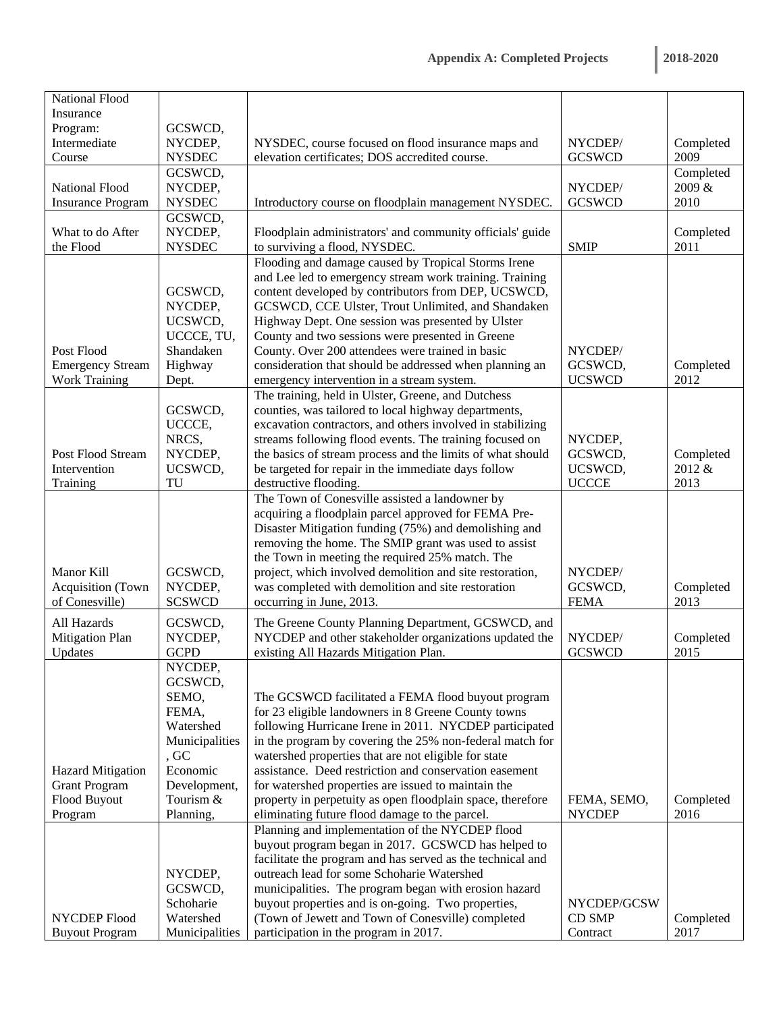| 2018-2020 |  |  |
|-----------|--|--|
|           |  |  |

| Insurance<br>Program:<br>GCSWCD,<br>Intermediate<br>NYCDEP,<br>NYSDEC, course focused on flood insurance maps and<br>NYCDEP/<br>Completed |           |
|-------------------------------------------------------------------------------------------------------------------------------------------|-----------|
|                                                                                                                                           |           |
|                                                                                                                                           |           |
|                                                                                                                                           |           |
| elevation certificates; DOS accredited course.<br>2009<br><b>NYSDEC</b><br><b>GCSWCD</b><br>Course                                        |           |
| GCSWCD,                                                                                                                                   | Completed |
| 2009 &<br><b>National Flood</b><br>NYCDEP,<br>NYCDEP/                                                                                     |           |
| <b>NYSDEC</b><br><b>GCSWCD</b><br>2010<br><b>Insurance Program</b><br>Introductory course on floodplain management NYSDEC.                |           |
| GCSWCD,                                                                                                                                   |           |
| NYCDEP,<br>What to do After<br>Floodplain administrators' and community officials' guide                                                  | Completed |
| <b>NYSDEC</b><br>2011<br>the Flood<br>to surviving a flood, NYSDEC.<br><b>SMIP</b>                                                        |           |
| Flooding and damage caused by Tropical Storms Irene                                                                                       |           |
| and Lee led to emergency stream work training. Training                                                                                   |           |
| content developed by contributors from DEP, UCSWCD,<br>GCSWCD,                                                                            |           |
| GCSWCD, CCE Ulster, Trout Unlimited, and Shandaken<br>NYCDEP,                                                                             |           |
| Highway Dept. One session was presented by Ulster<br>UCSWCD,                                                                              |           |
| County and two sessions were presented in Greene<br>UCCCE, TU,                                                                            |           |
| County. Over 200 attendees were trained in basic<br>Post Flood<br>Shandaken<br>NYCDEP/                                                    |           |
| <b>Emergency Stream</b><br>Highway<br>consideration that should be addressed when planning an<br>GCSWCD,                                  | Completed |
| <b>UCSWCD</b><br><b>Work Training</b><br>2012<br>emergency intervention in a stream system.                                               |           |
| Dept.<br>The training, held in Ulster, Greene, and Dutchess                                                                               |           |
|                                                                                                                                           |           |
| counties, was tailored to local highway departments,<br>GCSWCD,<br>UCCCE,                                                                 |           |
| excavation contractors, and others involved in stabilizing                                                                                |           |
| streams following flood events. The training focused on<br>NRCS,<br>NYCDEP,                                                               |           |
| the basics of stream process and the limits of what should<br>GCSWCD,<br>Post Flood Stream<br>NYCDEP,                                     | Completed |
| UCSWCD,<br>UCSWCD,<br>2012 &<br>be targeted for repair in the immediate days follow<br>Intervention                                       |           |
| <b>UCCCE</b><br>TU<br>destructive flooding.<br>2013<br>Training                                                                           |           |
| The Town of Conesville assisted a landowner by                                                                                            |           |
| acquiring a floodplain parcel approved for FEMA Pre-                                                                                      |           |
| Disaster Mitigation funding (75%) and demolishing and                                                                                     |           |
| removing the home. The SMIP grant was used to assist                                                                                      |           |
| the Town in meeting the required 25% match. The                                                                                           |           |
| Manor Kill<br>GCSWCD,<br>project, which involved demolition and site restoration,<br>NYCDEP/                                              |           |
| <b>Acquisition</b> (Town<br>NYCDEP,<br>was completed with demolition and site restoration<br>GCSWCD,                                      | Completed |
| of Conesville)<br><b>SCSWCD</b><br><b>FEMA</b><br>2013<br>occurring in June, 2013.                                                        |           |
| GCSWCD,<br>The Greene County Planning Department, GCSWCD, and<br>All Hazards                                                              |           |
| NYCDEP,<br>NYCDEP and other stakeholder organizations updated the<br>Mitigation Plan<br>NYCDEP/                                           | Completed |
| <b>GCPD</b><br>existing All Hazards Mitigation Plan.<br><b>GCSWCD</b><br>2015<br>Updates                                                  |           |
| NYCDEP,                                                                                                                                   |           |
| GCSWCD,                                                                                                                                   |           |
| SEMO,<br>The GCSWCD facilitated a FEMA flood buyout program                                                                               |           |
| for 23 eligible landowners in 8 Greene County towns<br>FEMA,                                                                              |           |
| Watershed<br>following Hurricane Irene in 2011. NYCDEP participated                                                                       |           |
| Municipalities<br>in the program by covering the 25% non-federal match for                                                                |           |
| , GC<br>watershed properties that are not eligible for state                                                                              |           |
| Economic<br>assistance. Deed restriction and conservation easement<br><b>Hazard Mitigation</b>                                            |           |
| for watershed properties are issued to maintain the<br><b>Grant Program</b><br>Development,                                               |           |
| Flood Buyout<br>property in perpetuity as open floodplain space, therefore<br>Tourism &<br>FEMA, SEMO,                                    | Completed |
| eliminating future flood damage to the parcel.<br><b>NYCDEP</b><br>2016<br>Program<br>Planning,                                           |           |
| Planning and implementation of the NYCDEP flood                                                                                           |           |
| buyout program began in 2017. GCSWCD has helped to                                                                                        |           |
| facilitate the program and has served as the technical and                                                                                |           |
| outreach lead for some Schoharie Watershed<br>NYCDEP,                                                                                     |           |
| GCSWCD,<br>municipalities. The program began with erosion hazard                                                                          |           |
| Schoharie<br>buyout properties and is on-going. Two properties,<br>NYCDEP/GCSW                                                            |           |
| NYCDEP Flood<br>Watershed<br>(Town of Jewett and Town of Conesville) completed<br><b>CD SMP</b>                                           | Completed |
| <b>Buyout Program</b><br>Municipalities<br>participation in the program in 2017.<br>Contract<br>2017                                      |           |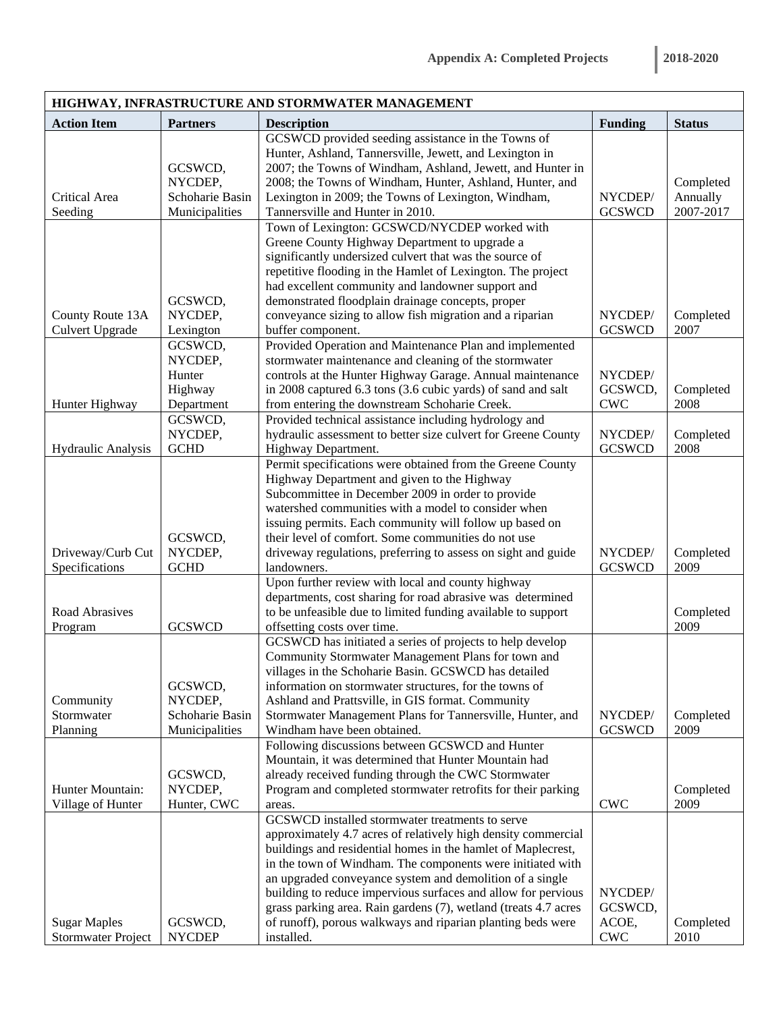|                        |                            | HIGHWAY, INFRASTRUCTURE AND STORMWATER MANAGEMENT                                                               |                           |                       |
|------------------------|----------------------------|-----------------------------------------------------------------------------------------------------------------|---------------------------|-----------------------|
| <b>Action Item</b>     | <b>Partners</b>            | <b>Description</b>                                                                                              | <b>Funding</b>            | <b>Status</b>         |
|                        |                            | GCSWCD provided seeding assistance in the Towns of                                                              |                           |                       |
|                        |                            | Hunter, Ashland, Tannersville, Jewett, and Lexington in                                                         |                           |                       |
|                        | GCSWCD,                    | 2007; the Towns of Windham, Ashland, Jewett, and Hunter in                                                      |                           |                       |
| Critical Area          | NYCDEP,<br>Schoharie Basin | 2008; the Towns of Windham, Hunter, Ashland, Hunter, and<br>Lexington in 2009; the Towns of Lexington, Windham, | NYCDEP/                   | Completed             |
| Seeding                | Municipalities             | Tannersville and Hunter in 2010.                                                                                | <b>GCSWCD</b>             | Annually<br>2007-2017 |
|                        |                            | Town of Lexington: GCSWCD/NYCDEP worked with                                                                    |                           |                       |
|                        |                            | Greene County Highway Department to upgrade a                                                                   |                           |                       |
|                        |                            | significantly undersized culvert that was the source of                                                         |                           |                       |
|                        |                            | repetitive flooding in the Hamlet of Lexington. The project                                                     |                           |                       |
|                        |                            | had excellent community and landowner support and                                                               |                           |                       |
|                        | GCSWCD,                    | demonstrated floodplain drainage concepts, proper                                                               |                           |                       |
| County Route 13A       | NYCDEP,                    | conveyance sizing to allow fish migration and a riparian                                                        | NYCDEP/                   | Completed             |
| <b>Culvert Upgrade</b> | Lexington                  | buffer component.                                                                                               | <b>GCSWCD</b>             | 2007                  |
|                        | GCSWCD,                    | Provided Operation and Maintenance Plan and implemented                                                         |                           |                       |
|                        | NYCDEP,                    | stormwater maintenance and cleaning of the stormwater                                                           |                           |                       |
|                        | Hunter                     | controls at the Hunter Highway Garage. Annual maintenance                                                       | NYCDEP/                   |                       |
|                        | Highway                    | in 2008 captured 6.3 tons (3.6 cubic yards) of sand and salt                                                    | GCSWCD,                   | Completed             |
| Hunter Highway         | Department                 | from entering the downstream Schoharie Creek.                                                                   | <b>CWC</b>                | 2008                  |
|                        | GCSWCD,                    | Provided technical assistance including hydrology and                                                           |                           |                       |
|                        | NYCDEP,                    | hydraulic assessment to better size culvert for Greene County                                                   | NYCDEP/                   | Completed             |
| Hydraulic Analysis     | <b>GCHD</b>                | Highway Department.                                                                                             | <b>GCSWCD</b>             | 2008                  |
|                        |                            | Permit specifications were obtained from the Greene County                                                      |                           |                       |
|                        |                            | Highway Department and given to the Highway                                                                     |                           |                       |
|                        |                            | Subcommittee in December 2009 in order to provide<br>watershed communities with a model to consider when        |                           |                       |
|                        |                            | issuing permits. Each community will follow up based on                                                         |                           |                       |
|                        | GCSWCD,                    | their level of comfort. Some communities do not use                                                             |                           |                       |
| Driveway/Curb Cut      | NYCDEP,                    | driveway regulations, preferring to assess on sight and guide                                                   | NYCDEP/                   | Completed             |
| Specifications         | <b>GCHD</b>                | landowners.                                                                                                     | <b>GCSWCD</b>             | 2009                  |
|                        |                            | Upon further review with local and county highway                                                               |                           |                       |
|                        |                            | departments, cost sharing for road abrasive was determined                                                      |                           |                       |
| Road Abrasives         |                            | to be unfeasible due to limited funding available to support                                                    |                           | Completed             |
| Program                | <b>GCSWCD</b>              | offsetting costs over time.                                                                                     |                           | 2009                  |
|                        |                            | GCSWCD has initiated a series of projects to help develop                                                       |                           |                       |
|                        |                            | Community Stormwater Management Plans for town and                                                              |                           |                       |
|                        |                            | villages in the Schoharie Basin. GCSWCD has detailed                                                            |                           |                       |
|                        | GCSWCD,                    | information on stormwater structures, for the towns of                                                          |                           |                       |
| Community              | NYCDEP,                    | Ashland and Prattsville, in GIS format. Community                                                               |                           |                       |
| Stormwater             | Schoharie Basin            | Stormwater Management Plans for Tannersville, Hunter, and                                                       | NYCDEP/                   | Completed             |
| Planning               | Municipalities             | Windham have been obtained.                                                                                     | <b>GCSWCD</b>             | 2009                  |
|                        |                            | Following discussions between GCSWCD and Hunter<br>Mountain, it was determined that Hunter Mountain had         |                           |                       |
|                        | GCSWCD,                    | already received funding through the CWC Stormwater                                                             |                           |                       |
| Hunter Mountain:       | NYCDEP,                    | Program and completed stormwater retrofits for their parking                                                    |                           | Completed             |
| Village of Hunter      | Hunter, CWC                | areas.                                                                                                          | <b>CWC</b>                | 2009                  |
|                        |                            | GCSWCD installed stormwater treatments to serve                                                                 |                           |                       |
|                        |                            | approximately 4.7 acres of relatively high density commercial                                                   |                           |                       |
|                        |                            | buildings and residential homes in the hamlet of Maplecrest,                                                    |                           |                       |
|                        |                            | in the town of Windham. The components were initiated with                                                      |                           |                       |
|                        |                            | an upgraded conveyance system and demolition of a single                                                        |                           |                       |
|                        |                            | building to reduce impervious surfaces and allow for pervious                                                   | NYCDEP/                   |                       |
|                        |                            | grass parking area. Rain gardens (7), wetland (treats 4.7 acres                                                 | GCSWCD,                   |                       |
| <b>Sugar Maples</b>    | GCSWCD,                    | of runoff), porous walkways and riparian planting beds were                                                     | ACOE,                     | Completed             |
| Stormwater Project     | <b>NYCDEP</b>              | installed.                                                                                                      | $\ensuremath{\text{CWC}}$ | 2010                  |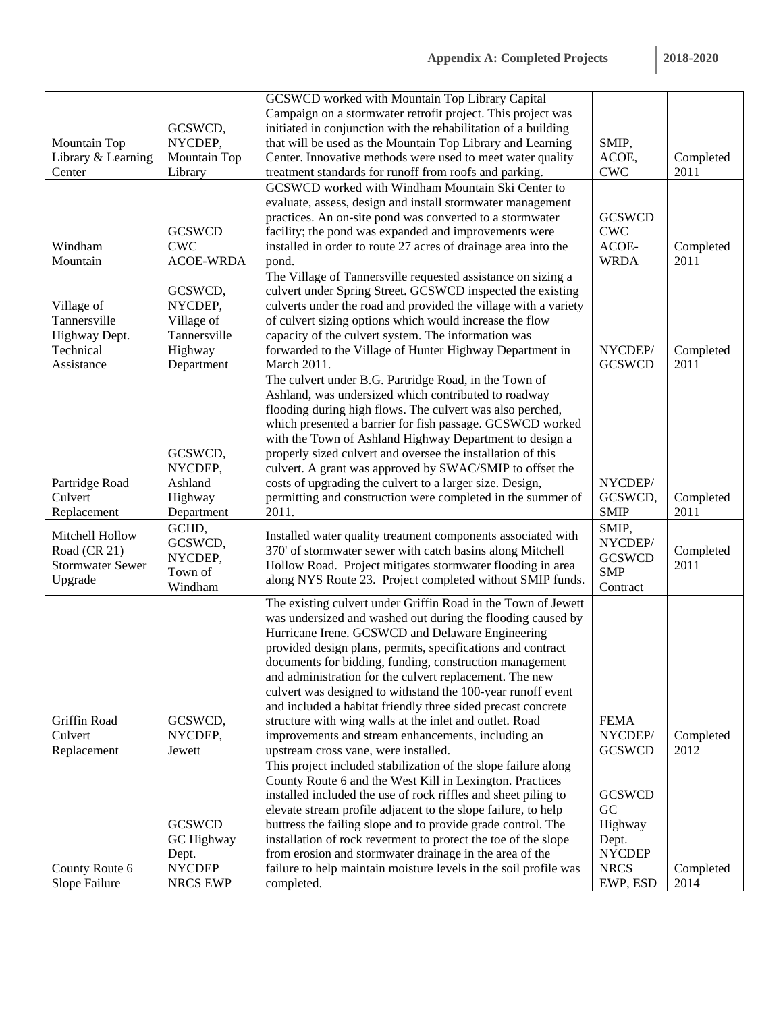|                                 |                           | GCSWCD worked with Mountain Top Library Capital                                |                           |                   |
|---------------------------------|---------------------------|--------------------------------------------------------------------------------|---------------------------|-------------------|
|                                 |                           | Campaign on a stormwater retrofit project. This project was                    |                           |                   |
|                                 | GCSWCD,                   | initiated in conjunction with the rehabilitation of a building                 |                           |                   |
| Mountain Top                    | NYCDEP,                   | that will be used as the Mountain Top Library and Learning                     | SMIP,                     |                   |
| Library & Learning              | Mountain Top              | Center. Innovative methods were used to meet water quality                     | ACOE,                     | Completed         |
| Center                          | Library                   | treatment standards for runoff from roofs and parking.                         | $\ensuremath{\text{CWC}}$ | 2011              |
|                                 |                           | GCSWCD worked with Windham Mountain Ski Center to                              |                           |                   |
|                                 |                           |                                                                                |                           |                   |
|                                 |                           | evaluate, assess, design and install stormwater management                     |                           |                   |
|                                 |                           | practices. An on-site pond was converted to a stormwater                       | <b>GCSWCD</b>             |                   |
|                                 | <b>GCSWCD</b>             | facility; the pond was expanded and improvements were                          | <b>CWC</b>                |                   |
| Windham                         | <b>CWC</b>                | installed in order to route 27 acres of drainage area into the                 | ACOE-                     | Completed         |
| Mountain                        | <b>ACOE-WRDA</b>          | pond.                                                                          | <b>WRDA</b>               | 2011              |
|                                 |                           | The Village of Tannersville requested assistance on sizing a                   |                           |                   |
|                                 | GCSWCD,                   | culvert under Spring Street. GCSWCD inspected the existing                     |                           |                   |
| Village of                      | NYCDEP,                   | culverts under the road and provided the village with a variety                |                           |                   |
| Tannersville                    | Village of                | of culvert sizing options which would increase the flow                        |                           |                   |
| Highway Dept.                   | Tannersville              | capacity of the culvert system. The information was                            |                           |                   |
| Technical                       | Highway                   | forwarded to the Village of Hunter Highway Department in                       | NYCDEP/                   | Completed         |
| Assistance                      | Department                | March 2011.                                                                    | <b>GCSWCD</b>             | 2011              |
|                                 |                           | The culvert under B.G. Partridge Road, in the Town of                          |                           |                   |
|                                 |                           |                                                                                |                           |                   |
|                                 |                           | Ashland, was undersized which contributed to roadway                           |                           |                   |
|                                 |                           | flooding during high flows. The culvert was also perched,                      |                           |                   |
|                                 |                           | which presented a barrier for fish passage. GCSWCD worked                      |                           |                   |
|                                 |                           | with the Town of Ashland Highway Department to design a                        |                           |                   |
|                                 | GCSWCD,                   | properly sized culvert and oversee the installation of this                    |                           |                   |
|                                 | NYCDEP,                   | culvert. A grant was approved by SWAC/SMIP to offset the                       |                           |                   |
| Partridge Road                  | Ashland                   | costs of upgrading the culvert to a larger size. Design,                       | NYCDEP/                   |                   |
| Culvert                         | Highway                   | permitting and construction were completed in the summer of                    | GCSWCD,                   | Completed         |
| Replacement                     | Department                | 2011.                                                                          | <b>SMIP</b>               | 2011              |
|                                 | GCHD,                     |                                                                                | SMIP,                     |                   |
| Mitchell Hollow                 | GCSWCD,                   | Installed water quality treatment components associated with                   | NYCDEP/                   |                   |
| Road (CR 21)                    | NYCDEP,                   | 370' of stormwater sewer with catch basins along Mitchell                      | <b>GCSWCD</b>             | Completed         |
| <b>Stormwater Sewer</b>         | Town of                   | Hollow Road. Project mitigates stormwater flooding in area                     |                           | 2011              |
| Upgrade                         |                           |                                                                                |                           |                   |
|                                 |                           | along NYS Route 23. Project completed without SMIP funds.                      | <b>SMP</b>                |                   |
|                                 | Windham                   |                                                                                | Contract                  |                   |
|                                 |                           | The existing culvert under Griffin Road in the Town of Jewett                  |                           |                   |
|                                 |                           | was undersized and washed out during the flooding caused by                    |                           |                   |
|                                 |                           | Hurricane Irene. GCSWCD and Delaware Engineering                               |                           |                   |
|                                 |                           | provided design plans, permits, specifications and contract                    |                           |                   |
|                                 |                           | documents for bidding, funding, construction management                        |                           |                   |
|                                 |                           | and administration for the culvert replacement. The new                        |                           |                   |
|                                 |                           | culvert was designed to withstand the 100-year runoff event                    |                           |                   |
|                                 |                           |                                                                                |                           |                   |
| Griffin Road                    | GCSWCD,                   | and included a habitat friendly three sided precast concrete                   | <b>FEMA</b>               |                   |
| Culvert                         |                           | structure with wing walls at the inlet and outlet. Road                        | NYCDEP/                   |                   |
|                                 | NYCDEP,                   | improvements and stream enhancements, including an                             |                           | Completed         |
| Replacement                     | Jewett                    | upstream cross vane, were installed.                                           | <b>GCSWCD</b>             | 2012              |
|                                 |                           | This project included stabilization of the slope failure along                 |                           |                   |
|                                 |                           | County Route 6 and the West Kill in Lexington. Practices                       |                           |                   |
|                                 |                           | installed included the use of rock riffles and sheet piling to                 | <b>GCSWCD</b>             |                   |
|                                 |                           | elevate stream profile adjacent to the slope failure, to help                  | GC                        |                   |
|                                 | <b>GCSWCD</b>             | buttress the failing slope and to provide grade control. The                   | Highway                   |                   |
|                                 | GC Highway                | installation of rock revetment to protect the toe of the slope                 | Dept.                     |                   |
|                                 | Dept.                     | from erosion and stormwater drainage in the area of the                        | <b>NYCDEP</b>             |                   |
| County Route 6<br>Slope Failure | <b>NYCDEP</b><br>NRCS EWP | failure to help maintain moisture levels in the soil profile was<br>completed. | <b>NRCS</b><br>EWP, ESD   | Completed<br>2014 |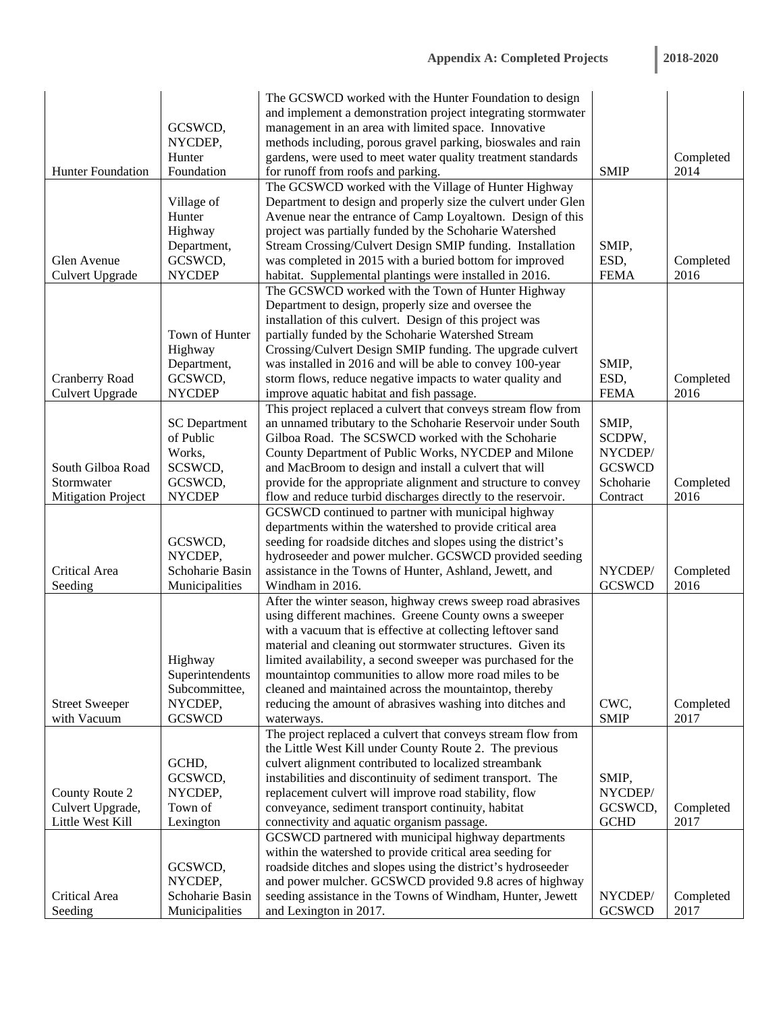| 2018-2020 |  |  |  |
|-----------|--|--|--|
|           |  |  |  |

|                           |                                   | The GCSWCD worked with the Hunter Foundation to design                               |                          |                   |
|---------------------------|-----------------------------------|--------------------------------------------------------------------------------------|--------------------------|-------------------|
|                           |                                   | and implement a demonstration project integrating stormwater                         |                          |                   |
|                           | GCSWCD,                           | management in an area with limited space. Innovative                                 |                          |                   |
|                           | NYCDEP,                           | methods including, porous gravel parking, bioswales and rain                         |                          |                   |
|                           | Hunter                            | gardens, were used to meet water quality treatment standards                         |                          | Completed         |
| Hunter Foundation         | Foundation                        | for runoff from roofs and parking.                                                   | <b>SMIP</b>              | 2014              |
|                           |                                   | The GCSWCD worked with the Village of Hunter Highway                                 |                          |                   |
|                           | Village of                        | Department to design and properly size the culvert under Glen                        |                          |                   |
|                           | Hunter                            | Avenue near the entrance of Camp Loyaltown. Design of this                           |                          |                   |
|                           | Highway                           | project was partially funded by the Schoharie Watershed                              |                          |                   |
|                           | Department,                       | Stream Crossing/Culvert Design SMIP funding. Installation                            | SMIP,                    |                   |
| Glen Avenue               | GCSWCD,                           | was completed in 2015 with a buried bottom for improved                              | ESD,                     | Completed         |
| <b>Culvert Upgrade</b>    | <b>NYCDEP</b>                     | habitat. Supplemental plantings were installed in 2016.                              | <b>FEMA</b>              | 2016              |
|                           |                                   | The GCSWCD worked with the Town of Hunter Highway                                    |                          |                   |
|                           |                                   | Department to design, properly size and oversee the                                  |                          |                   |
|                           |                                   | installation of this culvert. Design of this project was                             |                          |                   |
|                           | Town of Hunter                    | partially funded by the Schoharie Watershed Stream                                   |                          |                   |
|                           | Highway                           | Crossing/Culvert Design SMIP funding. The upgrade culvert                            |                          |                   |
|                           | Department,                       | was installed in 2016 and will be able to convey 100-year                            | SMIP,                    |                   |
| Cranberry Road            | GCSWCD,                           | storm flows, reduce negative impacts to water quality and                            | ESD,                     | Completed         |
| <b>Culvert Upgrade</b>    | <b>NYCDEP</b>                     | improve aquatic habitat and fish passage.                                            | <b>FEMA</b>              | 2016              |
|                           |                                   | This project replaced a culvert that conveys stream flow from                        |                          |                   |
|                           | <b>SC</b> Department              | an unnamed tributary to the Schoharie Reservoir under South                          | SMIP,                    |                   |
|                           | of Public                         | Gilboa Road. The SCSWCD worked with the Schoharie                                    | SCDPW,                   |                   |
|                           | Works,                            | County Department of Public Works, NYCDEP and Milone                                 | NYCDEP/                  |                   |
| South Gilboa Road         | SCSWCD,                           | and MacBroom to design and install a culvert that will                               | <b>GCSWCD</b>            |                   |
| Stormwater                | GCSWCD,                           | provide for the appropriate alignment and structure to convey                        | Schoharie                | Completed         |
| <b>Mitigation Project</b> | <b>NYCDEP</b>                     | flow and reduce turbid discharges directly to the reservoir.                         | Contract                 | 2016              |
|                           |                                   | GCSWCD continued to partner with municipal highway                                   |                          |                   |
|                           |                                   | departments within the watershed to provide critical area                            |                          |                   |
|                           | GCSWCD,                           | seeding for roadside ditches and slopes using the district's                         |                          |                   |
|                           | NYCDEP,                           | hydroseeder and power mulcher. GCSWCD provided seeding                               |                          |                   |
| Critical Area             | Schoharie Basin                   | assistance in the Towns of Hunter, Ashland, Jewett, and                              | NYCDEP/                  | Completed         |
| Seeding                   | Municipalities                    | Windham in 2016.                                                                     | <b>GCSWCD</b>            | 2016              |
|                           |                                   | After the winter season, highway crews sweep road abrasives                          |                          |                   |
|                           |                                   | using different machines. Greene County owns a sweeper                               |                          |                   |
|                           |                                   | with a vacuum that is effective at collecting leftover sand                          |                          |                   |
|                           |                                   | material and cleaning out stormwater structures. Given its                           |                          |                   |
|                           | Highway                           | limited availability, a second sweeper was purchased for the                         |                          |                   |
|                           | Superintendents                   | mountaintop communities to allow more road miles to be                               |                          |                   |
|                           | Subcommittee,                     | cleaned and maintained across the mountaintop, thereby                               |                          |                   |
| <b>Street Sweeper</b>     | NYCDEP,                           | reducing the amount of abrasives washing into ditches and                            | CWC,                     | Completed         |
| with Vacuum               | <b>GCSWCD</b>                     | waterways.                                                                           | <b>SMIP</b>              | 2017              |
|                           |                                   | The project replaced a culvert that conveys stream flow from                         |                          |                   |
|                           |                                   | the Little West Kill under County Route 2. The previous                              |                          |                   |
|                           | GCHD,                             | culvert alignment contributed to localized streambank                                |                          |                   |
|                           | GCSWCD,                           | instabilities and discontinuity of sediment transport. The                           | SMIP,                    |                   |
| County Route 2            | NYCDEP,                           | replacement culvert will improve road stability, flow                                | NYCDEP/                  |                   |
| Culvert Upgrade,          | Town of                           | conveyance, sediment transport continuity, habitat                                   | GCSWCD,                  | Completed         |
| Little West Kill          | Lexington                         | connectivity and aquatic organism passage.                                           | <b>GCHD</b>              | 2017              |
|                           |                                   | GCSWCD partnered with municipal highway departments                                  |                          |                   |
|                           |                                   | within the watershed to provide critical area seeding for                            |                          |                   |
|                           | GCSWCD,                           | roadside ditches and slopes using the district's hydroseeder                         |                          |                   |
|                           |                                   |                                                                                      |                          |                   |
|                           | NYCDEP,                           | and power mulcher. GCSWCD provided 9.8 acres of highway                              |                          |                   |
| Critical Area<br>Seeding  | Schoharie Basin<br>Municipalities | seeding assistance in the Towns of Windham, Hunter, Jewett<br>and Lexington in 2017. | NYCDEP/<br><b>GCSWCD</b> | Completed<br>2017 |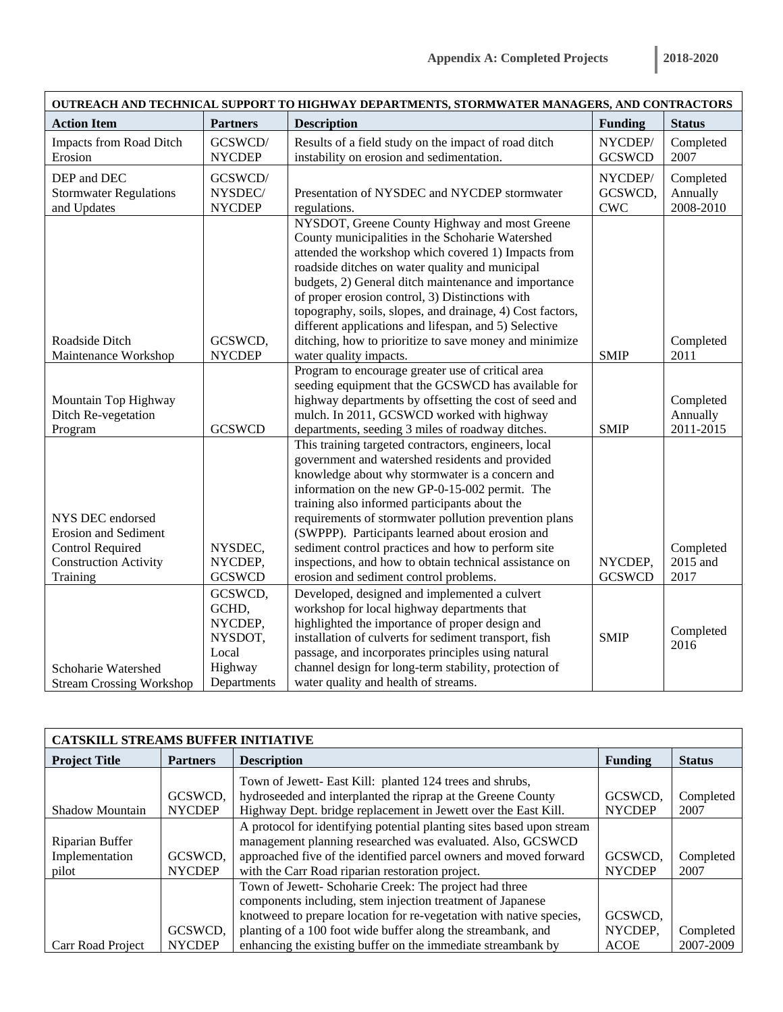| OUTREACH AND TECHNICAL SUPPORT TO HIGHWAY DEPARTMENTS, STORMWATER MANAGERS, AND CONTRACTORS                                                                                      |                                                                           |                                                                                                                                                                                                                                                                                                                                                                                                                                                                                                                                                                                                                                                                                                                                                                                                             |                                                 |                                                                     |  |  |
|----------------------------------------------------------------------------------------------------------------------------------------------------------------------------------|---------------------------------------------------------------------------|-------------------------------------------------------------------------------------------------------------------------------------------------------------------------------------------------------------------------------------------------------------------------------------------------------------------------------------------------------------------------------------------------------------------------------------------------------------------------------------------------------------------------------------------------------------------------------------------------------------------------------------------------------------------------------------------------------------------------------------------------------------------------------------------------------------|-------------------------------------------------|---------------------------------------------------------------------|--|--|
| <b>Action Item</b>                                                                                                                                                               | <b>Partners</b>                                                           | <b>Description</b>                                                                                                                                                                                                                                                                                                                                                                                                                                                                                                                                                                                                                                                                                                                                                                                          | <b>Funding</b>                                  | <b>Status</b>                                                       |  |  |
| Impacts from Road Ditch<br>Erosion                                                                                                                                               | GCSWCD/<br><b>NYCDEP</b>                                                  | Results of a field study on the impact of road ditch<br>instability on erosion and sedimentation.                                                                                                                                                                                                                                                                                                                                                                                                                                                                                                                                                                                                                                                                                                           | NYCDEP/<br><b>GCSWCD</b>                        | Completed<br>2007                                                   |  |  |
| DEP and DEC<br><b>Stormwater Regulations</b><br>and Updates                                                                                                                      | GCSWCD/<br>NYSDEC/<br><b>NYCDEP</b>                                       | Presentation of NYSDEC and NYCDEP stormwater<br>regulations.                                                                                                                                                                                                                                                                                                                                                                                                                                                                                                                                                                                                                                                                                                                                                | NYCDEP/<br>GCSWCD,<br>$\ensuremath{\text{CWC}}$ | Completed<br>Annually<br>2008-2010                                  |  |  |
|                                                                                                                                                                                  |                                                                           | NYSDOT, Greene County Highway and most Greene<br>County municipalities in the Schoharie Watershed<br>attended the workshop which covered 1) Impacts from<br>roadside ditches on water quality and municipal<br>budgets, 2) General ditch maintenance and importance<br>of proper erosion control, 3) Distinctions with<br>topography, soils, slopes, and drainage, 4) Cost factors,<br>different applications and lifespan, and 5) Selective                                                                                                                                                                                                                                                                                                                                                                |                                                 |                                                                     |  |  |
| Roadside Ditch<br>Maintenance Workshop                                                                                                                                           | GCSWCD,<br><b>NYCDEP</b>                                                  | ditching, how to prioritize to save money and minimize<br>water quality impacts.                                                                                                                                                                                                                                                                                                                                                                                                                                                                                                                                                                                                                                                                                                                            | <b>SMIP</b>                                     | Completed<br>2011                                                   |  |  |
| Mountain Top Highway<br>Ditch Re-vegetation<br>Program<br>NYS DEC endorsed<br><b>Erosion and Sediment</b><br><b>Control Required</b><br><b>Construction Activity</b><br>Training | <b>GCSWCD</b><br>NYSDEC,<br>NYCDEP,<br><b>GCSWCD</b>                      | Program to encourage greater use of critical area<br>seeding equipment that the GCSWCD has available for<br>highway departments by offsetting the cost of seed and<br>mulch. In 2011, GCSWCD worked with highway<br>departments, seeding 3 miles of roadway ditches.<br>This training targeted contractors, engineers, local<br>government and watershed residents and provided<br>knowledge about why stormwater is a concern and<br>information on the new GP-0-15-002 permit. The<br>training also informed participants about the<br>requirements of stormwater pollution prevention plans<br>(SWPPP). Participants learned about erosion and<br>sediment control practices and how to perform site<br>inspections, and how to obtain technical assistance on<br>erosion and sediment control problems. | <b>SMIP</b><br>NYCDEP,<br><b>GCSWCD</b>         | Completed<br>Annually<br>2011-2015<br>Completed<br>2015 and<br>2017 |  |  |
| Schoharie Watershed<br><b>Stream Crossing Workshop</b>                                                                                                                           | GCSWCD,<br>GCHD,<br>NYCDEP,<br>NYSDOT,<br>Local<br>Highway<br>Departments | Developed, designed and implemented a culvert<br>workshop for local highway departments that<br>highlighted the importance of proper design and<br>installation of culverts for sediment transport, fish<br>passage, and incorporates principles using natural<br>channel design for long-term stability, protection of<br>water quality and health of streams.                                                                                                                                                                                                                                                                                                                                                                                                                                             | <b>SMIP</b>                                     | Completed<br>2016                                                   |  |  |

| <b>CATSKILL STREAMS BUFFER INITIATIVE</b>  |                          |                                                                                                                                                                                                                                                                                                                             |                                   |                        |  |  |  |
|--------------------------------------------|--------------------------|-----------------------------------------------------------------------------------------------------------------------------------------------------------------------------------------------------------------------------------------------------------------------------------------------------------------------------|-----------------------------------|------------------------|--|--|--|
| <b>Project Title</b>                       | <b>Partners</b>          | <b>Description</b>                                                                                                                                                                                                                                                                                                          | Funding                           | <b>Status</b>          |  |  |  |
| Shadow Mountain                            | GCSWCD,<br><b>NYCDEP</b> | Town of Jewett- East Kill: planted 124 trees and shrubs,<br>hydroseeded and interplanted the riprap at the Greene County<br>Highway Dept. bridge replacement in Jewett over the East Kill.                                                                                                                                  | GCSWCD,<br><b>NYCDEP</b>          | Completed<br>2007      |  |  |  |
| Riparian Buffer<br>Implementation<br>pilot | GCSWCD.<br><b>NYCDEP</b> | A protocol for identifying potential planting sites based upon stream<br>management planning researched was evaluated. Also, GCSWCD<br>approached five of the identified parcel owners and moved forward<br>with the Carr Road riparian restoration project.                                                                | GCSWCD,<br><b>NYCDEP</b>          | Completed<br>2007      |  |  |  |
| Carr Road Project                          | GCSWCD.<br><b>NYCDEP</b> | Town of Jewett- Schoharie Creek: The project had three<br>components including, stem injection treatment of Japanese<br>knotweed to prepare location for re-vegetation with native species,<br>planting of a 100 foot wide buffer along the streambank, and<br>enhancing the existing buffer on the immediate streambank by | GCSWCD,<br>NYCDEP.<br><b>ACOE</b> | Completed<br>2007-2009 |  |  |  |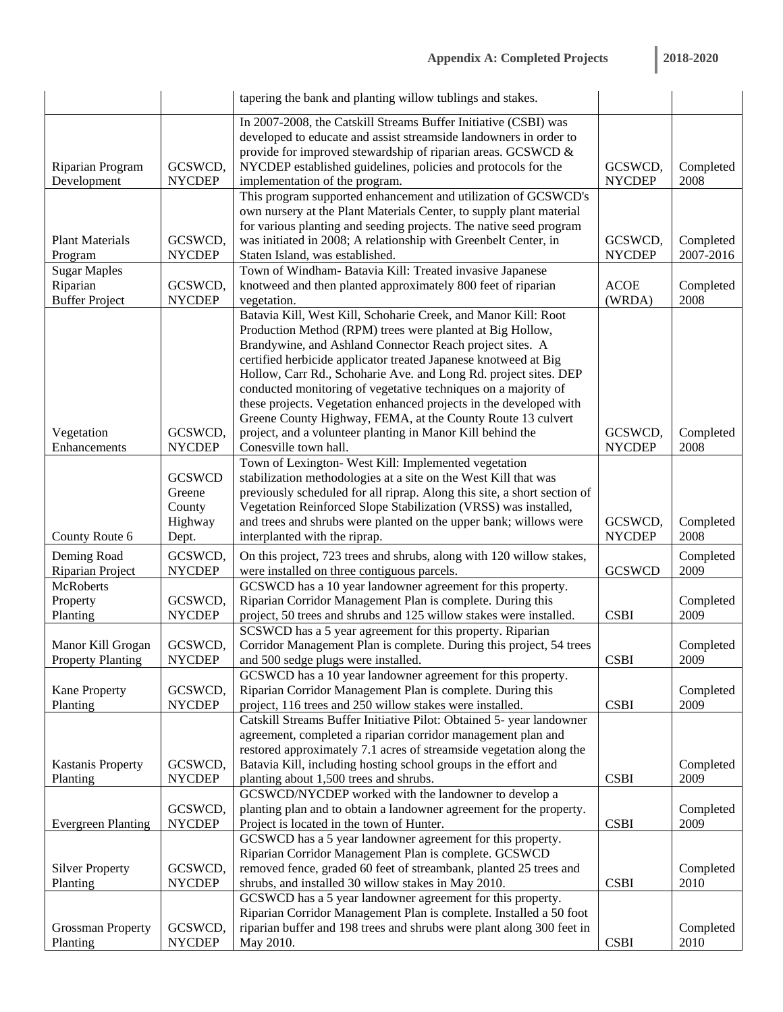|                                                          |                                                       | tapering the bank and planting willow tublings and stakes.                                                                                                                                                                                                                                                                                                                                                                                                                                                                                                                                                                   |                          |                        |
|----------------------------------------------------------|-------------------------------------------------------|------------------------------------------------------------------------------------------------------------------------------------------------------------------------------------------------------------------------------------------------------------------------------------------------------------------------------------------------------------------------------------------------------------------------------------------------------------------------------------------------------------------------------------------------------------------------------------------------------------------------------|--------------------------|------------------------|
| Riparian Program<br>Development                          | GCSWCD,<br><b>NYCDEP</b>                              | In 2007-2008, the Catskill Streams Buffer Initiative (CSBI) was<br>developed to educate and assist streamside landowners in order to<br>provide for improved stewardship of riparian areas. GCSWCD &<br>NYCDEP established guidelines, policies and protocols for the<br>implementation of the program.                                                                                                                                                                                                                                                                                                                      | GCSWCD,<br><b>NYCDEP</b> | Completed<br>2008      |
| <b>Plant Materials</b><br>Program                        | GCSWCD,<br><b>NYCDEP</b>                              | This program supported enhancement and utilization of GCSWCD's<br>own nursery at the Plant Materials Center, to supply plant material<br>for various planting and seeding projects. The native seed program<br>was initiated in 2008; A relationship with Greenbelt Center, in<br>Staten Island, was established.                                                                                                                                                                                                                                                                                                            | GCSWCD,<br><b>NYCDEP</b> | Completed<br>2007-2016 |
| <b>Sugar Maples</b><br>Riparian<br><b>Buffer Project</b> | GCSWCD,<br><b>NYCDEP</b>                              | Town of Windham- Batavia Kill: Treated invasive Japanese<br>knotweed and then planted approximately 800 feet of riparian<br>vegetation.                                                                                                                                                                                                                                                                                                                                                                                                                                                                                      | <b>ACOE</b><br>(WRDA)    | Completed<br>2008      |
| Vegetation<br>Enhancements                               | GCSWCD,<br><b>NYCDEP</b>                              | Batavia Kill, West Kill, Schoharie Creek, and Manor Kill: Root<br>Production Method (RPM) trees were planted at Big Hollow,<br>Brandywine, and Ashland Connector Reach project sites. A<br>certified herbicide applicator treated Japanese knotweed at Big<br>Hollow, Carr Rd., Schoharie Ave. and Long Rd. project sites. DEP<br>conducted monitoring of vegetative techniques on a majority of<br>these projects. Vegetation enhanced projects in the developed with<br>Greene County Highway, FEMA, at the County Route 13 culvert<br>project, and a volunteer planting in Manor Kill behind the<br>Conesville town hall. | GCSWCD,<br><b>NYCDEP</b> | Completed<br>2008      |
| County Route 6                                           | <b>GCSWCD</b><br>Greene<br>County<br>Highway<br>Dept. | Town of Lexington- West Kill: Implemented vegetation<br>stabilization methodologies at a site on the West Kill that was<br>previously scheduled for all riprap. Along this site, a short section of<br>Vegetation Reinforced Slope Stabilization (VRSS) was installed,<br>and trees and shrubs were planted on the upper bank; willows were<br>interplanted with the riprap.                                                                                                                                                                                                                                                 | GCSWCD,<br><b>NYCDEP</b> | Completed<br>2008      |
| Deming Road<br>Riparian Project                          | GCSWCD,<br><b>NYCDEP</b>                              | On this project, 723 trees and shrubs, along with 120 willow stakes,<br>were installed on three contiguous parcels.                                                                                                                                                                                                                                                                                                                                                                                                                                                                                                          | <b>GCSWCD</b>            | Completed<br>2009      |
| <b>McRoberts</b><br>Property<br>Planting                 | GCSWCD,<br><b>NYCDEP</b>                              | GCSWCD has a 10 year landowner agreement for this property.<br>Riparian Corridor Management Plan is complete. During this<br>project, 50 trees and shrubs and 125 willow stakes were installed.                                                                                                                                                                                                                                                                                                                                                                                                                              | <b>CSBI</b>              | Completed<br>2009      |
| Manor Kill Grogan<br><b>Property Planting</b>            | GCSWCD,<br><b>NYCDEP</b>                              | SCSWCD has a 5 year agreement for this property. Riparian<br>Corridor Management Plan is complete. During this project, 54 trees<br>and 500 sedge plugs were installed.                                                                                                                                                                                                                                                                                                                                                                                                                                                      | <b>CSBI</b>              | Completed<br>2009      |
| <b>Kane Property</b><br>Planting                         | GCSWCD,<br><b>NYCDEP</b>                              | GCSWCD has a 10 year landowner agreement for this property.<br>Riparian Corridor Management Plan is complete. During this<br>project, 116 trees and 250 willow stakes were installed.<br>Catskill Streams Buffer Initiative Pilot: Obtained 5- year landowner                                                                                                                                                                                                                                                                                                                                                                | <b>CSBI</b>              | Completed<br>2009      |
| <b>Kastanis Property</b><br>Planting                     | GCSWCD,<br><b>NYCDEP</b>                              | agreement, completed a riparian corridor management plan and<br>restored approximately 7.1 acres of streamside vegetation along the<br>Batavia Kill, including hosting school groups in the effort and<br>planting about 1,500 trees and shrubs.                                                                                                                                                                                                                                                                                                                                                                             | <b>CSBI</b>              | Completed<br>2009      |
| <b>Evergreen Planting</b>                                | GCSWCD,<br><b>NYCDEP</b>                              | GCSWCD/NYCDEP worked with the landowner to develop a<br>planting plan and to obtain a landowner agreement for the property.<br>Project is located in the town of Hunter.                                                                                                                                                                                                                                                                                                                                                                                                                                                     | <b>CSBI</b>              | Completed<br>2009      |
| <b>Silver Property</b><br>Planting                       | GCSWCD,<br><b>NYCDEP</b>                              | GCSWCD has a 5 year landowner agreement for this property.<br>Riparian Corridor Management Plan is complete. GCSWCD<br>removed fence, graded 60 feet of streambank, planted 25 trees and<br>shrubs, and installed 30 willow stakes in May 2010.                                                                                                                                                                                                                                                                                                                                                                              | <b>CSBI</b>              | Completed<br>2010      |
| <b>Grossman Property</b><br>Planting                     | GCSWCD,<br><b>NYCDEP</b>                              | GCSWCD has a 5 year landowner agreement for this property.<br>Riparian Corridor Management Plan is complete. Installed a 50 foot<br>riparian buffer and 198 trees and shrubs were plant along 300 feet in<br>May 2010.                                                                                                                                                                                                                                                                                                                                                                                                       | <b>CSBI</b>              | Completed<br>2010      |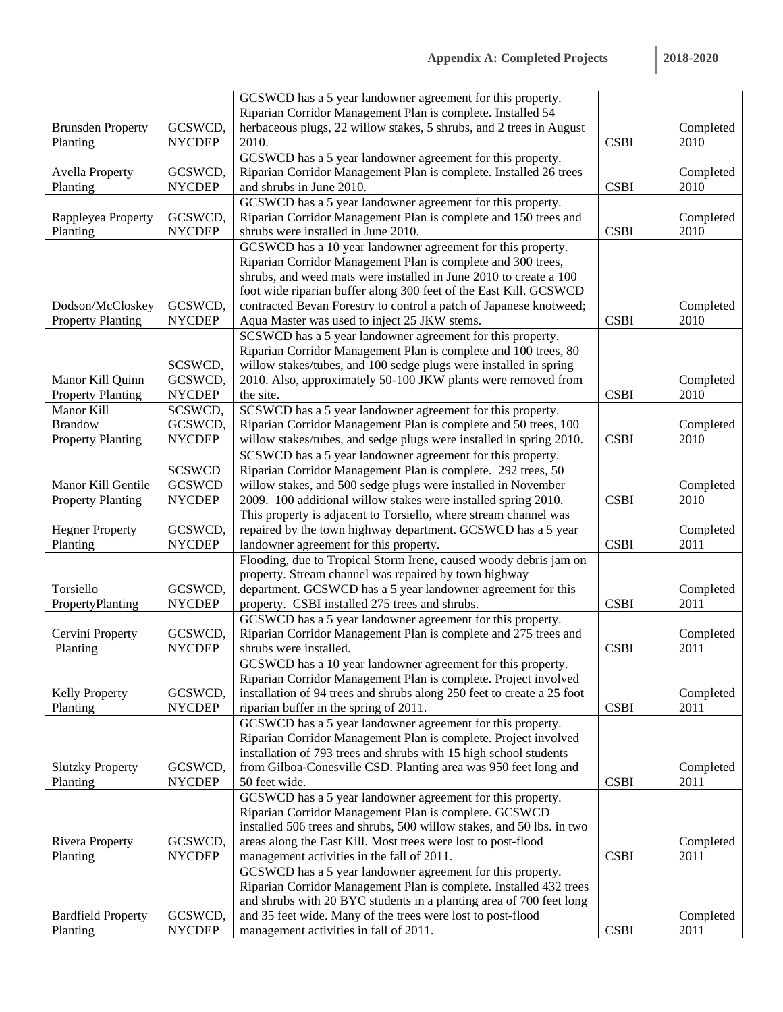| 2018-2020 |  |  |  |
|-----------|--|--|--|
|           |  |  |  |

|                           |               | GCSWCD has a 5 year landowner agreement for this property.                                                                        |             |           |
|---------------------------|---------------|-----------------------------------------------------------------------------------------------------------------------------------|-------------|-----------|
|                           |               | Riparian Corridor Management Plan is complete. Installed 54                                                                       |             |           |
| <b>Brunsden Property</b>  | GCSWCD,       | herbaceous plugs, 22 willow stakes, 5 shrubs, and 2 trees in August                                                               |             | Completed |
| Planting                  | <b>NYCDEP</b> | 2010.                                                                                                                             | <b>CSBI</b> | 2010      |
|                           |               | GCSWCD has a 5 year landowner agreement for this property.                                                                        |             |           |
| <b>Avella Property</b>    | GCSWCD,       | Riparian Corridor Management Plan is complete. Installed 26 trees                                                                 |             | Completed |
| Planting                  | <b>NYCDEP</b> | and shrubs in June 2010.                                                                                                          | <b>CSBI</b> | 2010      |
|                           |               | GCSWCD has a 5 year landowner agreement for this property.                                                                        |             |           |
| Rappleyea Property        | GCSWCD,       | Riparian Corridor Management Plan is complete and 150 trees and                                                                   |             | Completed |
| Planting                  | <b>NYCDEP</b> | shrubs were installed in June 2010.                                                                                               | <b>CSBI</b> | 2010      |
|                           |               | GCSWCD has a 10 year landowner agreement for this property.                                                                       |             |           |
|                           |               | Riparian Corridor Management Plan is complete and 300 trees,<br>shrubs, and weed mats were installed in June 2010 to create a 100 |             |           |
|                           |               | foot wide riparian buffer along 300 feet of the East Kill. GCSWCD                                                                 |             |           |
| Dodson/McCloskey          | GCSWCD,       | contracted Bevan Forestry to control a patch of Japanese knotweed;                                                                |             | Completed |
| <b>Property Planting</b>  | <b>NYCDEP</b> | Aqua Master was used to inject 25 JKW stems.                                                                                      | <b>CSBI</b> | 2010      |
|                           |               | SCSWCD has a 5 year landowner agreement for this property.                                                                        |             |           |
|                           |               | Riparian Corridor Management Plan is complete and 100 trees, 80                                                                   |             |           |
|                           | SCSWCD,       | willow stakes/tubes, and 100 sedge plugs were installed in spring                                                                 |             |           |
| Manor Kill Quinn          | GCSWCD,       | 2010. Also, approximately 50-100 JKW plants were removed from                                                                     |             | Completed |
| <b>Property Planting</b>  | <b>NYCDEP</b> | the site.                                                                                                                         | <b>CSBI</b> | 2010      |
| Manor Kill                | SCSWCD,       | SCSWCD has a 5 year landowner agreement for this property.                                                                        |             |           |
| <b>Brandow</b>            | GCSWCD,       | Riparian Corridor Management Plan is complete and 50 trees, 100                                                                   |             | Completed |
| <b>Property Planting</b>  | <b>NYCDEP</b> | willow stakes/tubes, and sedge plugs were installed in spring 2010.                                                               | <b>CSBI</b> | 2010      |
|                           |               | SCSWCD has a 5 year landowner agreement for this property.                                                                        |             |           |
|                           | <b>SCSWCD</b> | Riparian Corridor Management Plan is complete. 292 trees, 50                                                                      |             |           |
| Manor Kill Gentile        | <b>GCSWCD</b> | willow stakes, and 500 sedge plugs were installed in November                                                                     |             | Completed |
| <b>Property Planting</b>  | <b>NYCDEP</b> | 2009. 100 additional willow stakes were installed spring 2010.                                                                    | <b>CSBI</b> | 2010      |
|                           |               | This property is adjacent to Torsiello, where stream channel was                                                                  |             |           |
| <b>Hegner Property</b>    | GCSWCD,       | repaired by the town highway department. GCSWCD has a 5 year                                                                      |             | Completed |
| Planting                  | <b>NYCDEP</b> | landowner agreement for this property.                                                                                            | <b>CSBI</b> | 2011      |
|                           |               | Flooding, due to Tropical Storm Irene, caused woody debris jam on                                                                 |             |           |
|                           |               | property. Stream channel was repaired by town highway                                                                             |             |           |
| Torsiello                 | GCSWCD,       | department. GCSWCD has a 5 year landowner agreement for this                                                                      |             | Completed |
| PropertyPlanting          | <b>NYCDEP</b> | property. CSBI installed 275 trees and shrubs.                                                                                    | <b>CSBI</b> | 2011      |
|                           |               | GCSWCD has a 5 year landowner agreement for this property.                                                                        |             |           |
| Cervini Property          | GCSWCD,       | Riparian Corridor Management Plan is complete and 275 trees and                                                                   |             | Completed |
| Planting                  | <b>NYCDEP</b> | shrubs were installed.                                                                                                            | <b>CSBI</b> | 2011      |
|                           |               | GCSWCD has a 10 year landowner agreement for this property.                                                                       |             |           |
|                           |               | Riparian Corridor Management Plan is complete. Project involved                                                                   |             |           |
| <b>Kelly Property</b>     | GCSWCD,       | installation of 94 trees and shrubs along 250 feet to create a 25 foot                                                            |             | Completed |
| Planting                  | <b>NYCDEP</b> | riparian buffer in the spring of 2011.                                                                                            | <b>CSBI</b> | 2011      |
|                           |               | GCSWCD has a 5 year landowner agreement for this property.                                                                        |             |           |
|                           |               | Riparian Corridor Management Plan is complete. Project involved                                                                   |             |           |
|                           |               | installation of 793 trees and shrubs with 15 high school students                                                                 |             |           |
| <b>Slutzky Property</b>   | GCSWCD,       | from Gilboa-Conesville CSD. Planting area was 950 feet long and                                                                   |             | Completed |
| Planting                  | <b>NYCDEP</b> | 50 feet wide.                                                                                                                     | <b>CSBI</b> | 2011      |
|                           |               | GCSWCD has a 5 year landowner agreement for this property.                                                                        |             |           |
|                           |               | Riparian Corridor Management Plan is complete. GCSWCD                                                                             |             |           |
|                           |               | installed 506 trees and shrubs, 500 willow stakes, and 50 lbs. in two                                                             |             |           |
| <b>Rivera Property</b>    | GCSWCD,       | areas along the East Kill. Most trees were lost to post-flood                                                                     |             | Completed |
| Planting                  | <b>NYCDEP</b> | management activities in the fall of 2011.                                                                                        | <b>CSBI</b> | 2011      |
|                           |               | GCSWCD has a 5 year landowner agreement for this property.                                                                        |             |           |
|                           |               | Riparian Corridor Management Plan is complete. Installed 432 trees                                                                |             |           |
|                           |               | and shrubs with 20 BYC students in a planting area of 700 feet long                                                               |             |           |
| <b>Bardfield Property</b> | GCSWCD,       | and 35 feet wide. Many of the trees were lost to post-flood                                                                       |             | Completed |
| Planting                  | <b>NYCDEP</b> | management activities in fall of 2011.                                                                                            | <b>CSBI</b> | 2011      |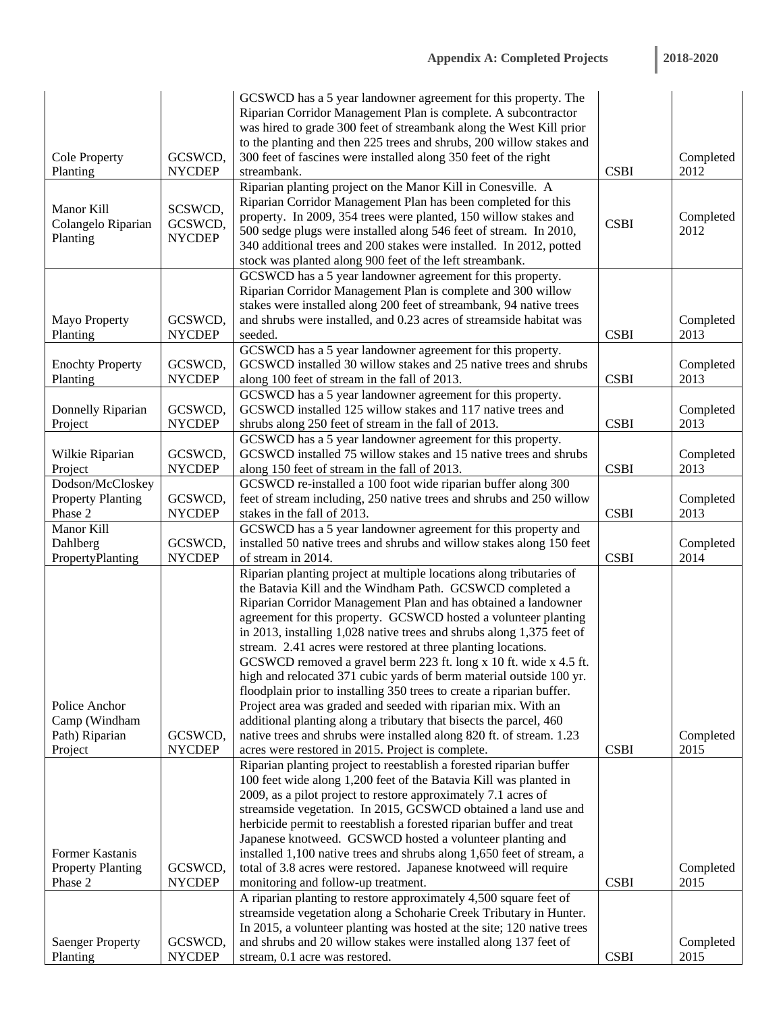| 2018-2020 |  |  |  |
|-----------|--|--|--|
|           |  |  |  |

|                                |                    | GCSWCD has a 5 year landowner agreement for this property. The<br>Riparian Corridor Management Plan is complete. A subcontractor        |             |           |
|--------------------------------|--------------------|-----------------------------------------------------------------------------------------------------------------------------------------|-------------|-----------|
|                                |                    | was hired to grade 300 feet of streambank along the West Kill prior                                                                     |             |           |
| <b>Cole Property</b>           | GCSWCD,            | to the planting and then 225 trees and shrubs, 200 willow stakes and<br>300 feet of fascines were installed along 350 feet of the right |             | Completed |
| Planting                       | <b>NYCDEP</b>      | streambank.                                                                                                                             | <b>CSBI</b> | 2012      |
|                                |                    | Riparian planting project on the Manor Kill in Conesville. A                                                                            |             |           |
|                                |                    | Riparian Corridor Management Plan has been completed for this                                                                           |             |           |
| Manor Kill                     | SCSWCD,<br>GCSWCD, | property. In 2009, 354 trees were planted, 150 willow stakes and                                                                        | <b>CSBI</b> | Completed |
| Colangelo Riparian<br>Planting | <b>NYCDEP</b>      | 500 sedge plugs were installed along 546 feet of stream. In 2010,                                                                       |             | 2012      |
|                                |                    | 340 additional trees and 200 stakes were installed. In 2012, potted                                                                     |             |           |
|                                |                    | stock was planted along 900 feet of the left streambank.                                                                                |             |           |
|                                |                    | GCSWCD has a 5 year landowner agreement for this property.                                                                              |             |           |
|                                |                    | Riparian Corridor Management Plan is complete and 300 willow<br>stakes were installed along 200 feet of streambank, 94 native trees     |             |           |
| <b>Mayo Property</b>           | GCSWCD,            | and shrubs were installed, and 0.23 acres of streamside habitat was                                                                     |             | Completed |
| Planting                       | <b>NYCDEP</b>      | seeded.                                                                                                                                 | <b>CSBI</b> | 2013      |
|                                |                    | GCSWCD has a 5 year landowner agreement for this property.                                                                              |             |           |
| <b>Enochty Property</b>        | GCSWCD,            | GCSWCD installed 30 willow stakes and 25 native trees and shrubs                                                                        |             | Completed |
| Planting                       | <b>NYCDEP</b>      | along 100 feet of stream in the fall of 2013.                                                                                           | <b>CSBI</b> | 2013      |
|                                |                    | GCSWCD has a 5 year landowner agreement for this property.                                                                              |             |           |
| Donnelly Riparian              | GCSWCD,            | GCSWCD installed 125 willow stakes and 117 native trees and                                                                             |             | Completed |
| Project                        | <b>NYCDEP</b>      | shrubs along 250 feet of stream in the fall of 2013.<br>GCSWCD has a 5 year landowner agreement for this property.                      | <b>CSBI</b> | 2013      |
| Wilkie Riparian                | GCSWCD,            | GCSWCD installed 75 willow stakes and 15 native trees and shrubs                                                                        |             | Completed |
| Project                        | <b>NYCDEP</b>      | along 150 feet of stream in the fall of 2013.                                                                                           | <b>CSBI</b> | 2013      |
| Dodson/McCloskey               |                    | GCSWCD re-installed a 100 foot wide riparian buffer along 300                                                                           |             |           |
| <b>Property Planting</b>       | GCSWCD,            | feet of stream including, 250 native trees and shrubs and 250 willow                                                                    |             | Completed |
| Phase 2                        | <b>NYCDEP</b>      | stakes in the fall of 2013.                                                                                                             | <b>CSBI</b> | 2013      |
| Manor Kill                     |                    | GCSWCD has a 5 year landowner agreement for this property and                                                                           |             |           |
| Dahlberg                       | GCSWCD,            | installed 50 native trees and shrubs and willow stakes along 150 feet                                                                   |             | Completed |
| PropertyPlanting               | <b>NYCDEP</b>      | of stream in 2014.                                                                                                                      | <b>CSBI</b> | 2014      |
|                                |                    | Riparian planting project at multiple locations along tributaries of<br>the Batavia Kill and the Windham Path. GCSWCD completed a       |             |           |
|                                |                    | Riparian Corridor Management Plan and has obtained a landowner                                                                          |             |           |
|                                |                    | agreement for this property. GCSWCD hosted a volunteer planting                                                                         |             |           |
|                                |                    | in 2013, installing 1,028 native trees and shrubs along 1,375 feet of                                                                   |             |           |
|                                |                    | stream. 2.41 acres were restored at three planting locations.                                                                           |             |           |
|                                |                    | GCSWCD removed a gravel berm 223 ft. long x 10 ft. wide x 4.5 ft.                                                                       |             |           |
|                                |                    | high and relocated 371 cubic yards of berm material outside 100 yr.                                                                     |             |           |
|                                |                    | floodplain prior to installing 350 trees to create a riparian buffer.                                                                   |             |           |
| Police Anchor<br>Camp (Windham |                    | Project area was graded and seeded with riparian mix. With an<br>additional planting along a tributary that bisects the parcel, 460     |             |           |
| Path) Riparian                 | GCSWCD,            | native trees and shrubs were installed along 820 ft. of stream. 1.23                                                                    |             | Completed |
| Project                        | <b>NYCDEP</b>      | acres were restored in 2015. Project is complete.                                                                                       | <b>CSBI</b> | 2015      |
|                                |                    | Riparian planting project to reestablish a forested riparian buffer                                                                     |             |           |
|                                |                    | 100 feet wide along 1,200 feet of the Batavia Kill was planted in                                                                       |             |           |
|                                |                    | 2009, as a pilot project to restore approximately 7.1 acres of                                                                          |             |           |
|                                |                    | streamside vegetation. In 2015, GCSWCD obtained a land use and                                                                          |             |           |
|                                |                    | herbicide permit to reestablish a forested riparian buffer and treat                                                                    |             |           |
| Former Kastanis                |                    | Japanese knotweed. GCSWCD hosted a volunteer planting and<br>installed 1,100 native trees and shrubs along 1,650 feet of stream, a      |             |           |
| <b>Property Planting</b>       | GCSWCD,            | total of 3.8 acres were restored. Japanese knotweed will require                                                                        |             | Completed |
| Phase 2                        | <b>NYCDEP</b>      | monitoring and follow-up treatment.                                                                                                     | <b>CSBI</b> | 2015      |
|                                |                    | A riparian planting to restore approximately 4,500 square feet of                                                                       |             |           |
|                                |                    | streamside vegetation along a Schoharie Creek Tributary in Hunter.                                                                      |             |           |
|                                |                    | In 2015, a volunteer planting was hosted at the site; 120 native trees                                                                  |             |           |
| <b>Saenger Property</b>        | GCSWCD,            | and shrubs and 20 willow stakes were installed along 137 feet of                                                                        |             | Completed |
| Planting                       | <b>NYCDEP</b>      | stream, 0.1 acre was restored.                                                                                                          | <b>CSBI</b> | 2015      |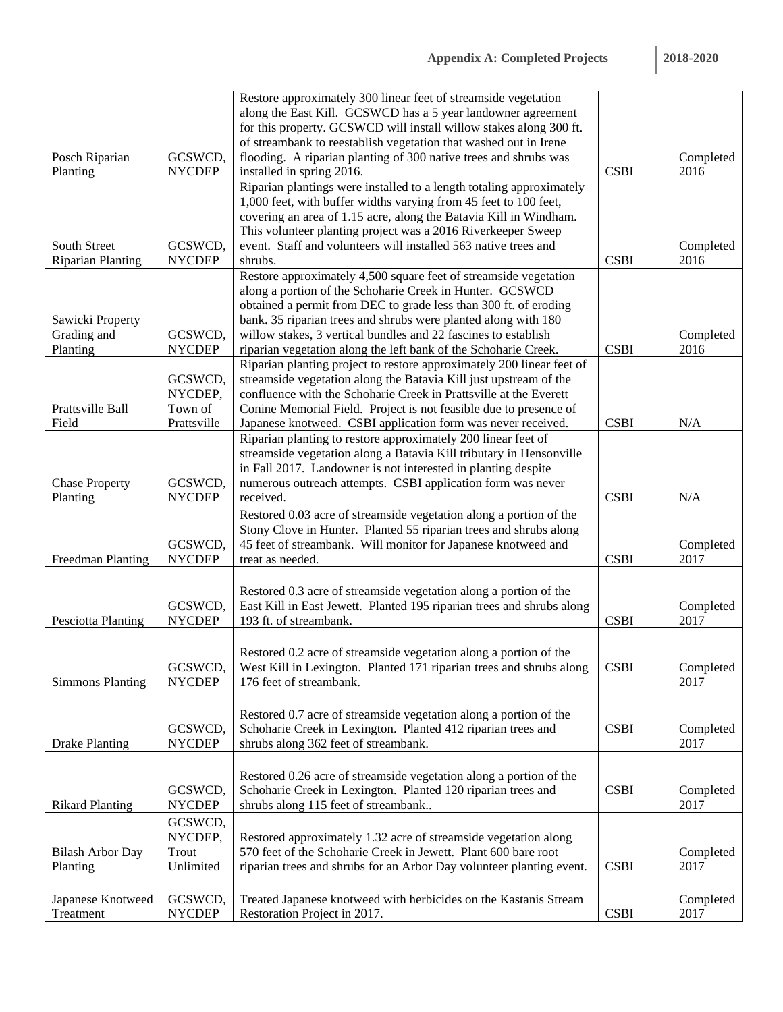| 2018-2020 |  |  |  |
|-----------|--|--|--|
|           |  |  |  |

|                                             |                                              | Restore approximately 300 linear feet of streamside vegetation<br>along the East Kill. GCSWCD has a 5 year landowner agreement<br>for this property. GCSWCD will install willow stakes along 300 ft.<br>of streambank to reestablish vegetation that washed out in Irene                                                                                                                                |             |                   |
|---------------------------------------------|----------------------------------------------|---------------------------------------------------------------------------------------------------------------------------------------------------------------------------------------------------------------------------------------------------------------------------------------------------------------------------------------------------------------------------------------------------------|-------------|-------------------|
| Posch Riparian                              | GCSWCD,                                      | flooding. A riparian planting of 300 native trees and shrubs was                                                                                                                                                                                                                                                                                                                                        |             | Completed         |
| Planting                                    | <b>NYCDEP</b>                                | installed in spring 2016.                                                                                                                                                                                                                                                                                                                                                                               | <b>CSBI</b> | 2016              |
| South Street<br><b>Riparian Planting</b>    | GCSWCD,<br><b>NYCDEP</b>                     | Riparian plantings were installed to a length totaling approximately<br>1,000 feet, with buffer widths varying from 45 feet to 100 feet,<br>covering an area of 1.15 acre, along the Batavia Kill in Windham.<br>This volunteer planting project was a 2016 Riverkeeper Sweep<br>event. Staff and volunteers will installed 563 native trees and<br>shrubs.                                             | <b>CSBI</b> | Completed<br>2016 |
| Sawicki Property<br>Grading and<br>Planting | GCSWCD,<br><b>NYCDEP</b>                     | Restore approximately 4,500 square feet of streamside vegetation<br>along a portion of the Schoharie Creek in Hunter. GCSWCD<br>obtained a permit from DEC to grade less than 300 ft. of eroding<br>bank. 35 riparian trees and shrubs were planted along with 180<br>willow stakes, 3 vertical bundles and 22 fascines to establish<br>riparian vegetation along the left bank of the Schoharie Creek. | <b>CSBI</b> | Completed<br>2016 |
| Prattsville Ball<br>Field                   | GCSWCD,<br>NYCDEP,<br>Town of<br>Prattsville | Riparian planting project to restore approximately 200 linear feet of<br>streamside vegetation along the Batavia Kill just upstream of the<br>confluence with the Schoharie Creek in Prattsville at the Everett<br>Conine Memorial Field. Project is not feasible due to presence of<br>Japanese knotweed. CSBI application form was never received.                                                    | <b>CSBI</b> | N/A               |
| <b>Chase Property</b><br>Planting           | GCSWCD,<br><b>NYCDEP</b>                     | Riparian planting to restore approximately 200 linear feet of<br>streamside vegetation along a Batavia Kill tributary in Hensonville<br>in Fall 2017. Landowner is not interested in planting despite<br>numerous outreach attempts. CSBI application form was never<br>received.                                                                                                                       | <b>CSBI</b> | N/A               |
| Freedman Planting                           | GCSWCD,<br><b>NYCDEP</b>                     | Restored 0.03 acre of streamside vegetation along a portion of the<br>Stony Clove in Hunter. Planted 55 riparian trees and shrubs along<br>45 feet of streambank. Will monitor for Japanese knotweed and<br>treat as needed.                                                                                                                                                                            | <b>CSBI</b> | Completed<br>2017 |
| <b>Pesciotta Planting</b>                   | GCSWCD,<br><b>NYCDEP</b>                     | Restored 0.3 acre of streamside vegetation along a portion of the<br>East Kill in East Jewett. Planted 195 riparian trees and shrubs along<br>193 ft. of streambank.                                                                                                                                                                                                                                    | <b>CSBI</b> | Completed<br>2017 |
| <b>Simmons Planting</b>                     | GCSWCD,<br><b>NYCDEP</b>                     | Restored 0.2 acre of streamside vegetation along a portion of the<br>West Kill in Lexington. Planted 171 riparian trees and shrubs along<br>176 feet of streambank.                                                                                                                                                                                                                                     | <b>CSBI</b> | Completed<br>2017 |
| <b>Drake Planting</b>                       | GCSWCD,<br><b>NYCDEP</b>                     | Restored 0.7 acre of streamside vegetation along a portion of the<br>Schoharie Creek in Lexington. Planted 412 riparian trees and<br>shrubs along 362 feet of streambank.                                                                                                                                                                                                                               | <b>CSBI</b> | Completed<br>2017 |
| <b>Rikard Planting</b>                      | GCSWCD,<br><b>NYCDEP</b>                     | Restored 0.26 acre of streamside vegetation along a portion of the<br>Schoharie Creek in Lexington. Planted 120 riparian trees and<br>shrubs along 115 feet of streambank                                                                                                                                                                                                                               | <b>CSBI</b> | Completed<br>2017 |
| <b>Bilash Arbor Day</b><br>Planting         | GCSWCD,<br>NYCDEP,<br>Trout<br>Unlimited     | Restored approximately 1.32 acre of streamside vegetation along<br>570 feet of the Schoharie Creek in Jewett. Plant 600 bare root<br>riparian trees and shrubs for an Arbor Day volunteer planting event.                                                                                                                                                                                               | <b>CSBI</b> | Completed<br>2017 |
| Japanese Knotweed<br>Treatment              | GCSWCD,<br><b>NYCDEP</b>                     | Treated Japanese knotweed with herbicides on the Kastanis Stream<br>Restoration Project in 2017.                                                                                                                                                                                                                                                                                                        | <b>CSBI</b> | Completed<br>2017 |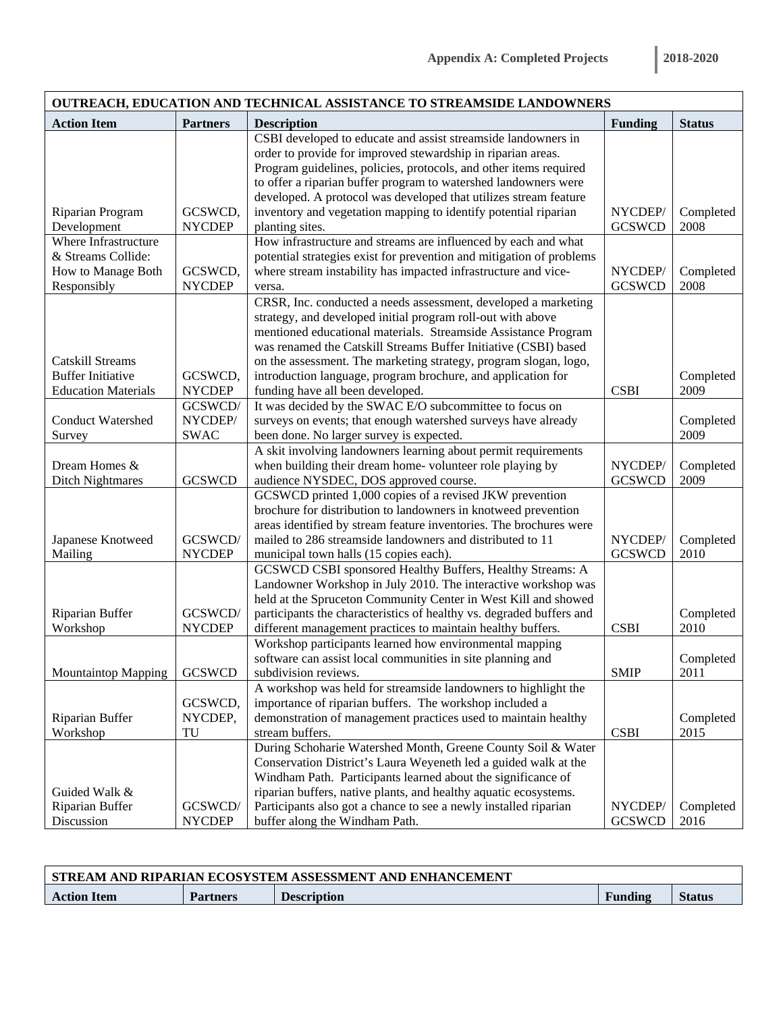| OUTREACH, EDUCATION AND TECHNICAL ASSISTANCE TO STREAMSIDE LANDOWNERS |                          |                                                                                                                                      |                |                   |  |  |
|-----------------------------------------------------------------------|--------------------------|--------------------------------------------------------------------------------------------------------------------------------------|----------------|-------------------|--|--|
| <b>Action Item</b>                                                    | <b>Partners</b>          | <b>Description</b>                                                                                                                   | <b>Funding</b> | <b>Status</b>     |  |  |
|                                                                       |                          | CSBI developed to educate and assist streamside landowners in                                                                        |                |                   |  |  |
|                                                                       |                          | order to provide for improved stewardship in riparian areas.                                                                         |                |                   |  |  |
|                                                                       |                          | Program guidelines, policies, protocols, and other items required                                                                    |                |                   |  |  |
|                                                                       |                          | to offer a riparian buffer program to watershed landowners were                                                                      |                |                   |  |  |
|                                                                       |                          | developed. A protocol was developed that utilizes stream feature                                                                     |                |                   |  |  |
| Riparian Program                                                      | GCSWCD,                  | inventory and vegetation mapping to identify potential riparian                                                                      | NYCDEP/        | Completed         |  |  |
| Development                                                           | <b>NYCDEP</b>            | planting sites.                                                                                                                      | <b>GCSWCD</b>  | 2008              |  |  |
| Where Infrastructure                                                  |                          | How infrastructure and streams are influenced by each and what                                                                       |                |                   |  |  |
| & Streams Collide:                                                    |                          | potential strategies exist for prevention and mitigation of problems                                                                 |                |                   |  |  |
| How to Manage Both                                                    | GCSWCD,                  | where stream instability has impacted infrastructure and vice-                                                                       | NYCDEP/        | Completed         |  |  |
| Responsibly                                                           | <b>NYCDEP</b>            | versa.                                                                                                                               | <b>GCSWCD</b>  | 2008              |  |  |
|                                                                       |                          | CRSR, Inc. conducted a needs assessment, developed a marketing                                                                       |                |                   |  |  |
|                                                                       |                          | strategy, and developed initial program roll-out with above                                                                          |                |                   |  |  |
|                                                                       |                          | mentioned educational materials. Streamside Assistance Program                                                                       |                |                   |  |  |
|                                                                       |                          | was renamed the Catskill Streams Buffer Initiative (CSBI) based                                                                      |                |                   |  |  |
| <b>Catskill Streams</b>                                               |                          | on the assessment. The marketing strategy, program slogan, logo,                                                                     |                |                   |  |  |
| <b>Buffer Initiative</b>                                              | GCSWCD,                  | introduction language, program brochure, and application for                                                                         |                | Completed         |  |  |
| <b>Education Materials</b>                                            | <b>NYCDEP</b>            | funding have all been developed.                                                                                                     | <b>CSBI</b>    | 2009              |  |  |
|                                                                       | GCSWCD/                  | It was decided by the SWAC E/O subcommittee to focus on                                                                              |                |                   |  |  |
| <b>Conduct Watershed</b>                                              | NYCDEP/                  | surveys on events; that enough watershed surveys have already                                                                        |                | Completed         |  |  |
| Survey                                                                | <b>SWAC</b>              | been done. No larger survey is expected.                                                                                             |                | 2009              |  |  |
|                                                                       |                          | A skit involving landowners learning about permit requirements                                                                       |                |                   |  |  |
| Dream Homes &                                                         |                          | when building their dream home-volunteer role playing by                                                                             | NYCDEP/        | Completed         |  |  |
| <b>Ditch Nightmares</b>                                               | <b>GCSWCD</b>            |                                                                                                                                      | <b>GCSWCD</b>  | 2009              |  |  |
|                                                                       |                          | audience NYSDEC, DOS approved course.<br>GCSWCD printed 1,000 copies of a revised JKW prevention                                     |                |                   |  |  |
|                                                                       |                          |                                                                                                                                      |                |                   |  |  |
|                                                                       |                          | brochure for distribution to landowners in knotweed prevention<br>areas identified by stream feature inventories. The brochures were |                |                   |  |  |
|                                                                       | GCSWCD/                  | mailed to 286 streamside landowners and distributed to 11                                                                            | NYCDEP/        |                   |  |  |
| Japanese Knotweed                                                     |                          |                                                                                                                                      |                | Completed         |  |  |
| Mailing                                                               | <b>NYCDEP</b>            | municipal town halls (15 copies each).                                                                                               | <b>GCSWCD</b>  | 2010              |  |  |
|                                                                       |                          | GCSWCD CSBI sponsored Healthy Buffers, Healthy Streams: A                                                                            |                |                   |  |  |
|                                                                       |                          | Landowner Workshop in July 2010. The interactive workshop was                                                                        |                |                   |  |  |
|                                                                       |                          | held at the Spruceton Community Center in West Kill and showed                                                                       |                |                   |  |  |
| Riparian Buffer                                                       | GCSWCD/<br><b>NYCDEP</b> | participants the characteristics of healthy vs. degraded buffers and                                                                 | <b>CSBI</b>    | Completed<br>2010 |  |  |
| Workshop                                                              |                          | different management practices to maintain healthy buffers.                                                                          |                |                   |  |  |
|                                                                       |                          | Workshop participants learned how environmental mapping                                                                              |                |                   |  |  |
|                                                                       |                          | software can assist local communities in site planning and                                                                           |                | Completed         |  |  |
| <b>Mountaintop Mapping</b>                                            | <b>GCSWCD</b>            | subdivision reviews.                                                                                                                 | <b>SMIP</b>    | 2011              |  |  |
|                                                                       |                          | A workshop was held for streamside landowners to highlight the                                                                       |                |                   |  |  |
|                                                                       | GCSWCD,                  | importance of riparian buffers. The workshop included a                                                                              |                |                   |  |  |
| Riparian Buffer                                                       | NYCDEP,                  | demonstration of management practices used to maintain healthy                                                                       |                | Completed         |  |  |
| Workshop                                                              | TU                       | stream buffers.                                                                                                                      | <b>CSBI</b>    | 2015              |  |  |
|                                                                       |                          | During Schoharie Watershed Month, Greene County Soil & Water                                                                         |                |                   |  |  |
|                                                                       |                          | Conservation District's Laura Weyeneth led a guided walk at the                                                                      |                |                   |  |  |
|                                                                       |                          | Windham Path. Participants learned about the significance of                                                                         |                |                   |  |  |
| Guided Walk &                                                         |                          | riparian buffers, native plants, and healthy aquatic ecosystems.                                                                     |                |                   |  |  |
| Riparian Buffer                                                       | GCSWCD/                  | Participants also got a chance to see a newly installed riparian                                                                     | NYCDEP/        | Completed         |  |  |
| Discussion                                                            | <b>NYCDEP</b>            | buffer along the Windham Path.                                                                                                       | <b>GCSWCD</b>  | 2016              |  |  |

| STREAM AND RIPARIAN ECOSYSTEM ASSESSMENT AND ENHANCEMENT |                 |                    |         |               |
|----------------------------------------------------------|-----------------|--------------------|---------|---------------|
| <b>Action Item</b>                                       | <b>Partners</b> | <b>Description</b> | Funding | <b>Status</b> |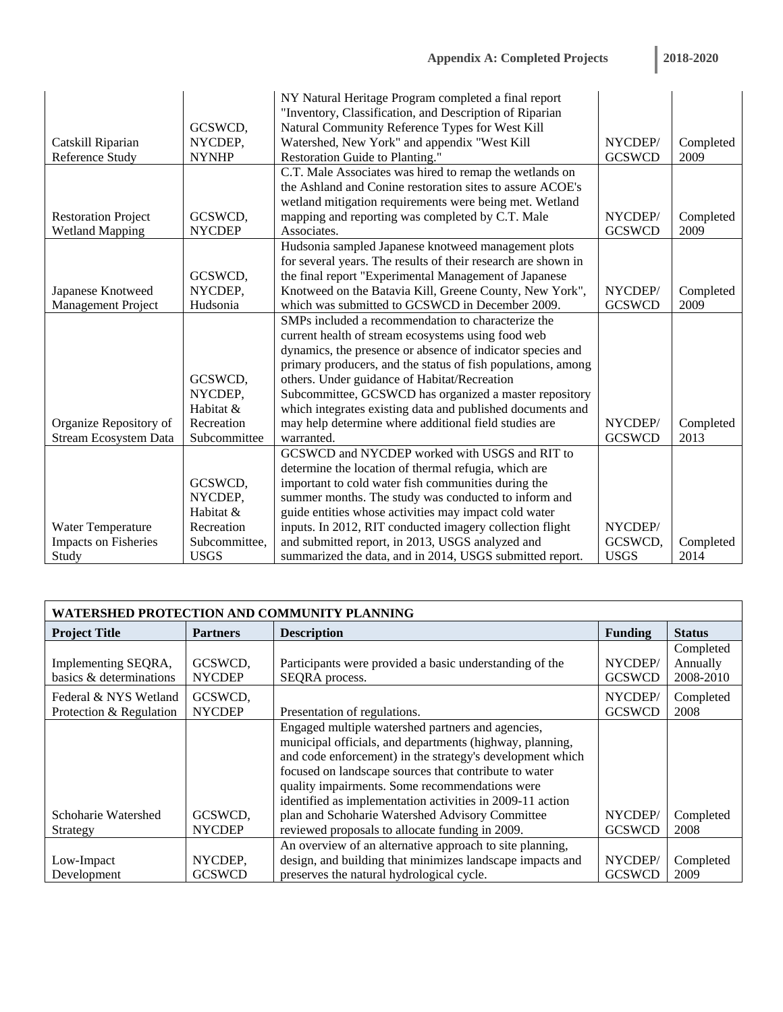|                              |               | NY Natural Heritage Program completed a final report                                                                 |               |           |
|------------------------------|---------------|----------------------------------------------------------------------------------------------------------------------|---------------|-----------|
|                              |               | "Inventory, Classification, and Description of Riparian                                                              |               |           |
|                              | GCSWCD,       | Natural Community Reference Types for West Kill                                                                      |               |           |
| Catskill Riparian            | NYCDEP,       | Watershed, New York" and appendix "West Kill                                                                         | NYCDEP/       | Completed |
| Reference Study              | <b>NYNHP</b>  | Restoration Guide to Planting."                                                                                      | <b>GCSWCD</b> | 2009      |
|                              |               | C.T. Male Associates was hired to remap the wetlands on<br>the Ashland and Conine restoration sites to assure ACOE's |               |           |
|                              |               |                                                                                                                      |               |           |
|                              |               | wetland mitigation requirements were being met. Wetland                                                              |               |           |
| <b>Restoration Project</b>   | GCSWCD,       | mapping and reporting was completed by C.T. Male                                                                     | NYCDEP/       | Completed |
| <b>Wetland Mapping</b>       | <b>NYCDEP</b> | Associates.                                                                                                          | <b>GCSWCD</b> | 2009      |
|                              |               | Hudsonia sampled Japanese knotweed management plots                                                                  |               |           |
|                              |               | for several years. The results of their research are shown in                                                        |               |           |
|                              | GCSWCD,       | the final report "Experimental Management of Japanese                                                                |               |           |
| Japanese Knotweed            | NYCDEP,       | Knotweed on the Batavia Kill, Greene County, New York",                                                              | NYCDEP/       | Completed |
| Management Project           | Hudsonia      | which was submitted to GCSWCD in December 2009.                                                                      | <b>GCSWCD</b> | 2009      |
|                              |               | SMPs included a recommendation to characterize the                                                                   |               |           |
|                              |               | current health of stream ecosystems using food web                                                                   |               |           |
|                              |               | dynamics, the presence or absence of indicator species and                                                           |               |           |
|                              |               | primary producers, and the status of fish populations, among                                                         |               |           |
|                              | GCSWCD,       | others. Under guidance of Habitat/Recreation                                                                         |               |           |
|                              | NYCDEP,       | Subcommittee, GCSWCD has organized a master repository                                                               |               |           |
|                              | Habitat &     | which integrates existing data and published documents and                                                           |               |           |
| Organize Repository of       | Recreation    | may help determine where additional field studies are                                                                | NYCDEP/       | Completed |
| <b>Stream Ecosystem Data</b> | Subcommittee  | warranted.                                                                                                           | <b>GCSWCD</b> | 2013      |
|                              |               | GCSWCD and NYCDEP worked with USGS and RIT to                                                                        |               |           |
|                              |               | determine the location of thermal refugia, which are                                                                 |               |           |
|                              | GCSWCD,       | important to cold water fish communities during the                                                                  |               |           |
|                              | NYCDEP,       | summer months. The study was conducted to inform and                                                                 |               |           |
|                              | Habitat &     | guide entities whose activities may impact cold water                                                                |               |           |
| Water Temperature            | Recreation    | inputs. In 2012, RIT conducted imagery collection flight                                                             | NYCDEP/       |           |
| <b>Impacts on Fisheries</b>  | Subcommittee, | and submitted report, in 2013, USGS analyzed and                                                                     | GCSWCD,       | Completed |
| Study                        | <b>USGS</b>   | summarized the data, and in 2014, USGS submitted report.                                                             | <b>USGS</b>   | 2014      |

| WATERSHED PROTECTION AND COMMUNITY PLANNING      |                          |                                                                                                                                                                                                                                                                                                                                                                                                       |                          |                                    |  |
|--------------------------------------------------|--------------------------|-------------------------------------------------------------------------------------------------------------------------------------------------------------------------------------------------------------------------------------------------------------------------------------------------------------------------------------------------------------------------------------------------------|--------------------------|------------------------------------|--|
| <b>Project Title</b>                             | <b>Partners</b>          | <b>Description</b>                                                                                                                                                                                                                                                                                                                                                                                    | <b>Funding</b>           | <b>Status</b>                      |  |
| Implementing SEQRA,<br>basics & determinations   | GCSWCD,<br><b>NYCDEP</b> | Participants were provided a basic understanding of the<br>SEQRA process.                                                                                                                                                                                                                                                                                                                             | NYCDEP/<br><b>GCSWCD</b> | Completed<br>Annually<br>2008-2010 |  |
| Federal & NYS Wetland<br>Protection & Regulation | GCSWCD,<br><b>NYCDEP</b> | Presentation of regulations.                                                                                                                                                                                                                                                                                                                                                                          | NYCDEP/<br><b>GCSWCD</b> | Completed<br>2008                  |  |
| Schoharie Watershed                              | GCSWCD.                  | Engaged multiple watershed partners and agencies,<br>municipal officials, and departments (highway, planning,<br>and code enforcement) in the strategy's development which<br>focused on landscape sources that contribute to water<br>quality impairments. Some recommendations were<br>identified as implementation activities in 2009-11 action<br>plan and Schoharie Watershed Advisory Committee | NYCDEP/                  | Completed                          |  |
| Strategy                                         | <b>NYCDEP</b>            | reviewed proposals to allocate funding in 2009.<br>An overview of an alternative approach to site planning,                                                                                                                                                                                                                                                                                           | <b>GCSWCD</b>            | 2008                               |  |
| Low-Impact<br>Development                        | NYCDEP.<br><b>GCSWCD</b> | design, and building that minimizes landscape impacts and<br>preserves the natural hydrological cycle.                                                                                                                                                                                                                                                                                                | NYCDEP/<br><b>GCSWCD</b> | Completed<br>2009                  |  |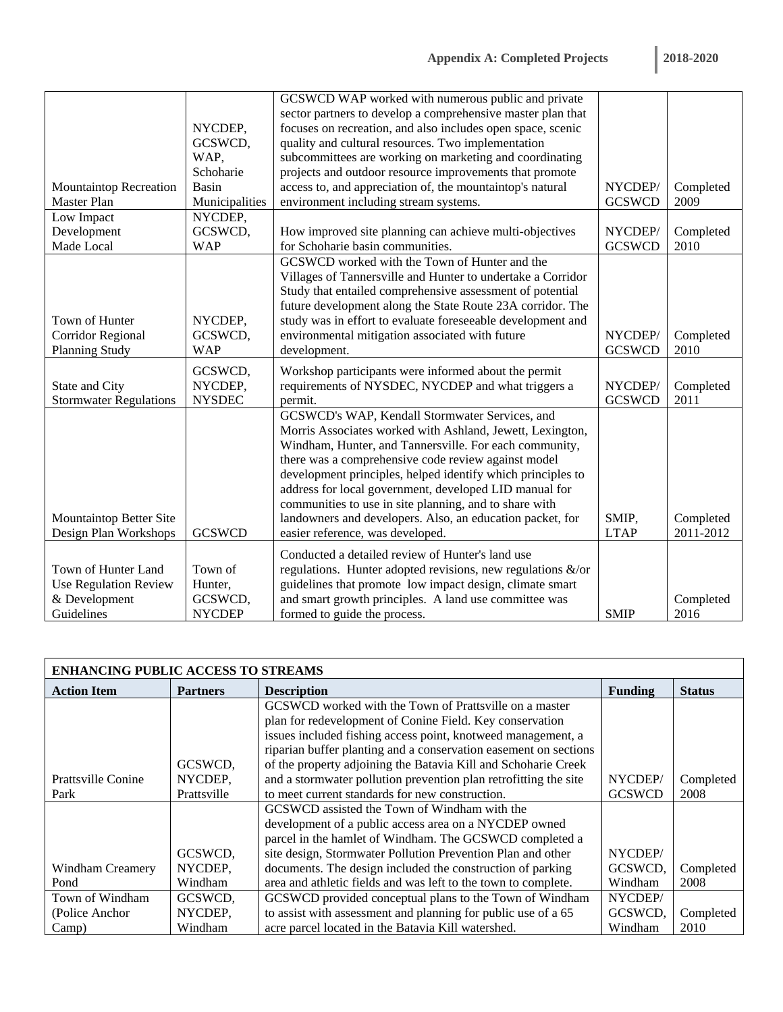| <b>2018-2020</b> |  |  |
|------------------|--|--|
|                  |  |  |

|                               |                | GCSWCD WAP worked with numerous public and private              |               |           |
|-------------------------------|----------------|-----------------------------------------------------------------|---------------|-----------|
|                               |                | sector partners to develop a comprehensive master plan that     |               |           |
|                               | NYCDEP,        | focuses on recreation, and also includes open space, scenic     |               |           |
|                               | GCSWCD,        | quality and cultural resources. Two implementation              |               |           |
|                               | WAP,           | subcommittees are working on marketing and coordinating         |               |           |
|                               | Schoharie      | projects and outdoor resource improvements that promote         |               |           |
| <b>Mountaintop Recreation</b> | Basin          | access to, and appreciation of, the mountaintop's natural       | NYCDEP/       | Completed |
| Master Plan                   | Municipalities | environment including stream systems.                           | <b>GCSWCD</b> | 2009      |
| Low Impact                    | NYCDEP,        |                                                                 |               |           |
| Development                   | GCSWCD,        | How improved site planning can achieve multi-objectives         | NYCDEP/       | Completed |
| Made Local                    | <b>WAP</b>     | for Schoharie basin communities.                                | <b>GCSWCD</b> | 2010      |
|                               |                | GCSWCD worked with the Town of Hunter and the                   |               |           |
|                               |                | Villages of Tannersville and Hunter to undertake a Corridor     |               |           |
|                               |                | Study that entailed comprehensive assessment of potential       |               |           |
|                               |                | future development along the State Route 23A corridor. The      |               |           |
| Town of Hunter                | NYCDEP,        | study was in effort to evaluate foreseeable development and     |               |           |
| Corridor Regional             | GCSWCD,        | environmental mitigation associated with future                 | NYCDEP/       | Completed |
| <b>Planning Study</b>         | <b>WAP</b>     | development.                                                    | <b>GCSWCD</b> | 2010      |
|                               | GCSWCD,        | Workshop participants were informed about the permit            |               |           |
| State and City                | NYCDEP,        | requirements of NYSDEC, NYCDEP and what triggers a              | NYCDEP/       | Completed |
| <b>Stormwater Regulations</b> | <b>NYSDEC</b>  | permit.                                                         | <b>GCSWCD</b> | 2011      |
|                               |                | GCSWCD's WAP, Kendall Stormwater Services, and                  |               |           |
|                               |                | Morris Associates worked with Ashland, Jewett, Lexington,       |               |           |
|                               |                | Windham, Hunter, and Tannersville. For each community,          |               |           |
|                               |                | there was a comprehensive code review against model             |               |           |
|                               |                | development principles, helped identify which principles to     |               |           |
|                               |                | address for local government, developed LID manual for          |               |           |
|                               |                | communities to use in site planning, and to share with          |               |           |
| Mountaintop Better Site       |                | landowners and developers. Also, an education packet, for       | SMIP,         | Completed |
| Design Plan Workshops         | <b>GCSWCD</b>  | easier reference, was developed.                                | <b>LTAP</b>   | 2011-2012 |
|                               |                |                                                                 |               |           |
|                               |                | Conducted a detailed review of Hunter's land use                |               |           |
| Town of Hunter Land           | Town of        | regulations. Hunter adopted revisions, new regulations $\&$ /or |               |           |
| <b>Use Regulation Review</b>  | Hunter,        | guidelines that promote low impact design, climate smart        |               |           |
| & Development                 | GCSWCD,        | and smart growth principles. A land use committee was           |               | Completed |
| Guidelines                    | <b>NYCDEP</b>  | formed to guide the process.                                    | <b>SMIP</b>   | 2016      |

| <b>ENHANCING PUBLIC ACCESS TO STREAMS</b> |                 |                                                                  |                |               |  |  |
|-------------------------------------------|-----------------|------------------------------------------------------------------|----------------|---------------|--|--|
| <b>Action Item</b>                        | <b>Partners</b> | <b>Description</b>                                               | <b>Funding</b> | <b>Status</b> |  |  |
|                                           |                 | GCSWCD worked with the Town of Prattsville on a master           |                |               |  |  |
|                                           |                 | plan for redevelopment of Conine Field. Key conservation         |                |               |  |  |
|                                           |                 | issues included fishing access point, knotweed management, a     |                |               |  |  |
|                                           |                 | riparian buffer planting and a conservation easement on sections |                |               |  |  |
|                                           | GCSWCD.         | of the property adjoining the Batavia Kill and Schoharie Creek   |                |               |  |  |
| <b>Prattsville Conine</b>                 | NYCDEP,         | and a stormwater pollution prevention plan retrofitting the site | NYCDEP/        | Completed     |  |  |
| Park                                      | Prattsville     | to meet current standards for new construction.                  | <b>GCSWCD</b>  | 2008          |  |  |
|                                           |                 | GCSWCD assisted the Town of Windham with the                     |                |               |  |  |
|                                           |                 | development of a public access area on a NYCDEP owned            |                |               |  |  |
|                                           |                 | parcel in the hamlet of Windham. The GCSWCD completed a          |                |               |  |  |
|                                           | GCSWCD,         | site design, Stormwater Pollution Prevention Plan and other      | NYCDEP/        |               |  |  |
| Windham Creamery                          | NYCDEP,         | documents. The design included the construction of parking       | GCSWCD.        | Completed     |  |  |
| Pond                                      | Windham         | area and athletic fields and was left to the town to complete.   | Windham        | 2008          |  |  |
| Town of Windham                           | GCSWCD,         | GCSWCD provided conceptual plans to the Town of Windham          | NYCDEP/        |               |  |  |
| (Police Anchor                            | NYCDEP,         | to assist with assessment and planning for public use of a 65    | GCSWCD,        | Completed     |  |  |
| Camp)                                     | Windham         | acre parcel located in the Batavia Kill watershed.               | Windham        | 2010          |  |  |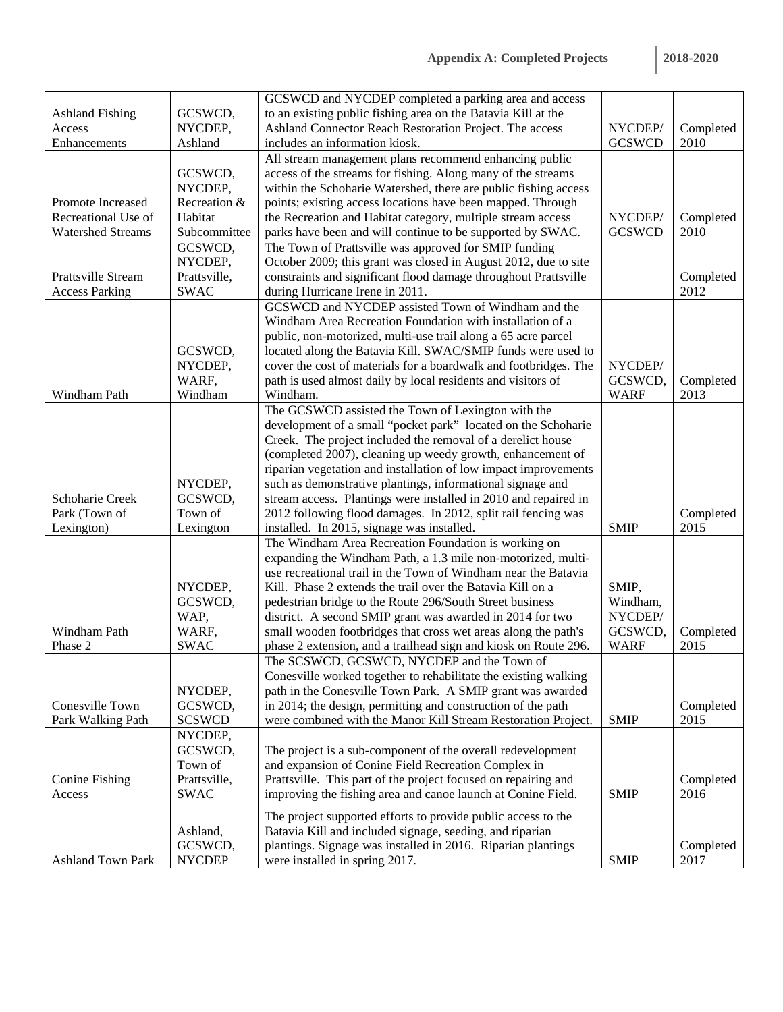|                          |               | GCSWCD and NYCDEP completed a parking area and access            |               |           |
|--------------------------|---------------|------------------------------------------------------------------|---------------|-----------|
| <b>Ashland Fishing</b>   | GCSWCD,       | to an existing public fishing area on the Batavia Kill at the    |               |           |
| Access                   | NYCDEP,       | Ashland Connector Reach Restoration Project. The access          | NYCDEP/       | Completed |
| Enhancements             | Ashland       | includes an information kiosk.                                   | <b>GCSWCD</b> | 2010      |
|                          |               | All stream management plans recommend enhancing public           |               |           |
|                          | GCSWCD,       | access of the streams for fishing. Along many of the streams     |               |           |
|                          | NYCDEP,       | within the Schoharie Watershed, there are public fishing access  |               |           |
| Promote Increased        | Recreation &  | points; existing access locations have been mapped. Through      |               |           |
| Recreational Use of      | Habitat       | the Recreation and Habitat category, multiple stream access      | NYCDEP/       | Completed |
| <b>Watershed Streams</b> | Subcommittee  | parks have been and will continue to be supported by SWAC.       | <b>GCSWCD</b> | 2010      |
|                          | GCSWCD,       | The Town of Prattsville was approved for SMIP funding            |               |           |
|                          | NYCDEP,       | October 2009; this grant was closed in August 2012, due to site  |               |           |
| Prattsville Stream       | Prattsville,  | constraints and significant flood damage throughout Prattsville  |               | Completed |
| <b>Access Parking</b>    | <b>SWAC</b>   | during Hurricane Irene in 2011.                                  |               | 2012      |
|                          |               | GCSWCD and NYCDEP assisted Town of Windham and the               |               |           |
|                          |               | Windham Area Recreation Foundation with installation of a        |               |           |
|                          |               | public, non-motorized, multi-use trail along a 65 acre parcel    |               |           |
|                          | GCSWCD,       | located along the Batavia Kill. SWAC/SMIP funds were used to     |               |           |
|                          | NYCDEP,       | cover the cost of materials for a boardwalk and footbridges. The | NYCDEP/       |           |
|                          | WARF,         | path is used almost daily by local residents and visitors of     | GCSWCD,       | Completed |
| Windham Path             | Windham       | Windham.                                                         | <b>WARF</b>   | 2013      |
|                          |               | The GCSWCD assisted the Town of Lexington with the               |               |           |
|                          |               | development of a small "pocket park" located on the Schoharie    |               |           |
|                          |               | Creek. The project included the removal of a derelict house      |               |           |
|                          |               | (completed 2007), cleaning up weedy growth, enhancement of       |               |           |
|                          |               | riparian vegetation and installation of low impact improvements  |               |           |
|                          | NYCDEP,       | such as demonstrative plantings, informational signage and       |               |           |
| Schoharie Creek          | GCSWCD,       | stream access. Plantings were installed in 2010 and repaired in  |               |           |
| Park (Town of            | Town of       | 2012 following flood damages. In 2012, split rail fencing was    |               | Completed |
| Lexington)               | Lexington     | installed. In 2015, signage was installed.                       | <b>SMIP</b>   | 2015      |
|                          |               | The Windham Area Recreation Foundation is working on             |               |           |
|                          |               | expanding the Windham Path, a 1.3 mile non-motorized, multi-     |               |           |
|                          |               | use recreational trail in the Town of Windham near the Batavia   |               |           |
|                          | NYCDEP,       | Kill. Phase 2 extends the trail over the Batavia Kill on a       | SMIP,         |           |
|                          | GCSWCD,       | pedestrian bridge to the Route 296/South Street business         | Windham,      |           |
|                          | WAP,          | district. A second SMIP grant was awarded in 2014 for two        | NYCDEP/       |           |
| Windham Path             | WARF,         | small wooden footbridges that cross wet areas along the path's   | GCSWCD,       | Completed |
| Phase 2                  | <b>SWAC</b>   | phase 2 extension, and a trailhead sign and kiosk on Route 296.  | <b>WARF</b>   | 2015      |
|                          |               | The SCSWCD, GCSWCD, NYCDEP and the Town of                       |               |           |
|                          |               | Conesville worked together to rehabilitate the existing walking  |               |           |
|                          | NYCDEP,       | path in the Conesville Town Park. A SMIP grant was awarded       |               |           |
| Conesville Town          | GCSWCD,       | in 2014; the design, permitting and construction of the path     |               | Completed |
| Park Walking Path        | <b>SCSWCD</b> | were combined with the Manor Kill Stream Restoration Project.    | <b>SMIP</b>   | 2015      |
|                          | NYCDEP,       |                                                                  |               |           |
|                          | GCSWCD,       | The project is a sub-component of the overall redevelopment      |               |           |
|                          | Town of       | and expansion of Conine Field Recreation Complex in              |               |           |
| <b>Conine Fishing</b>    | Prattsville,  | Prattsville. This part of the project focused on repairing and   |               | Completed |
| Access                   | <b>SWAC</b>   | improving the fishing area and canoe launch at Conine Field.     | <b>SMIP</b>   | 2016      |
|                          |               | The project supported efforts to provide public access to the    |               |           |
|                          | Ashland,      | Batavia Kill and included signage, seeding, and riparian         |               |           |
|                          | GCSWCD,       | plantings. Signage was installed in 2016. Riparian plantings     |               | Completed |
| <b>Ashland Town Park</b> | <b>NYCDEP</b> | were installed in spring 2017.                                   | <b>SMIP</b>   | 2017      |